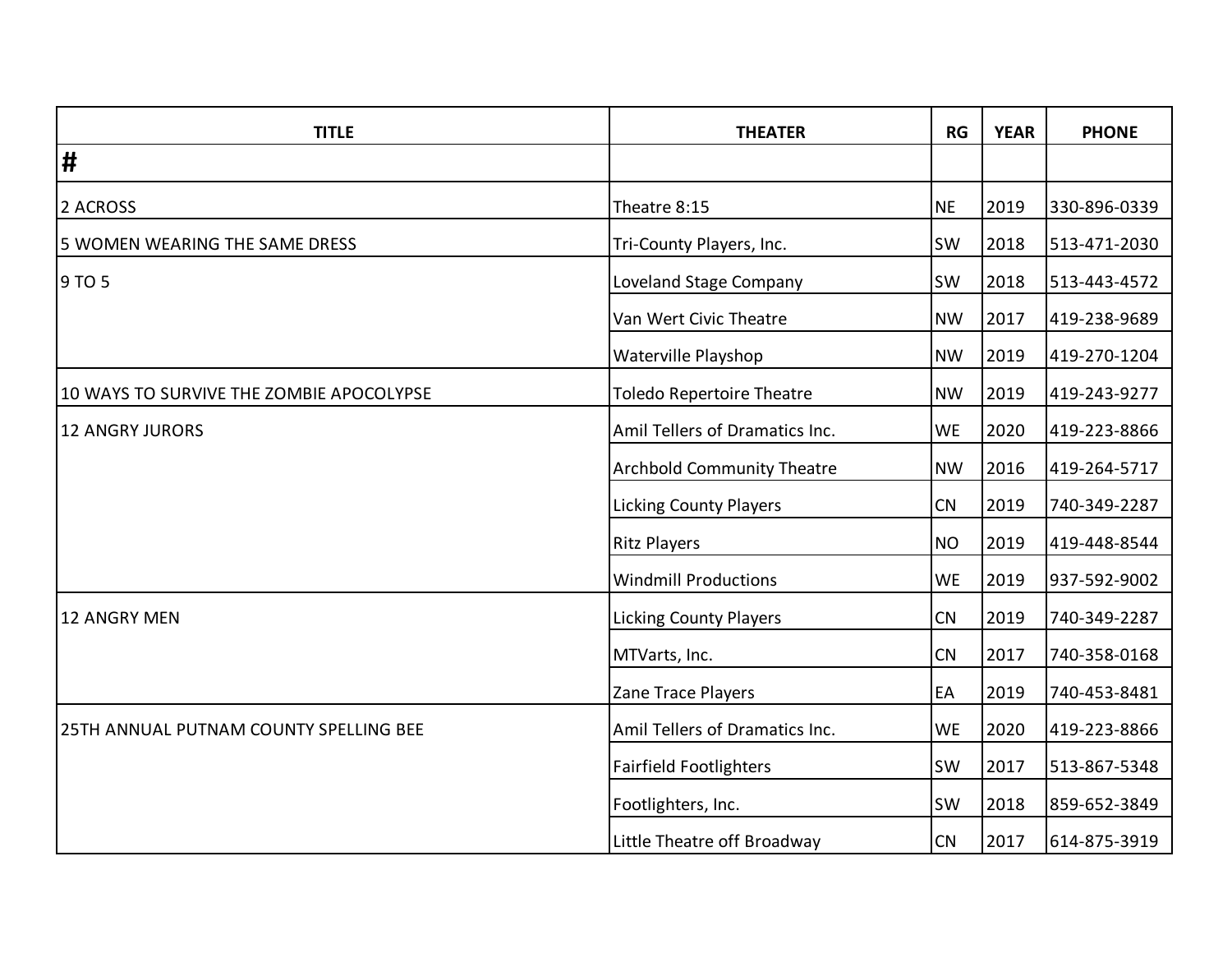| <b>TITLE</b>                             | <b>THEATER</b>                    | RG        | <b>YEAR</b> | <b>PHONE</b> |
|------------------------------------------|-----------------------------------|-----------|-------------|--------------|
| $\vert \sharp$                           |                                   |           |             |              |
| 2 ACROSS                                 | Theatre 8:15                      | <b>NE</b> | 2019        | 330-896-0339 |
| 5 WOMEN WEARING THE SAME DRESS           | Tri-County Players, Inc.          | <b>SW</b> | 2018        | 513-471-2030 |
| 9 TO 5                                   | <b>Loveland Stage Company</b>     | <b>SW</b> | 2018        | 513-443-4572 |
|                                          | Van Wert Civic Theatre            | <b>NW</b> | 2017        | 419-238-9689 |
|                                          | Waterville Playshop               | <b>NW</b> | 2019        | 419-270-1204 |
| 10 WAYS TO SURVIVE THE ZOMBIE APOCOLYPSE | <b>Toledo Repertoire Theatre</b>  | <b>NW</b> | 2019        | 419-243-9277 |
| <b>12 ANGRY JURORS</b>                   | Amil Tellers of Dramatics Inc.    | <b>WE</b> | 2020        | 419-223-8866 |
|                                          | <b>Archbold Community Theatre</b> | <b>NW</b> | 2016        | 419-264-5717 |
|                                          | <b>Licking County Players</b>     | <b>CN</b> | 2019        | 740-349-2287 |
|                                          | <b>Ritz Players</b>               | <b>NO</b> | 2019        | 419-448-8544 |
|                                          | <b>Windmill Productions</b>       | <b>WE</b> | 2019        | 937-592-9002 |
| <b>12 ANGRY MEN</b>                      | <b>Licking County Players</b>     | CN        | 2019        | 740-349-2287 |
|                                          | MTVarts, Inc.                     | CN        | 2017        | 740-358-0168 |
|                                          | Zane Trace Players                | EA        | 2019        | 740-453-8481 |
| 25TH ANNUAL PUTNAM COUNTY SPELLING BEE   | Amil Tellers of Dramatics Inc.    | <b>WE</b> | 2020        | 419-223-8866 |
|                                          | <b>Fairfield Footlighters</b>     | <b>SW</b> | 2017        | 513-867-5348 |
|                                          | Footlighters, Inc.                | <b>SW</b> | 2018        | 859-652-3849 |
|                                          | Little Theatre off Broadway       | CN        | 2017        | 614-875-3919 |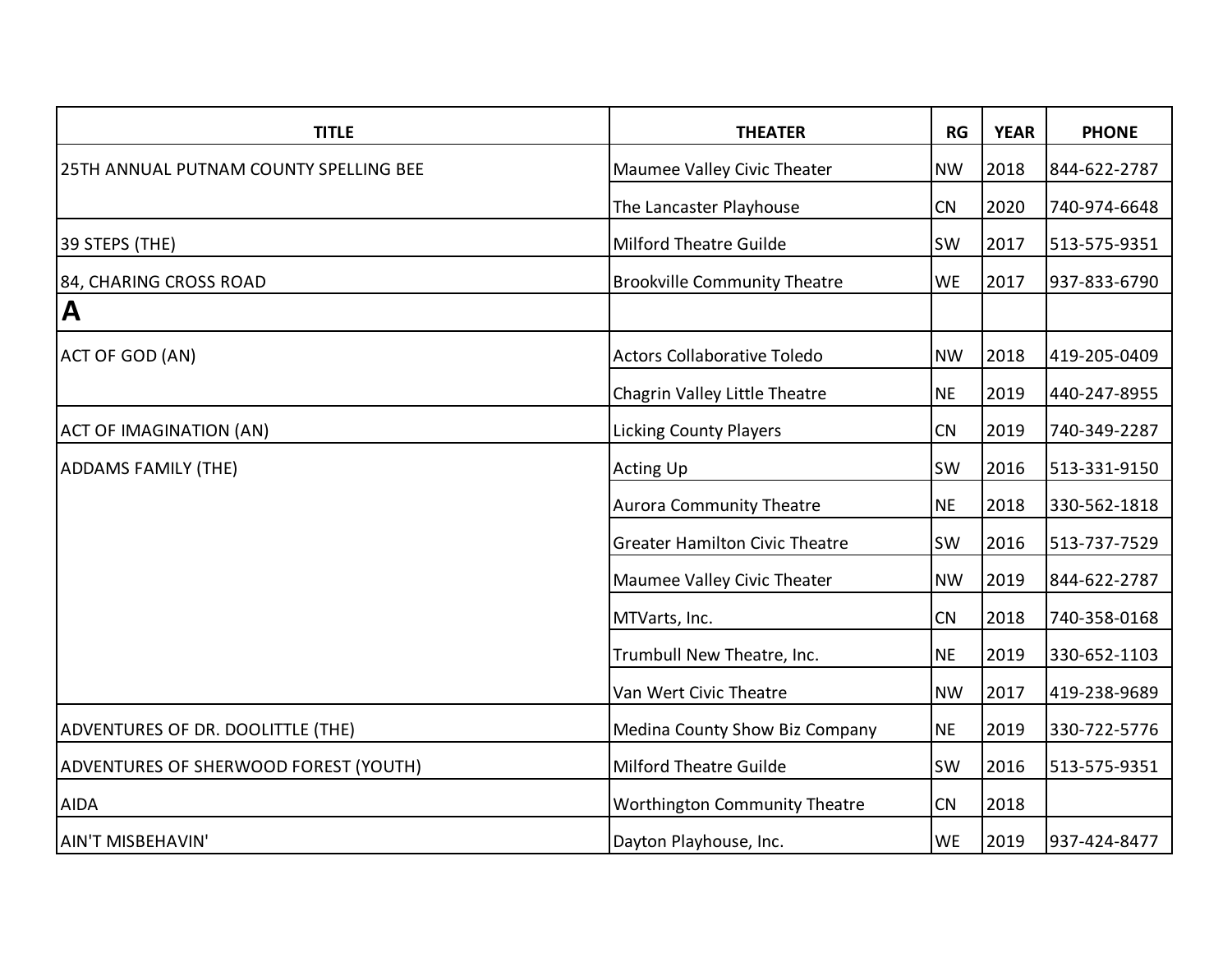| <b>TITLE</b>                           | <b>THEATER</b>                        | RG        | <b>YEAR</b> | <b>PHONE</b> |
|----------------------------------------|---------------------------------------|-----------|-------------|--------------|
| 25TH ANNUAL PUTNAM COUNTY SPELLING BEE | Maumee Valley Civic Theater           | <b>NW</b> | 2018        | 844-622-2787 |
|                                        | The Lancaster Playhouse               | CN        | 2020        | 740-974-6648 |
| 39 STEPS (THE)                         | <b>Milford Theatre Guilde</b>         | <b>SW</b> | 2017        | 513-575-9351 |
| 84, CHARING CROSS ROAD                 | <b>Brookville Community Theatre</b>   | <b>WE</b> | 2017        | 937-833-6790 |
| $\mathbf{A}$                           |                                       |           |             |              |
| ACT OF GOD (AN)                        | Actors Collaborative Toledo           | <b>NW</b> | 2018        | 419-205-0409 |
|                                        | Chagrin Valley Little Theatre         | <b>NE</b> | 2019        | 440-247-8955 |
| <b>ACT OF IMAGINATION (AN)</b>         | <b>Licking County Players</b>         | CN        | 2019        | 740-349-2287 |
| <b>ADDAMS FAMILY (THE)</b>             | <b>Acting Up</b>                      | <b>SW</b> | 2016        | 513-331-9150 |
|                                        | <b>Aurora Community Theatre</b>       | <b>NE</b> | 2018        | 330-562-1818 |
|                                        | <b>Greater Hamilton Civic Theatre</b> | <b>SW</b> | 2016        | 513-737-7529 |
|                                        | Maumee Valley Civic Theater           | <b>NW</b> | 2019        | 844-622-2787 |
|                                        | MTVarts, Inc.                         | CN        | 2018        | 740-358-0168 |
|                                        | Trumbull New Theatre, Inc.            | <b>NE</b> | 2019        | 330-652-1103 |
|                                        | Van Wert Civic Theatre                | <b>NW</b> | 2017        | 419-238-9689 |
| ADVENTURES OF DR. DOOLITTLE (THE)      | Medina County Show Biz Company        | <b>NE</b> | 2019        | 330-722-5776 |
| ADVENTURES OF SHERWOOD FOREST (YOUTH)  | <b>Milford Theatre Guilde</b>         | <b>SW</b> | 2016        | 513-575-9351 |
| <b>AIDA</b>                            | <b>Worthington Community Theatre</b>  | CN        | 2018        |              |
| <b>AIN'T MISBEHAVIN'</b>               | Dayton Playhouse, Inc.                | <b>WE</b> | 2019        | 937-424-8477 |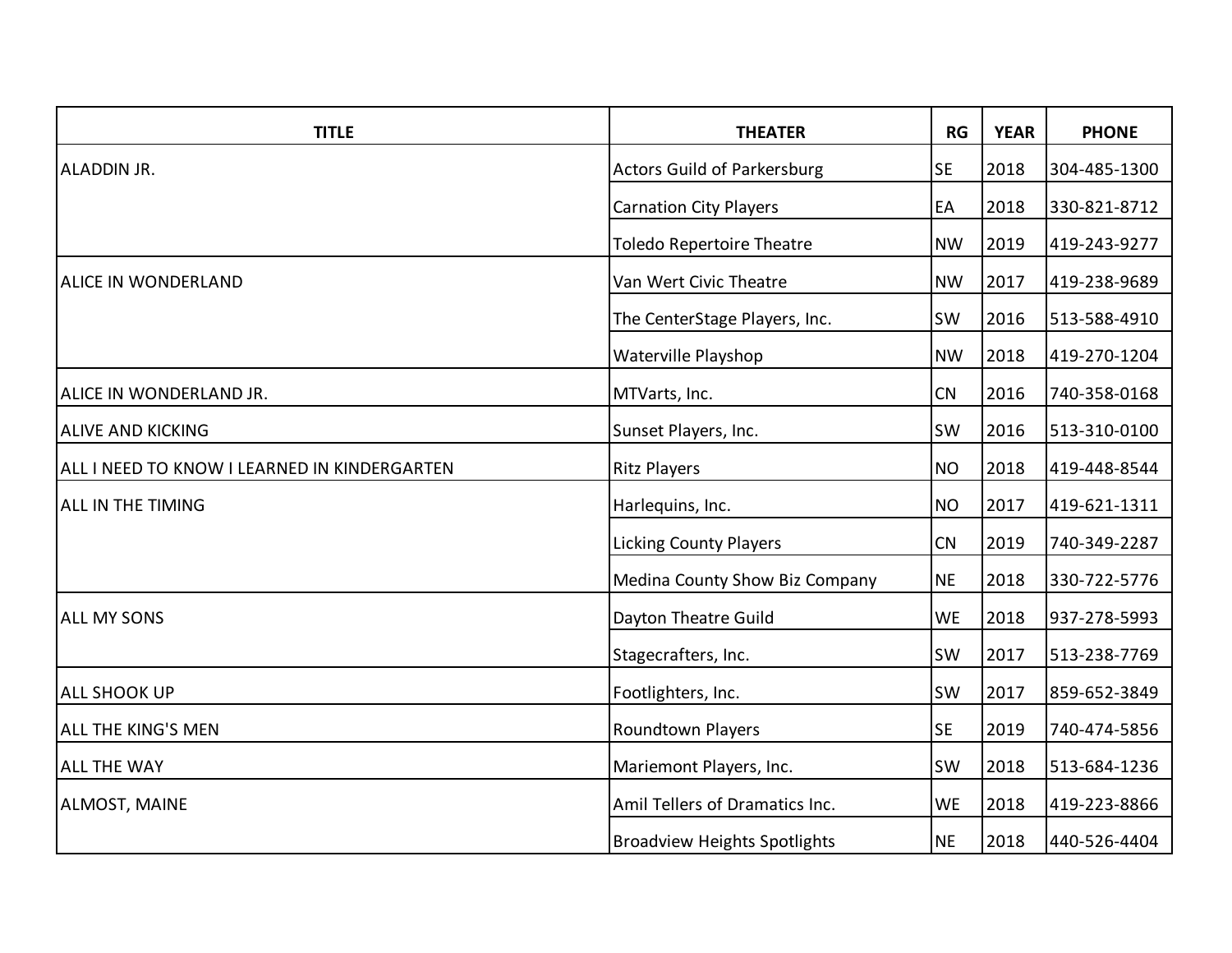| <b>TITLE</b>                                 | <b>THEATER</b>                      | <b>RG</b> | <b>YEAR</b> | <b>PHONE</b> |
|----------------------------------------------|-------------------------------------|-----------|-------------|--------------|
| ALADDIN JR.                                  | <b>Actors Guild of Parkersburg</b>  | <b>SE</b> | 2018        | 304-485-1300 |
|                                              | <b>Carnation City Players</b>       | EA        | 2018        | 330-821-8712 |
|                                              | <b>Toledo Repertoire Theatre</b>    | <b>NW</b> | 2019        | 419-243-9277 |
| <b>ALICE IN WONDERLAND</b>                   | Van Wert Civic Theatre              | <b>NW</b> | 2017        | 419-238-9689 |
|                                              | The CenterStage Players, Inc.       | SW        | 2016        | 513-588-4910 |
|                                              | Waterville Playshop                 | <b>NW</b> | 2018        | 419-270-1204 |
| ALICE IN WONDERLAND JR.                      | MTVarts, Inc.                       | CN        | 2016        | 740-358-0168 |
| <b>ALIVE AND KICKING</b>                     | Sunset Players, Inc.                | SW        | 2016        | 513-310-0100 |
| ALL I NEED TO KNOW I LEARNED IN KINDERGARTEN | <b>Ritz Players</b>                 | <b>NO</b> | 2018        | 419-448-8544 |
| <b>ALL IN THE TIMING</b>                     | Harlequins, Inc.                    | <b>NO</b> | 2017        | 419-621-1311 |
|                                              | <b>Licking County Players</b>       | CN        | 2019        | 740-349-2287 |
|                                              | Medina County Show Biz Company      | <b>NE</b> | 2018        | 330-722-5776 |
| <b>ALL MY SONS</b>                           | Dayton Theatre Guild                | <b>WE</b> | 2018        | 937-278-5993 |
|                                              | Stagecrafters, Inc.                 | <b>SW</b> | 2017        | 513-238-7769 |
| <b>ALL SHOOK UP</b>                          | Footlighters, Inc.                  | SW        | 2017        | 859-652-3849 |
| <b>ALL THE KING'S MEN</b>                    | Roundtown Players                   | <b>SE</b> | 2019        | 740-474-5856 |
| <b>ALL THE WAY</b>                           | Mariemont Players, Inc.             | SW        | 2018        | 513-684-1236 |
| <b>ALMOST, MAINE</b>                         | Amil Tellers of Dramatics Inc.      | <b>WE</b> | 2018        | 419-223-8866 |
|                                              | <b>Broadview Heights Spotlights</b> | <b>NE</b> | 2018        | 440-526-4404 |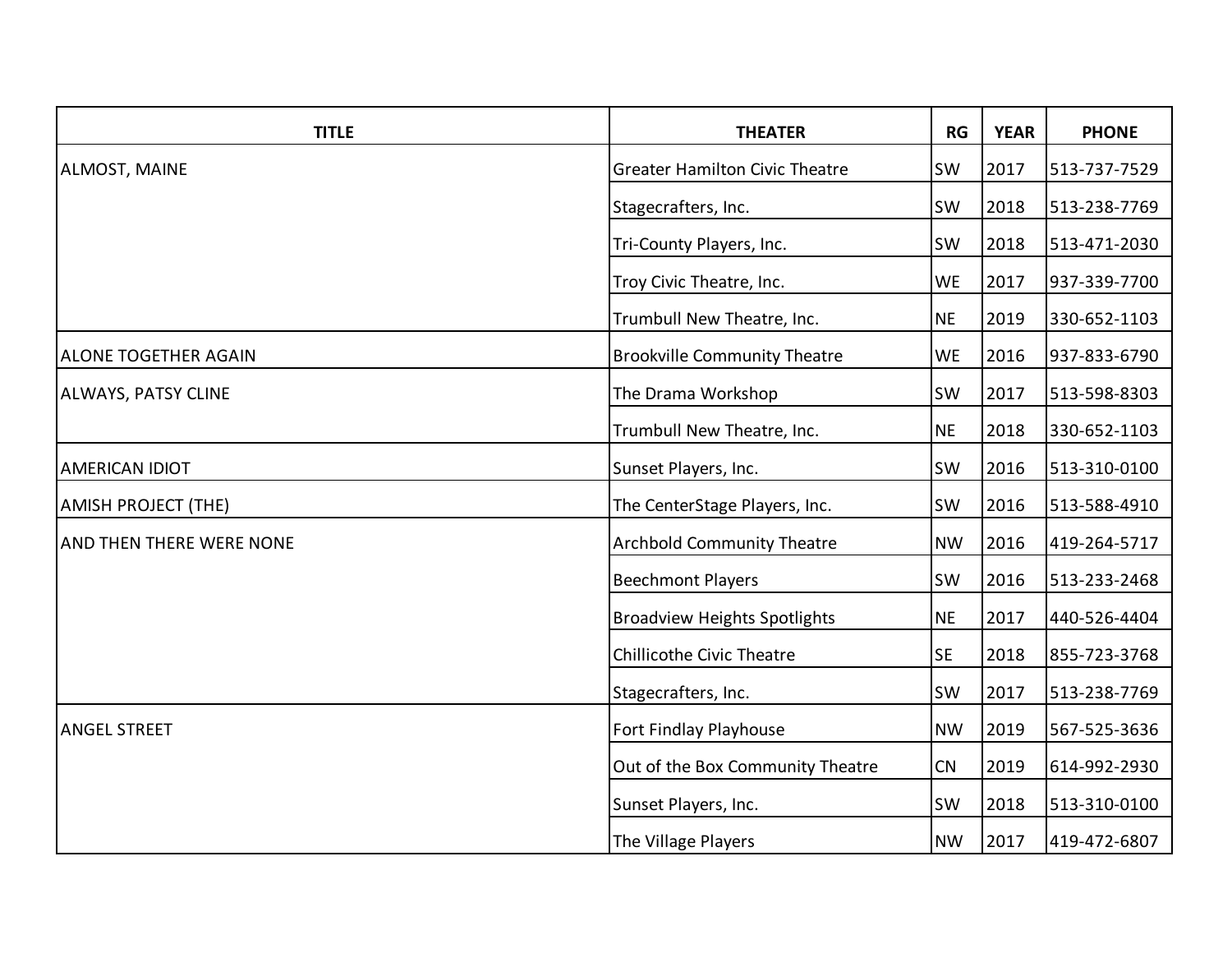| <b>TITLE</b>                    | <b>THEATER</b>                        | <b>RG</b> | <b>YEAR</b> | <b>PHONE</b> |
|---------------------------------|---------------------------------------|-----------|-------------|--------------|
| <b>ALMOST, MAINE</b>            | <b>Greater Hamilton Civic Theatre</b> | <b>SW</b> | 2017        | 513-737-7529 |
|                                 | Stagecrafters, Inc.                   | <b>SW</b> | 2018        | 513-238-7769 |
|                                 | Tri-County Players, Inc.              | SW        | 2018        | 513-471-2030 |
|                                 | Troy Civic Theatre, Inc.              | <b>WE</b> | 2017        | 937-339-7700 |
|                                 | Trumbull New Theatre, Inc.            | <b>NE</b> | 2019        | 330-652-1103 |
| <b>ALONE TOGETHER AGAIN</b>     | <b>Brookville Community Theatre</b>   | <b>WE</b> | 2016        | 937-833-6790 |
| <b>ALWAYS, PATSY CLINE</b>      | The Drama Workshop                    | <b>SW</b> | 2017        | 513-598-8303 |
|                                 | Trumbull New Theatre, Inc.            | <b>NE</b> | 2018        | 330-652-1103 |
| <b>AMERICAN IDIOT</b>           | Sunset Players, Inc.                  | <b>SW</b> | 2016        | 513-310-0100 |
| <b>AMISH PROJECT (THE)</b>      | The CenterStage Players, Inc.         | SW        | 2016        | 513-588-4910 |
| <b>AND THEN THERE WERE NONE</b> | <b>Archbold Community Theatre</b>     | <b>NW</b> | 2016        | 419-264-5717 |
|                                 | <b>Beechmont Players</b>              | SW        | 2016        | 513-233-2468 |
|                                 | <b>Broadview Heights Spotlights</b>   | <b>NE</b> | 2017        | 440-526-4404 |
|                                 | <b>Chillicothe Civic Theatre</b>      | <b>SE</b> | 2018        | 855-723-3768 |
|                                 | Stagecrafters, Inc.                   | <b>SW</b> | 2017        | 513-238-7769 |
| <b>ANGEL STREET</b>             | Fort Findlay Playhouse                | <b>NW</b> | 2019        | 567-525-3636 |
|                                 | Out of the Box Community Theatre      | CN        | 2019        | 614-992-2930 |
|                                 | Sunset Players, Inc.                  | <b>SW</b> | 2018        | 513-310-0100 |
|                                 | The Village Players                   | <b>NW</b> | 2017        | 419-472-6807 |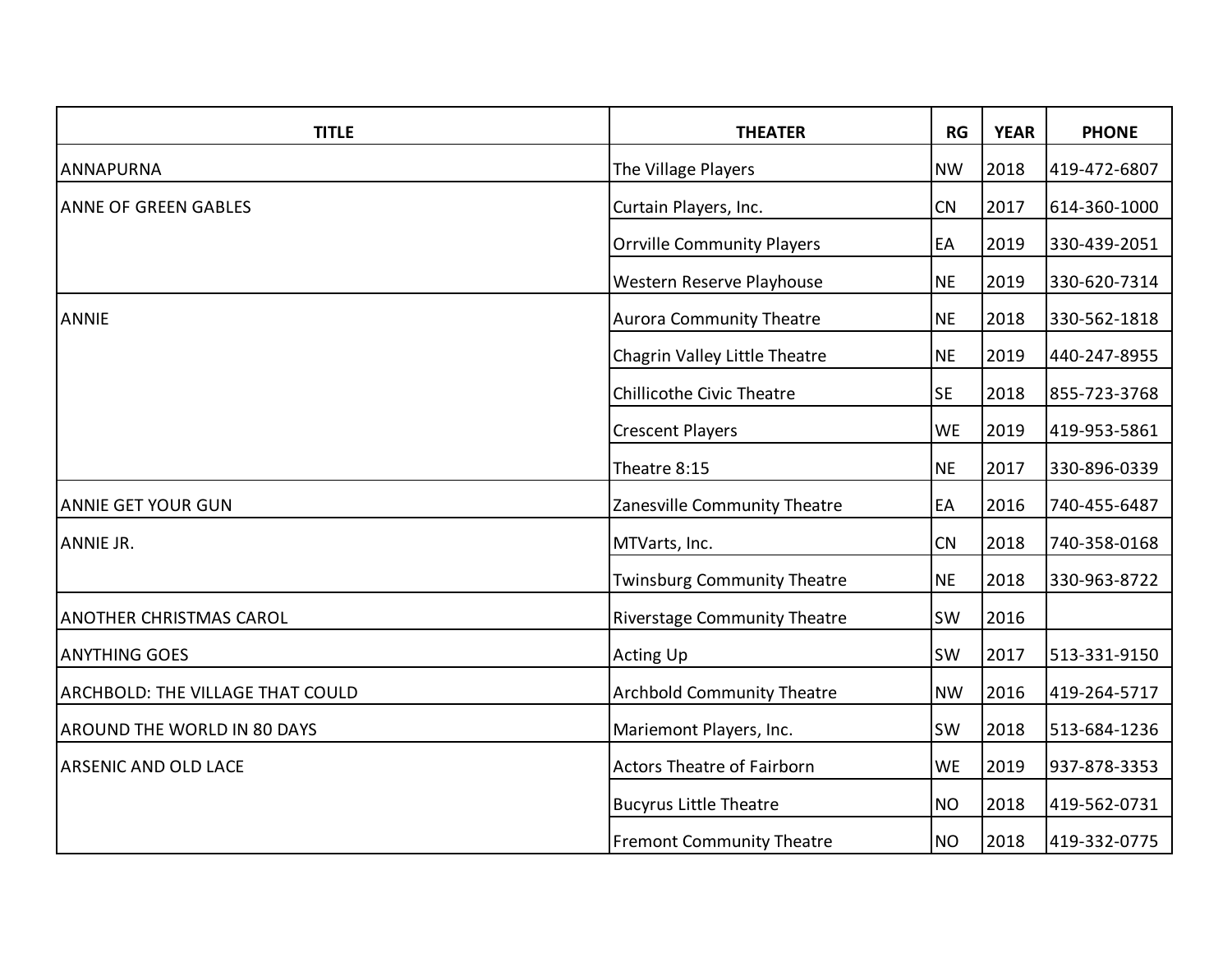| <b>TITLE</b>                     | <b>THEATER</b>                      | RG        | <b>YEAR</b> | <b>PHONE</b> |
|----------------------------------|-------------------------------------|-----------|-------------|--------------|
| <b>ANNAPURNA</b>                 | The Village Players                 | <b>NW</b> | 2018        | 419-472-6807 |
| <b>ANNE OF GREEN GABLES</b>      | Curtain Players, Inc.               | CN        | 2017        | 614-360-1000 |
|                                  | <b>Orrville Community Players</b>   | EA        | 2019        | 330-439-2051 |
|                                  | Western Reserve Playhouse           | <b>NE</b> | 2019        | 330-620-7314 |
| <b>ANNIE</b>                     | <b>Aurora Community Theatre</b>     | <b>NE</b> | 2018        | 330-562-1818 |
|                                  | Chagrin Valley Little Theatre       | <b>NE</b> | 2019        | 440-247-8955 |
|                                  | <b>Chillicothe Civic Theatre</b>    | <b>SE</b> | 2018        | 855-723-3768 |
|                                  | <b>Crescent Players</b>             | <b>WE</b> | 2019        | 419-953-5861 |
|                                  | Theatre 8:15                        | <b>NE</b> | 2017        | 330-896-0339 |
| <b>ANNIE GET YOUR GUN</b>        | Zanesville Community Theatre        | EA        | 2016        | 740-455-6487 |
| <b>ANNIE JR.</b>                 | MTVarts, Inc.                       | CN        | 2018        | 740-358-0168 |
|                                  | <b>Twinsburg Community Theatre</b>  | <b>NE</b> | 2018        | 330-963-8722 |
| <b>ANOTHER CHRISTMAS CAROL</b>   | <b>Riverstage Community Theatre</b> | SW        | 2016        |              |
| <b>ANYTHING GOES</b>             | <b>Acting Up</b>                    | <b>SW</b> | 2017        | 513-331-9150 |
| ARCHBOLD: THE VILLAGE THAT COULD | <b>Archbold Community Theatre</b>   | <b>NW</b> | 2016        | 419-264-5717 |
| AROUND THE WORLD IN 80 DAYS      | Mariemont Players, Inc.             | <b>SW</b> | 2018        | 513-684-1236 |
| <b>ARSENIC AND OLD LACE</b>      | <b>Actors Theatre of Fairborn</b>   | <b>WE</b> | 2019        | 937-878-3353 |
|                                  | <b>Bucyrus Little Theatre</b>       | <b>NO</b> | 2018        | 419-562-0731 |
|                                  | <b>Fremont Community Theatre</b>    | <b>NO</b> | 2018        | 419-332-0775 |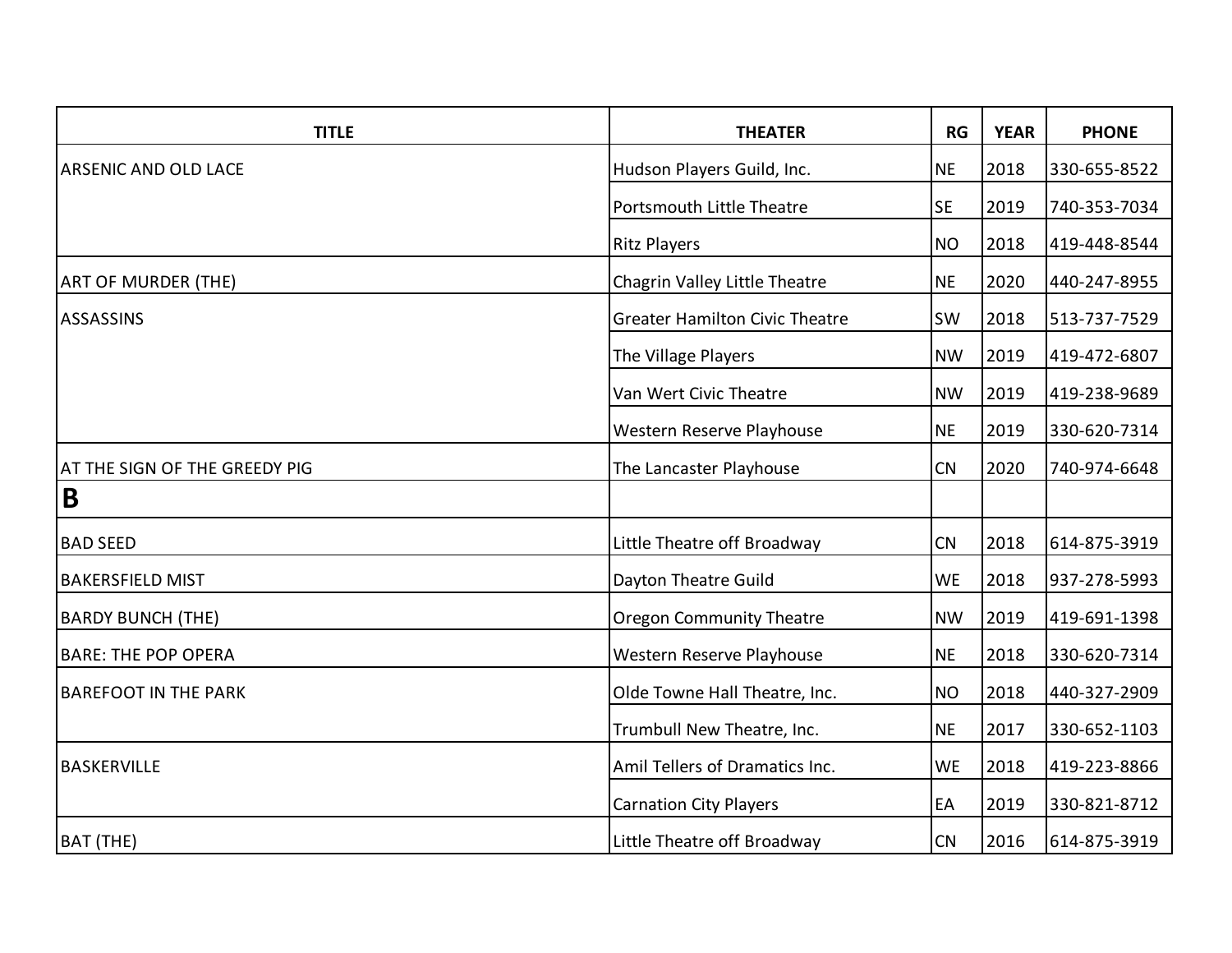| <b>TITLE</b>                  | <b>THEATER</b>                        | RG        | <b>YEAR</b> | <b>PHONE</b> |
|-------------------------------|---------------------------------------|-----------|-------------|--------------|
| <b>ARSENIC AND OLD LACE</b>   | Hudson Players Guild, Inc.            | <b>NE</b> | 2018        | 330-655-8522 |
|                               | Portsmouth Little Theatre             | <b>SE</b> | 2019        | 740-353-7034 |
|                               | <b>Ritz Players</b>                   | <b>NO</b> | 2018        | 419-448-8544 |
| <b>ART OF MURDER (THE)</b>    | Chagrin Valley Little Theatre         | <b>NE</b> | 2020        | 440-247-8955 |
| <b>ASSASSINS</b>              | <b>Greater Hamilton Civic Theatre</b> | <b>SW</b> | 2018        | 513-737-7529 |
|                               | The Village Players                   | <b>NW</b> | 2019        | 419-472-6807 |
|                               | Van Wert Civic Theatre                | <b>NW</b> | 2019        | 419-238-9689 |
|                               | Western Reserve Playhouse             | <b>NE</b> | 2019        | 330-620-7314 |
| AT THE SIGN OF THE GREEDY PIG | The Lancaster Playhouse               | CN        | 2020        | 740-974-6648 |
| B                             |                                       |           |             |              |
| <b>BAD SEED</b>               | Little Theatre off Broadway           | CN        | 2018        | 614-875-3919 |
| <b>BAKERSFIELD MIST</b>       | Dayton Theatre Guild                  | <b>WE</b> | 2018        | 937-278-5993 |
| <b>BARDY BUNCH (THE)</b>      | <b>Oregon Community Theatre</b>       | <b>NW</b> | 2019        | 419-691-1398 |
| <b>BARE: THE POP OPERA</b>    | Western Reserve Playhouse             | <b>NE</b> | 2018        | 330-620-7314 |
| <b>BAREFOOT IN THE PARK</b>   | Olde Towne Hall Theatre, Inc.         | <b>NO</b> | 2018        | 440-327-2909 |
|                               | Trumbull New Theatre, Inc.            | <b>NE</b> | 2017        | 330-652-1103 |
| <b>BASKERVILLE</b>            | Amil Tellers of Dramatics Inc.        | <b>WE</b> | 2018        | 419-223-8866 |
|                               | <b>Carnation City Players</b>         | EA        | 2019        | 330-821-8712 |
| <b>BAT (THE)</b>              | Little Theatre off Broadway           | CN        | 2016        | 614-875-3919 |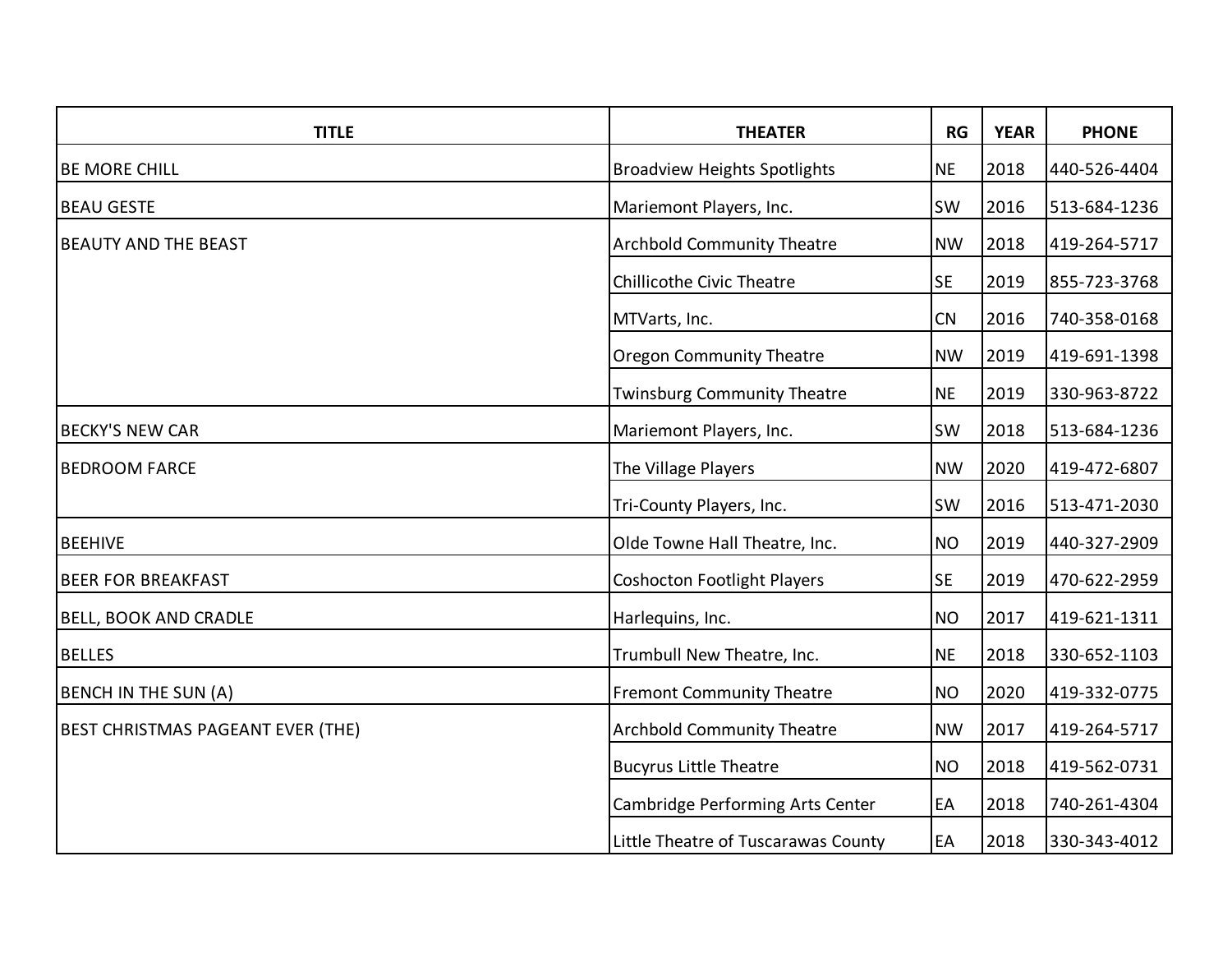| <b>TITLE</b>                             | <b>THEATER</b>                      | RG        | <b>YEAR</b> | <b>PHONE</b> |
|------------------------------------------|-------------------------------------|-----------|-------------|--------------|
| <b>BE MORE CHILL</b>                     | <b>Broadview Heights Spotlights</b> | <b>NE</b> | 2018        | 440-526-4404 |
| <b>BEAU GESTE</b>                        | Mariemont Players, Inc.             | <b>SW</b> | 2016        | 513-684-1236 |
| <b>BEAUTY AND THE BEAST</b>              | <b>Archbold Community Theatre</b>   | <b>NW</b> | 2018        | 419-264-5717 |
|                                          | <b>Chillicothe Civic Theatre</b>    | <b>SE</b> | 2019        | 855-723-3768 |
|                                          | MTVarts, Inc.                       | CN        | 2016        | 740-358-0168 |
|                                          | <b>Oregon Community Theatre</b>     | <b>NW</b> | 2019        | 419-691-1398 |
|                                          | <b>Twinsburg Community Theatre</b>  | <b>NE</b> | 2019        | 330-963-8722 |
| <b>BECKY'S NEW CAR</b>                   | Mariemont Players, Inc.             | <b>SW</b> | 2018        | 513-684-1236 |
| <b>BEDROOM FARCE</b>                     | The Village Players                 | <b>NW</b> | 2020        | 419-472-6807 |
|                                          | Tri-County Players, Inc.            | SW        | 2016        | 513-471-2030 |
| <b>BEEHIVE</b>                           | Olde Towne Hall Theatre, Inc.       | <b>NO</b> | 2019        | 440-327-2909 |
| <b>BEER FOR BREAKFAST</b>                | <b>Coshocton Footlight Players</b>  | <b>SE</b> | 2019        | 470-622-2959 |
| <b>BELL, BOOK AND CRADLE</b>             | Harlequins, Inc.                    | <b>NO</b> | 2017        | 419-621-1311 |
| <b>BELLES</b>                            | Trumbull New Theatre, Inc.          | <b>NE</b> | 2018        | 330-652-1103 |
| <b>BENCH IN THE SUN (A)</b>              | <b>Fremont Community Theatre</b>    | <b>NO</b> | 2020        | 419-332-0775 |
| <b>BEST CHRISTMAS PAGEANT EVER (THE)</b> | <b>Archbold Community Theatre</b>   | <b>NW</b> | 2017        | 419-264-5717 |
|                                          | <b>Bucyrus Little Theatre</b>       | <b>NO</b> | 2018        | 419-562-0731 |
|                                          | Cambridge Performing Arts Center    | EA        | 2018        | 740-261-4304 |
|                                          | Little Theatre of Tuscarawas County | EA        | 2018        | 330-343-4012 |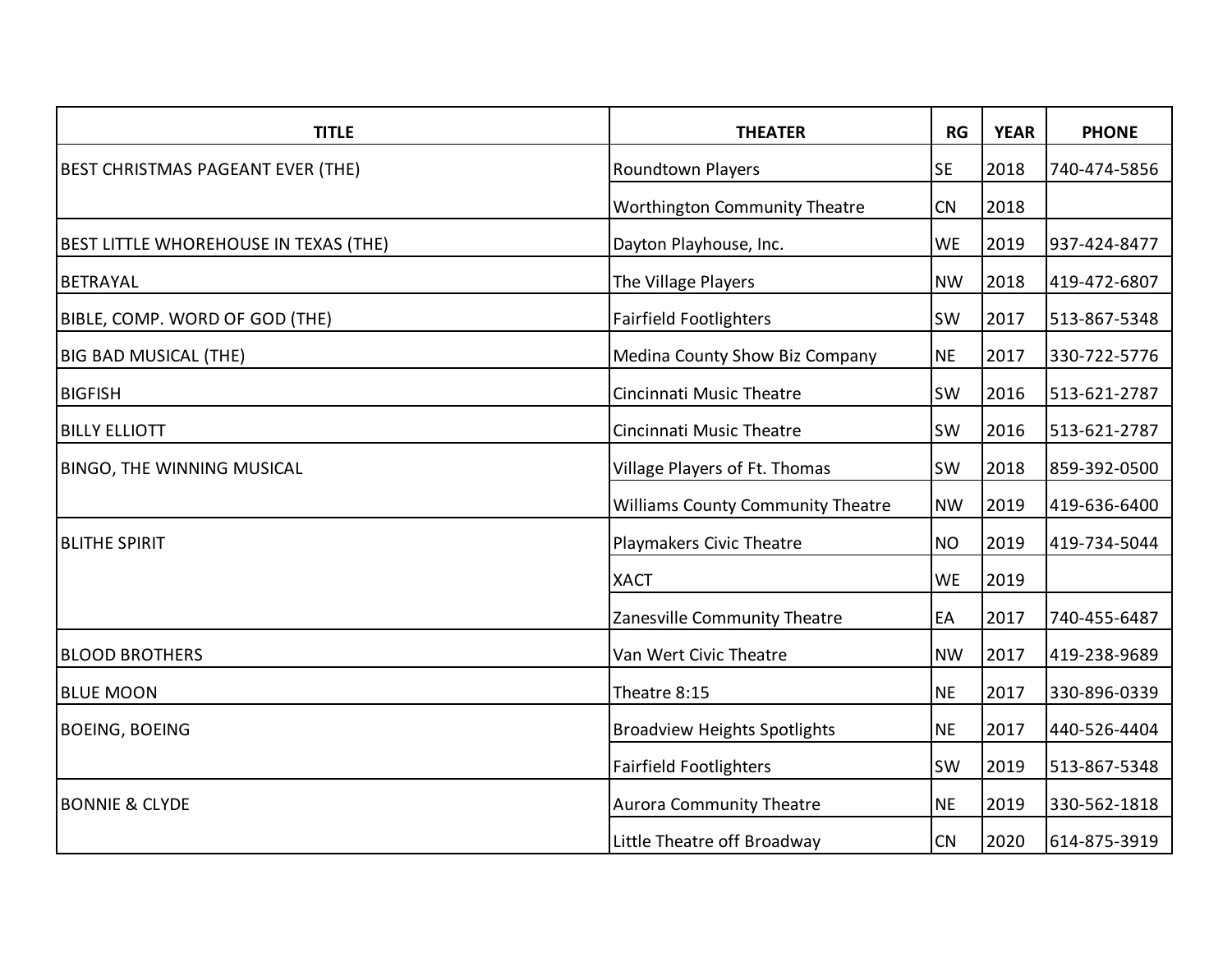| <b>TITLE</b>                                 | <b>THEATER</b>                           | RG        | <b>YEAR</b> | <b>PHONE</b> |
|----------------------------------------------|------------------------------------------|-----------|-------------|--------------|
| <b>BEST CHRISTMAS PAGEANT EVER (THE)</b>     | <b>Roundtown Players</b>                 | <b>SE</b> | 2018        | 740-474-5856 |
|                                              | <b>Worthington Community Theatre</b>     | CN        | 2018        |              |
| <b>BEST LITTLE WHOREHOUSE IN TEXAS (THE)</b> | Dayton Playhouse, Inc.                   | <b>WE</b> | 2019        | 937-424-8477 |
| <b>BETRAYAL</b>                              | The Village Players                      | <b>NW</b> | 2018        | 419-472-6807 |
| BIBLE, COMP. WORD OF GOD (THE)               | <b>Fairfield Footlighters</b>            | <b>SW</b> | 2017        | 513-867-5348 |
| <b>BIG BAD MUSICAL (THE)</b>                 | Medina County Show Biz Company           | <b>NE</b> | 2017        | 330-722-5776 |
| <b>BIGFISH</b>                               | Cincinnati Music Theatre                 | <b>SW</b> | 2016        | 513-621-2787 |
| <b>BILLY ELLIOTT</b>                         | Cincinnati Music Theatre                 | SW        | 2016        | 513-621-2787 |
| <b>BINGO, THE WINNING MUSICAL</b>            | Village Players of Ft. Thomas            | <b>SW</b> | 2018        | 859-392-0500 |
|                                              | <b>Williams County Community Theatre</b> | <b>NW</b> | 2019        | 419-636-6400 |
| <b>BLITHE SPIRIT</b>                         | Playmakers Civic Theatre                 | <b>NO</b> | 2019        | 419-734-5044 |
|                                              | <b>XACT</b>                              | <b>WE</b> | 2019        |              |
|                                              | Zanesville Community Theatre             | EA        | 2017        | 740-455-6487 |
| <b>BLOOD BROTHERS</b>                        | Van Wert Civic Theatre                   | <b>NW</b> | 2017        | 419-238-9689 |
| <b>BLUE MOON</b>                             | Theatre 8:15                             | <b>NE</b> | 2017        | 330-896-0339 |
| <b>BOEING, BOEING</b>                        | <b>Broadview Heights Spotlights</b>      | <b>NE</b> | 2017        | 440-526-4404 |
|                                              | <b>Fairfield Footlighters</b>            | <b>SW</b> | 2019        | 513-867-5348 |
| <b>BONNIE &amp; CLYDE</b>                    | <b>Aurora Community Theatre</b>          | <b>NE</b> | 2019        | 330-562-1818 |
|                                              | Little Theatre off Broadway              | CN        | 2020        | 614-875-3919 |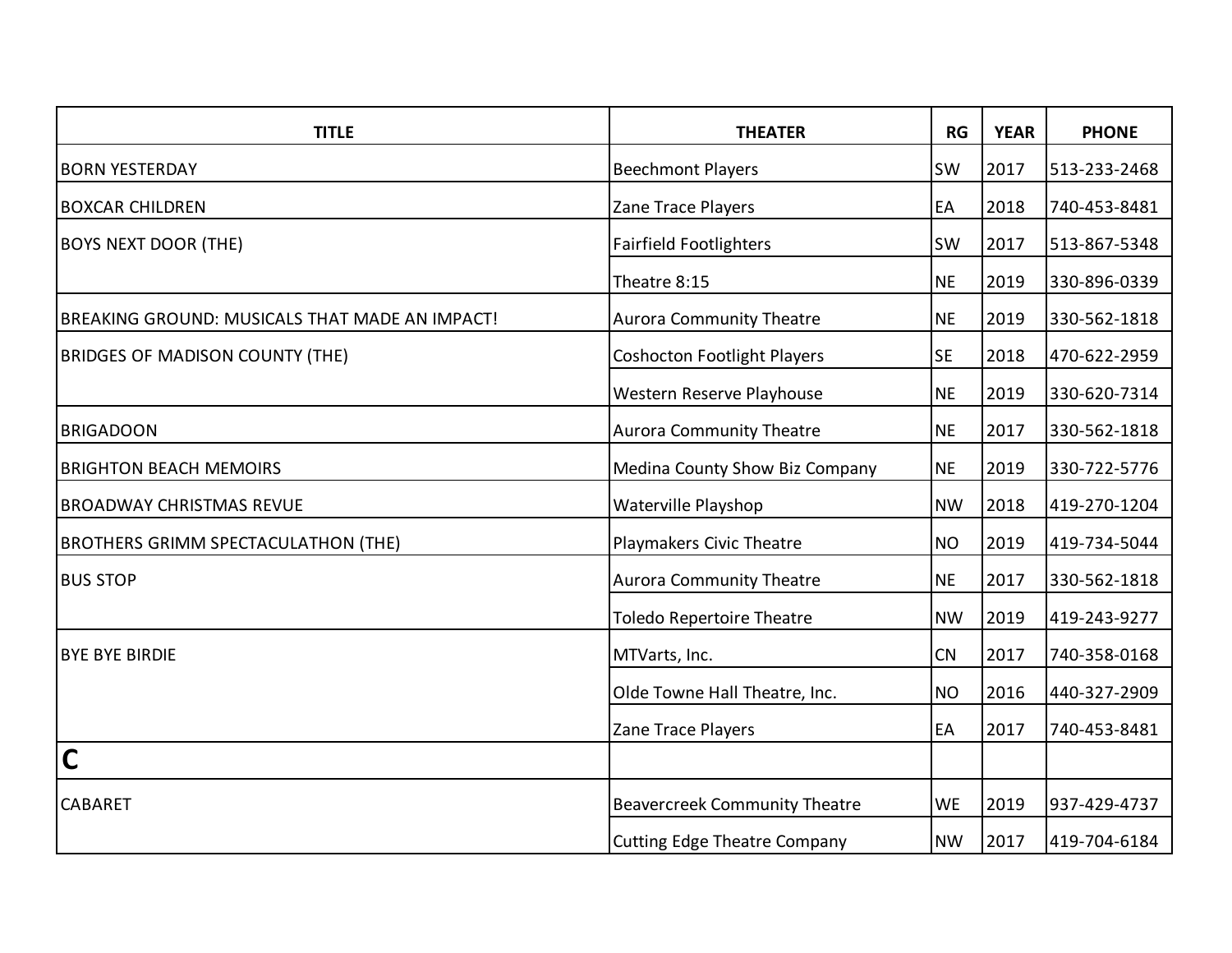| <b>TITLE</b>                                   | <b>THEATER</b>                       | RG        | <b>YEAR</b> | <b>PHONE</b> |
|------------------------------------------------|--------------------------------------|-----------|-------------|--------------|
| <b>BORN YESTERDAY</b>                          | <b>Beechmont Players</b>             | <b>SW</b> | 2017        | 513-233-2468 |
| <b>BOXCAR CHILDREN</b>                         | Zane Trace Players                   | EA        | 2018        | 740-453-8481 |
| <b>BOYS NEXT DOOR (THE)</b>                    | <b>Fairfield Footlighters</b>        | <b>SW</b> | 2017        | 513-867-5348 |
|                                                | Theatre 8:15                         | <b>NE</b> | 2019        | 330-896-0339 |
| BREAKING GROUND: MUSICALS THAT MADE AN IMPACT! | <b>Aurora Community Theatre</b>      | <b>NE</b> | 2019        | 330-562-1818 |
| <b>BRIDGES OF MADISON COUNTY (THE)</b>         | <b>Coshocton Footlight Players</b>   | <b>SE</b> | 2018        | 470-622-2959 |
|                                                | Western Reserve Playhouse            | <b>NE</b> | 2019        | 330-620-7314 |
| <b>BRIGADOON</b>                               | <b>Aurora Community Theatre</b>      | <b>NE</b> | 2017        | 330-562-1818 |
| <b>BRIGHTON BEACH MEMOIRS</b>                  | Medina County Show Biz Company       | <b>NE</b> | 2019        | 330-722-5776 |
| <b>BROADWAY CHRISTMAS REVUE</b>                | Waterville Playshop                  | <b>NW</b> | 2018        | 419-270-1204 |
| <b>BROTHERS GRIMM SPECTACULATHON (THE)</b>     | Playmakers Civic Theatre             | <b>NO</b> | 2019        | 419-734-5044 |
| <b>BUS STOP</b>                                | <b>Aurora Community Theatre</b>      | <b>NE</b> | 2017        | 330-562-1818 |
|                                                | <b>Toledo Repertoire Theatre</b>     | <b>NW</b> | 2019        | 419-243-9277 |
| <b>BYE BYE BIRDIE</b>                          | MTVarts, Inc.                        | CN        | 2017        | 740-358-0168 |
|                                                | Olde Towne Hall Theatre, Inc.        | <b>NO</b> | 2016        | 440-327-2909 |
|                                                | Zane Trace Players                   | EA        | 2017        | 740-453-8481 |
| $\overline{\mathsf{C}}$                        |                                      |           |             |              |
| <b>CABARET</b>                                 | <b>Beavercreek Community Theatre</b> | <b>WE</b> | 2019        | 937-429-4737 |
|                                                | <b>Cutting Edge Theatre Company</b>  | <b>NW</b> | 2017        | 419-704-6184 |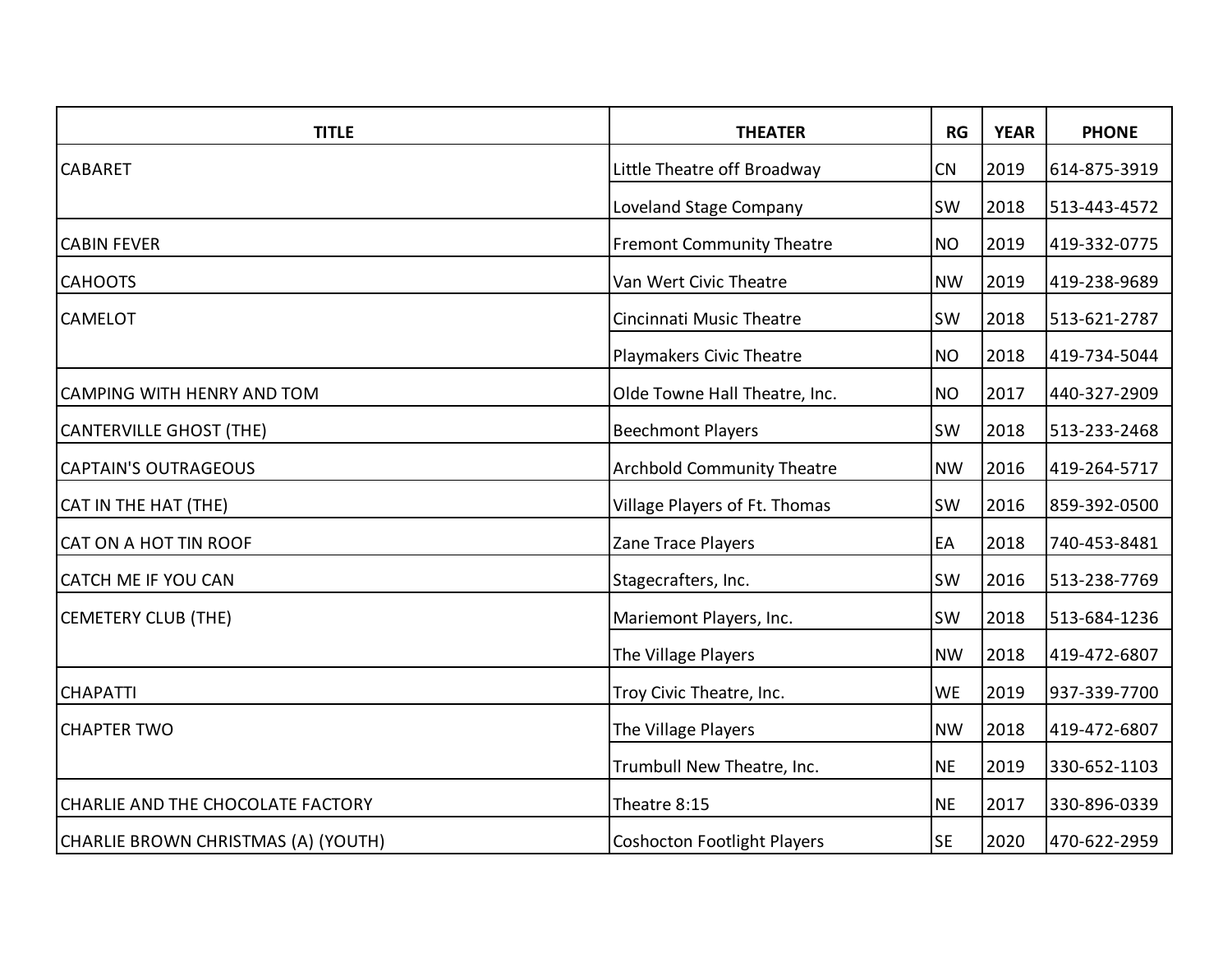| <b>TITLE</b>                        | <b>THEATER</b>                     | <b>RG</b> | <b>YEAR</b> | <b>PHONE</b> |
|-------------------------------------|------------------------------------|-----------|-------------|--------------|
| <b>CABARET</b>                      | Little Theatre off Broadway        | CN        | 2019        | 614-875-3919 |
|                                     | Loveland Stage Company             | SW        | 2018        | 513-443-4572 |
| <b>CABIN FEVER</b>                  | <b>Fremont Community Theatre</b>   | <b>NO</b> | 2019        | 419-332-0775 |
| <b>CAHOOTS</b>                      | Van Wert Civic Theatre             | <b>NW</b> | 2019        | 419-238-9689 |
| <b>CAMELOT</b>                      | Cincinnati Music Theatre           | SW        | 2018        | 513-621-2787 |
|                                     | Playmakers Civic Theatre           | <b>NO</b> | 2018        | 419-734-5044 |
| CAMPING WITH HENRY AND TOM          | Olde Towne Hall Theatre, Inc.      | <b>NO</b> | 2017        | 440-327-2909 |
| <b>CANTERVILLE GHOST (THE)</b>      | <b>Beechmont Players</b>           | SW        | 2018        | 513-233-2468 |
| <b>CAPTAIN'S OUTRAGEOUS</b>         | <b>Archbold Community Theatre</b>  | <b>NW</b> | 2016        | 419-264-5717 |
| CAT IN THE HAT (THE)                | Village Players of Ft. Thomas      | SW        | 2016        | 859-392-0500 |
| CAT ON A HOT TIN ROOF               | Zane Trace Players                 | EA        | 2018        | 740-453-8481 |
| CATCH ME IF YOU CAN                 | Stagecrafters, Inc.                | SW        | 2016        | 513-238-7769 |
| <b>CEMETERY CLUB (THE)</b>          | Mariemont Players, Inc.            | SW        | 2018        | 513-684-1236 |
|                                     | The Village Players                | <b>NW</b> | 2018        | 419-472-6807 |
| <b>CHAPATTI</b>                     | Troy Civic Theatre, Inc.           | <b>WE</b> | 2019        | 937-339-7700 |
| <b>CHAPTER TWO</b>                  | The Village Players                | <b>NW</b> | 2018        | 419-472-6807 |
|                                     | Trumbull New Theatre, Inc.         | <b>NE</b> | 2019        | 330-652-1103 |
| CHARLIE AND THE CHOCOLATE FACTORY   | Theatre 8:15                       | <b>NE</b> | 2017        | 330-896-0339 |
| CHARLIE BROWN CHRISTMAS (A) (YOUTH) | <b>Coshocton Footlight Players</b> | <b>SE</b> | 2020        | 470-622-2959 |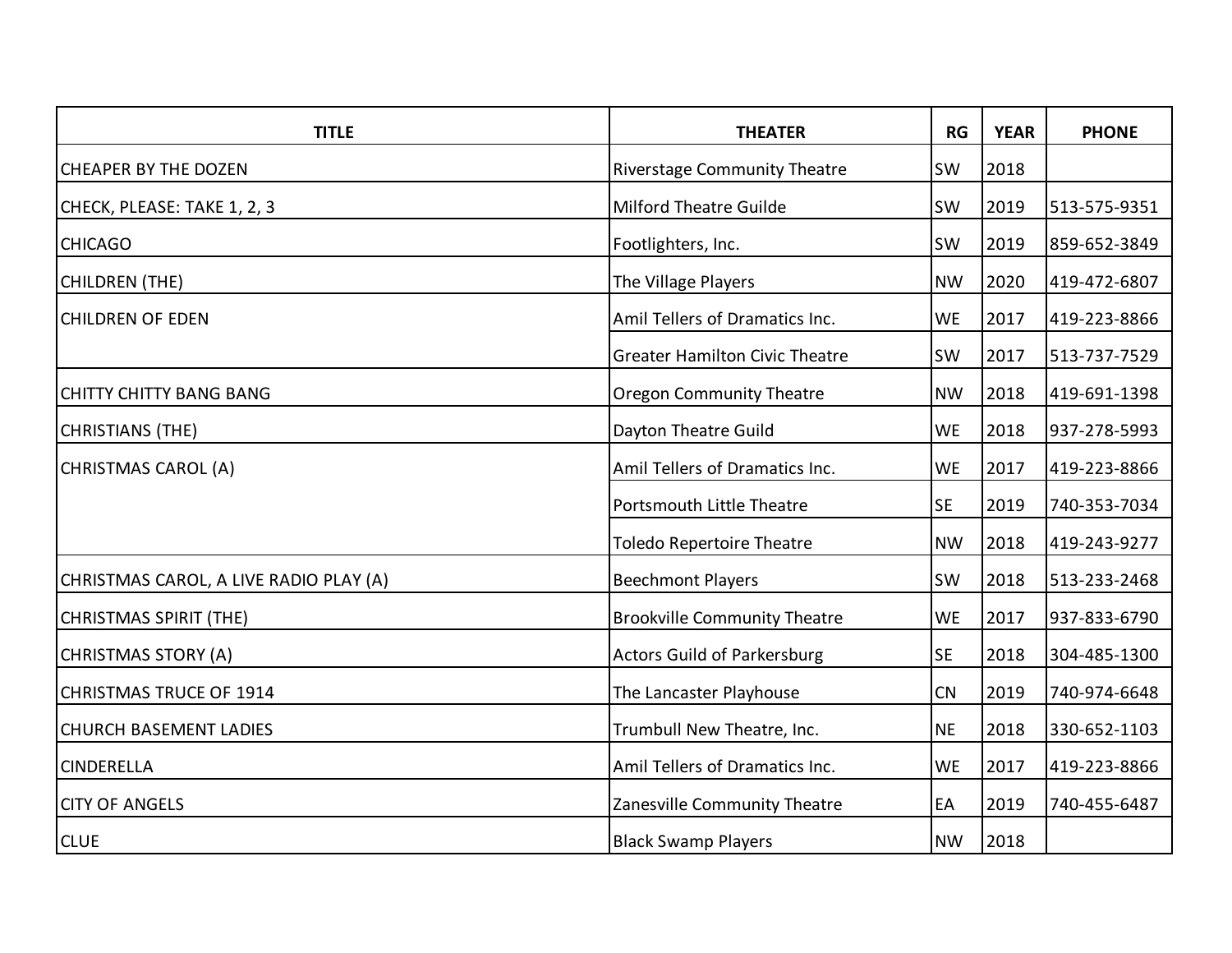| <b>TITLE</b>                           | <b>THEATER</b>                        | RG        | <b>YEAR</b> | <b>PHONE</b> |
|----------------------------------------|---------------------------------------|-----------|-------------|--------------|
| <b>CHEAPER BY THE DOZEN</b>            | <b>Riverstage Community Theatre</b>   | <b>SW</b> | 2018        |              |
| CHECK, PLEASE: TAKE 1, 2, 3            | Milford Theatre Guilde                | <b>SW</b> | 2019        | 513-575-9351 |
| <b>CHICAGO</b>                         | Footlighters, Inc.                    | <b>SW</b> | 2019        | 859-652-3849 |
| <b>CHILDREN (THE)</b>                  | The Village Players                   | <b>NW</b> | 2020        | 419-472-6807 |
| <b>CHILDREN OF EDEN</b>                | Amil Tellers of Dramatics Inc.        | <b>WE</b> | 2017        | 419-223-8866 |
|                                        | <b>Greater Hamilton Civic Theatre</b> | <b>SW</b> | 2017        | 513-737-7529 |
| <b>CHITTY CHITTY BANG BANG</b>         | <b>Oregon Community Theatre</b>       | <b>NW</b> | 2018        | 419-691-1398 |
| <b>CHRISTIANS (THE)</b>                | Dayton Theatre Guild                  | <b>WE</b> | 2018        | 937-278-5993 |
| CHRISTMAS CAROL (A)                    | Amil Tellers of Dramatics Inc.        | <b>WE</b> | 2017        | 419-223-8866 |
|                                        | Portsmouth Little Theatre             | <b>SE</b> | 2019        | 740-353-7034 |
|                                        | <b>Toledo Repertoire Theatre</b>      | <b>NW</b> | 2018        | 419-243-9277 |
| CHRISTMAS CAROL, A LIVE RADIO PLAY (A) | <b>Beechmont Players</b>              | SW        | 2018        | 513-233-2468 |
| <b>CHRISTMAS SPIRIT (THE)</b>          | <b>Brookville Community Theatre</b>   | <b>WE</b> | 2017        | 937-833-6790 |
| CHRISTMAS STORY (A)                    | <b>Actors Guild of Parkersburg</b>    | <b>SE</b> | 2018        | 304-485-1300 |
| CHRISTMAS TRUCE OF 1914                | The Lancaster Playhouse               | CN        | 2019        | 740-974-6648 |
| <b>CHURCH BASEMENT LADIES</b>          | Trumbull New Theatre, Inc.            | <b>NE</b> | 2018        | 330-652-1103 |
| <b>CINDERELLA</b>                      | Amil Tellers of Dramatics Inc.        | <b>WE</b> | 2017        | 419-223-8866 |
| <b>CITY OF ANGELS</b>                  | Zanesville Community Theatre          | EA        | 2019        | 740-455-6487 |
| <b>CLUE</b>                            | <b>Black Swamp Players</b>            | <b>NW</b> | 2018        |              |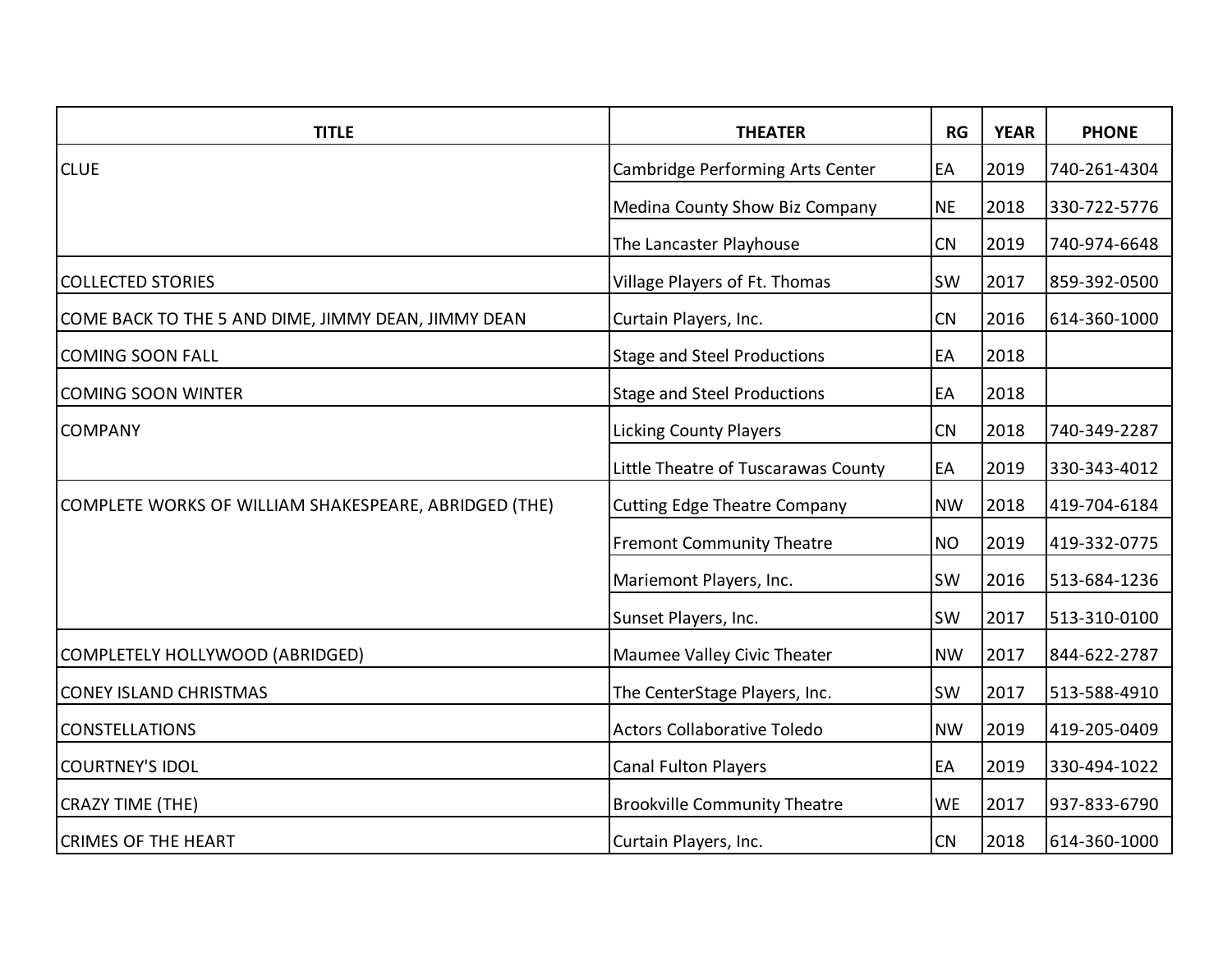| <b>TITLE</b>                                          | <b>THEATER</b>                      | RG        | <b>YEAR</b> | <b>PHONE</b> |
|-------------------------------------------------------|-------------------------------------|-----------|-------------|--------------|
| <b>CLUE</b>                                           | Cambridge Performing Arts Center    | EA        | 2019        | 740-261-4304 |
|                                                       | Medina County Show Biz Company      | <b>NE</b> | 2018        | 330-722-5776 |
|                                                       | The Lancaster Playhouse             | CN        | 2019        | 740-974-6648 |
| <b>COLLECTED STORIES</b>                              | Village Players of Ft. Thomas       | <b>SW</b> | 2017        | 859-392-0500 |
| COME BACK TO THE 5 AND DIME, JIMMY DEAN, JIMMY DEAN   | Curtain Players, Inc.               | CN        | 2016        | 614-360-1000 |
| <b>COMING SOON FALL</b>                               | <b>Stage and Steel Productions</b>  | EA        | 2018        |              |
| <b>COMING SOON WINTER</b>                             | <b>Stage and Steel Productions</b>  | EA        | 2018        |              |
| <b>COMPANY</b>                                        | <b>Licking County Players</b>       | CN        | 2018        | 740-349-2287 |
|                                                       | Little Theatre of Tuscarawas County | EA        | 2019        | 330-343-4012 |
| COMPLETE WORKS OF WILLIAM SHAKESPEARE, ABRIDGED (THE) | <b>Cutting Edge Theatre Company</b> | <b>NW</b> | 2018        | 419-704-6184 |
|                                                       | <b>Fremont Community Theatre</b>    | <b>NO</b> | 2019        | 419-332-0775 |
|                                                       | Mariemont Players, Inc.             | <b>SW</b> | 2016        | 513-684-1236 |
|                                                       | Sunset Players, Inc.                | <b>SW</b> | 2017        | 513-310-0100 |
| COMPLETELY HOLLYWOOD (ABRIDGED)                       | Maumee Valley Civic Theater         | <b>NW</b> | 2017        | 844-622-2787 |
| <b>CONEY ISLAND CHRISTMAS</b>                         | The CenterStage Players, Inc.       | <b>SW</b> | 2017        | 513-588-4910 |
| <b>CONSTELLATIONS</b>                                 | <b>Actors Collaborative Toledo</b>  | <b>NW</b> | 2019        | 419-205-0409 |
| <b>COURTNEY'S IDOL</b>                                | Canal Fulton Players                | EA        | 2019        | 330-494-1022 |
| <b>CRAZY TIME (THE)</b>                               | <b>Brookville Community Theatre</b> | <b>WE</b> | 2017        | 937-833-6790 |
| <b>CRIMES OF THE HEART</b>                            | Curtain Players, Inc.               | CN        | 2018        | 614-360-1000 |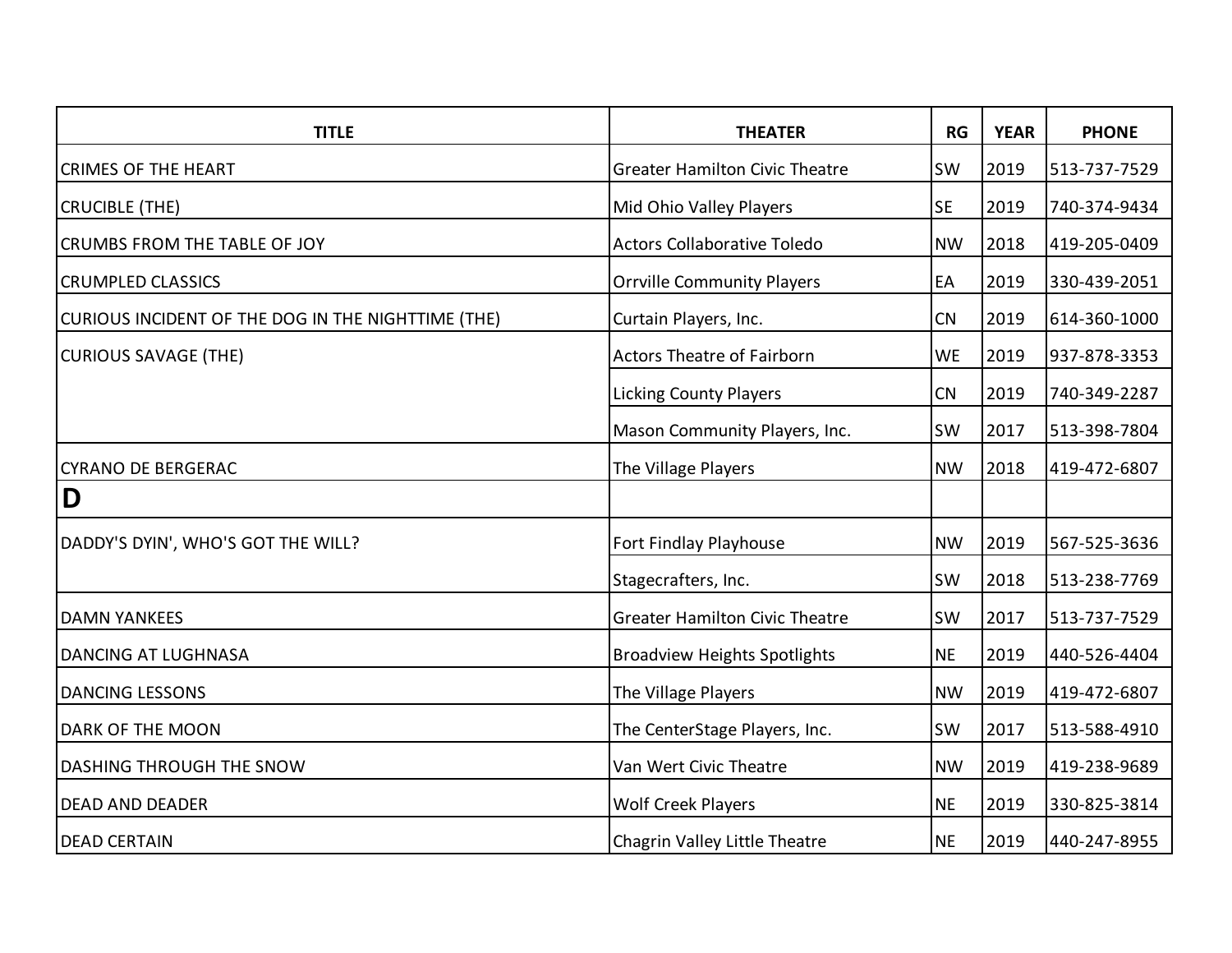| <b>TITLE</b>                                       | <b>THEATER</b>                        | RG        | <b>YEAR</b> | <b>PHONE</b> |
|----------------------------------------------------|---------------------------------------|-----------|-------------|--------------|
| <b>CRIMES OF THE HEART</b>                         | <b>Greater Hamilton Civic Theatre</b> | SW        | 2019        | 513-737-7529 |
| <b>CRUCIBLE (THE)</b>                              | Mid Ohio Valley Players               | <b>SE</b> | 2019        | 740-374-9434 |
| <b>CRUMBS FROM THE TABLE OF JOY</b>                | <b>Actors Collaborative Toledo</b>    | <b>NW</b> | 2018        | 419-205-0409 |
| <b>CRUMPLED CLASSICS</b>                           | <b>Orrville Community Players</b>     | EA        | 2019        | 330-439-2051 |
| CURIOUS INCIDENT OF THE DOG IN THE NIGHTTIME (THE) | Curtain Players, Inc.                 | CN        | 2019        | 614-360-1000 |
| <b>CURIOUS SAVAGE (THE)</b>                        | <b>Actors Theatre of Fairborn</b>     | <b>WE</b> | 2019        | 937-878-3353 |
|                                                    | <b>Licking County Players</b>         | CN        | 2019        | 740-349-2287 |
|                                                    | Mason Community Players, Inc.         | <b>SW</b> | 2017        | 513-398-7804 |
| <b>CYRANO DE BERGERAC</b>                          | The Village Players                   | <b>NW</b> | 2018        | 419-472-6807 |
| D                                                  |                                       |           |             |              |
| DADDY'S DYIN', WHO'S GOT THE WILL?                 | Fort Findlay Playhouse                | <b>NW</b> | 2019        | 567-525-3636 |
|                                                    | Stagecrafters, Inc.                   | <b>SW</b> | 2018        | 513-238-7769 |
| <b>DAMN YANKEES</b>                                | <b>Greater Hamilton Civic Theatre</b> | <b>SW</b> | 2017        | 513-737-7529 |
| DANCING AT LUGHNASA                                | <b>Broadview Heights Spotlights</b>   | <b>NE</b> | 2019        | 440-526-4404 |
| <b>DANCING LESSONS</b>                             | The Village Players                   | <b>NW</b> | 2019        | 419-472-6807 |
| DARK OF THE MOON                                   | The CenterStage Players, Inc.         | <b>SW</b> | 2017        | 513-588-4910 |
| DASHING THROUGH THE SNOW                           | Van Wert Civic Theatre                | <b>NW</b> | 2019        | 419-238-9689 |
| <b>DEAD AND DEADER</b>                             | <b>Wolf Creek Players</b>             | <b>NE</b> | 2019        | 330-825-3814 |
| <b>DEAD CERTAIN</b>                                | Chagrin Valley Little Theatre         | <b>NE</b> | 2019        | 440-247-8955 |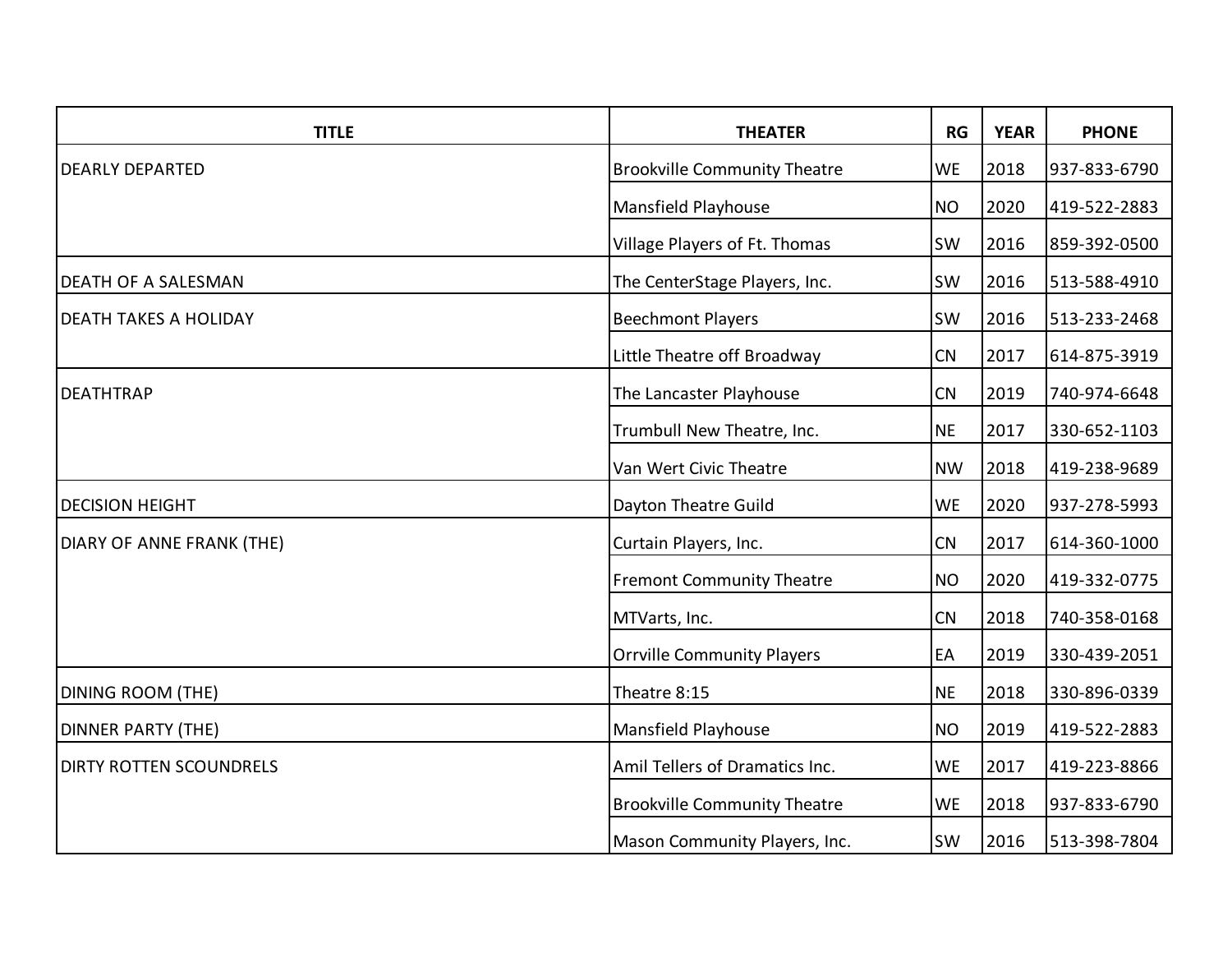| <b>TITLE</b>                   | <b>THEATER</b>                      | RG        | <b>YEAR</b> | <b>PHONE</b> |
|--------------------------------|-------------------------------------|-----------|-------------|--------------|
| <b>DEARLY DEPARTED</b>         | <b>Brookville Community Theatre</b> | <b>WE</b> | 2018        | 937-833-6790 |
|                                | Mansfield Playhouse                 | <b>NO</b> | 2020        | 419-522-2883 |
|                                | Village Players of Ft. Thomas       | <b>SW</b> | 2016        | 859-392-0500 |
| <b>DEATH OF A SALESMAN</b>     | The CenterStage Players, Inc.       | SW        | 2016        | 513-588-4910 |
| <b>DEATH TAKES A HOLIDAY</b>   | <b>Beechmont Players</b>            | <b>SW</b> | 2016        | 513-233-2468 |
|                                | Little Theatre off Broadway         | CN        | 2017        | 614-875-3919 |
| <b>DEATHTRAP</b>               | The Lancaster Playhouse             | CN        | 2019        | 740-974-6648 |
|                                | Trumbull New Theatre, Inc.          | <b>NE</b> | 2017        | 330-652-1103 |
|                                | Van Wert Civic Theatre              | <b>NW</b> | 2018        | 419-238-9689 |
| <b>DECISION HEIGHT</b>         | Dayton Theatre Guild                | <b>WE</b> | 2020        | 937-278-5993 |
| DIARY OF ANNE FRANK (THE)      | Curtain Players, Inc.               | CN        | 2017        | 614-360-1000 |
|                                | <b>Fremont Community Theatre</b>    | <b>NO</b> | 2020        | 419-332-0775 |
|                                | MTVarts, Inc.                       | CN        | 2018        | 740-358-0168 |
|                                | <b>Orrville Community Players</b>   | EA        | 2019        | 330-439-2051 |
| <b>DINING ROOM (THE)</b>       | Theatre 8:15                        | <b>NE</b> | 2018        | 330-896-0339 |
| <b>DINNER PARTY (THE)</b>      | Mansfield Playhouse                 | <b>NO</b> | 2019        | 419-522-2883 |
| <b>DIRTY ROTTEN SCOUNDRELS</b> | Amil Tellers of Dramatics Inc.      | <b>WE</b> | 2017        | 419-223-8866 |
|                                | <b>Brookville Community Theatre</b> | <b>WE</b> | 2018        | 937-833-6790 |
|                                | Mason Community Players, Inc.       | SW        | 2016        | 513-398-7804 |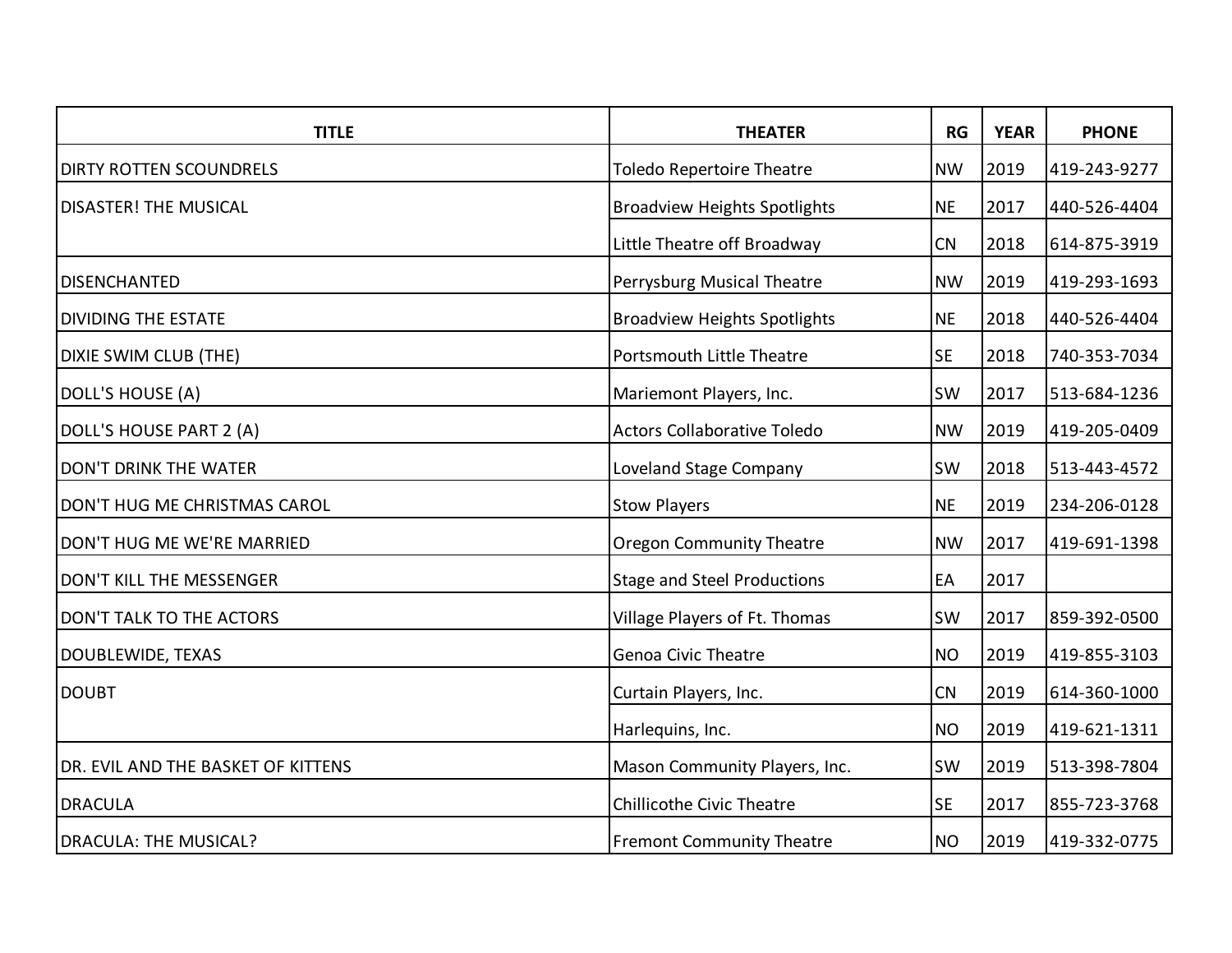| <b>TITLE</b>                       | <b>THEATER</b>                      | <b>RG</b> | <b>YEAR</b> | <b>PHONE</b> |
|------------------------------------|-------------------------------------|-----------|-------------|--------------|
| <b>DIRTY ROTTEN SCOUNDRELS</b>     | <b>Toledo Repertoire Theatre</b>    | <b>NW</b> | 2019        | 419-243-9277 |
| <b>DISASTER! THE MUSICAL</b>       | <b>Broadview Heights Spotlights</b> | <b>NE</b> | 2017        | 440-526-4404 |
|                                    | Little Theatre off Broadway         | CN        | 2018        | 614-875-3919 |
| <b>DISENCHANTED</b>                | Perrysburg Musical Theatre          | <b>NW</b> | 2019        | 419-293-1693 |
| <b>DIVIDING THE ESTATE</b>         | <b>Broadview Heights Spotlights</b> | <b>NE</b> | 2018        | 440-526-4404 |
| DIXIE SWIM CLUB (THE)              | Portsmouth Little Theatre           | <b>SE</b> | 2018        | 740-353-7034 |
| DOLL'S HOUSE (A)                   | Mariemont Players, Inc.             | SW        | 2017        | 513-684-1236 |
| DOLL'S HOUSE PART 2 (A)            | <b>Actors Collaborative Toledo</b>  | <b>NW</b> | 2019        | 419-205-0409 |
| DON'T DRINK THE WATER              | Loveland Stage Company              | <b>SW</b> | 2018        | 513-443-4572 |
| DON'T HUG ME CHRISTMAS CAROL       | <b>Stow Players</b>                 | <b>NE</b> | 2019        | 234-206-0128 |
| DON'T HUG ME WE'RE MARRIED         | <b>Oregon Community Theatre</b>     | <b>NW</b> | 2017        | 419-691-1398 |
| DON'T KILL THE MESSENGER           | <b>Stage and Steel Productions</b>  | EA        | 2017        |              |
| DON'T TALK TO THE ACTORS           | Village Players of Ft. Thomas       | <b>SW</b> | 2017        | 859-392-0500 |
| <b>DOUBLEWIDE, TEXAS</b>           | <b>Genoa Civic Theatre</b>          | <b>NO</b> | 2019        | 419-855-3103 |
| <b>DOUBT</b>                       | Curtain Players, Inc.               | CN        | 2019        | 614-360-1000 |
|                                    | Harlequins, Inc.                    | <b>NO</b> | 2019        | 419-621-1311 |
| DR. EVIL AND THE BASKET OF KITTENS | Mason Community Players, Inc.       | SW        | 2019        | 513-398-7804 |
| <b>DRACULA</b>                     | <b>Chillicothe Civic Theatre</b>    | <b>SE</b> | 2017        | 855-723-3768 |
| <b>DRACULA: THE MUSICAL?</b>       | <b>Fremont Community Theatre</b>    | <b>NO</b> | 2019        | 419-332-0775 |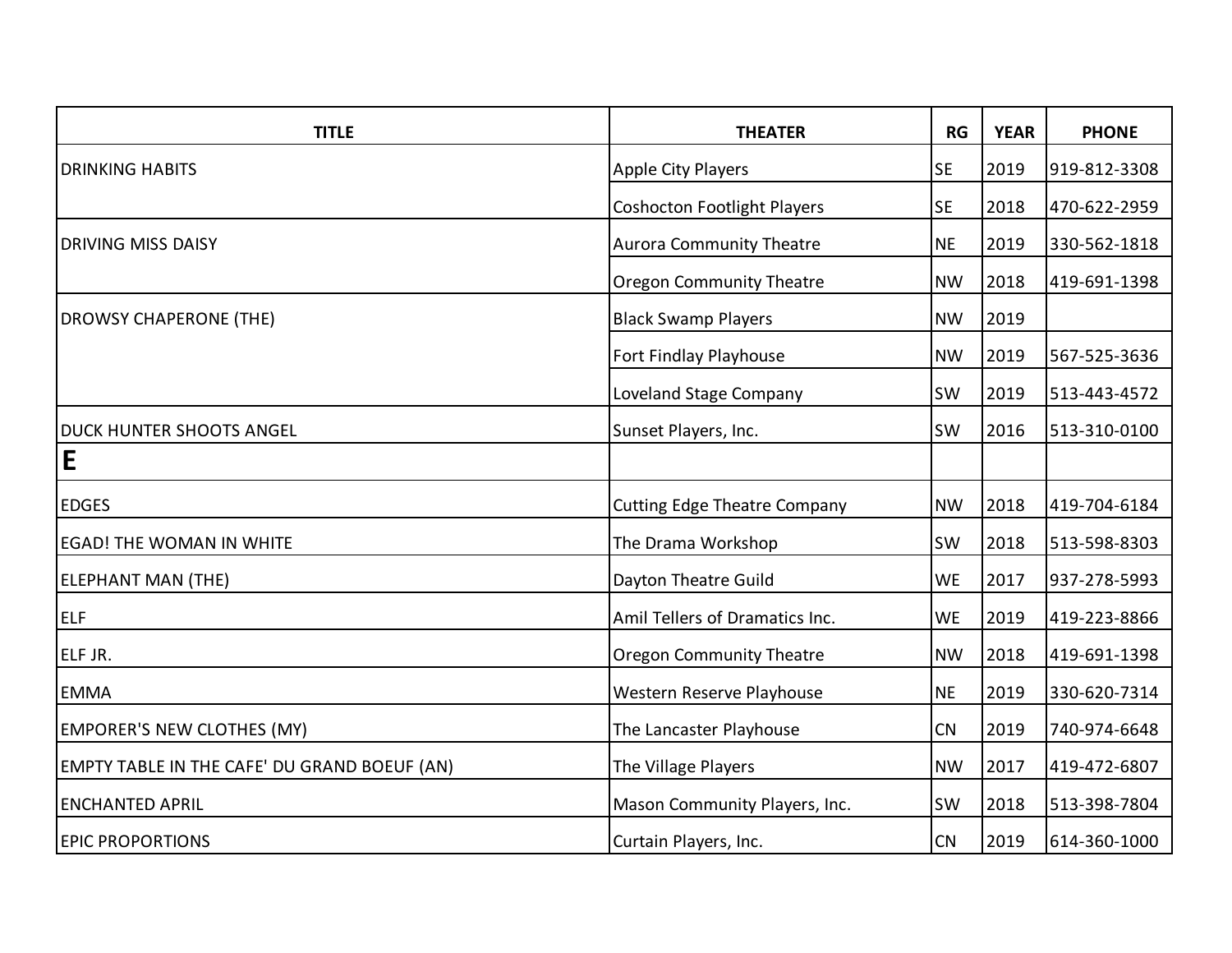| <b>TITLE</b>                                 | <b>THEATER</b>                      | <b>RG</b> | <b>YEAR</b> | <b>PHONE</b> |
|----------------------------------------------|-------------------------------------|-----------|-------------|--------------|
| <b>DRINKING HABITS</b>                       | Apple City Players                  | <b>SE</b> | 2019        | 919-812-3308 |
|                                              | <b>Coshocton Footlight Players</b>  | <b>SE</b> | 2018        | 470-622-2959 |
| <b>DRIVING MISS DAISY</b>                    | <b>Aurora Community Theatre</b>     | <b>NE</b> | 2019        | 330-562-1818 |
|                                              | <b>Oregon Community Theatre</b>     | <b>NW</b> | 2018        | 419-691-1398 |
| <b>DROWSY CHAPERONE (THE)</b>                | <b>Black Swamp Players</b>          | <b>NW</b> | 2019        |              |
|                                              | Fort Findlay Playhouse              | <b>NW</b> | 2019        | 567-525-3636 |
|                                              | Loveland Stage Company              | SW        | 2019        | 513-443-4572 |
| <b>DUCK HUNTER SHOOTS ANGEL</b>              | Sunset Players, Inc.                | SW        | 2016        | 513-310-0100 |
| E                                            |                                     |           |             |              |
| <b>EDGES</b>                                 | <b>Cutting Edge Theatre Company</b> | <b>NW</b> | 2018        | 419-704-6184 |
| <b>EGAD! THE WOMAN IN WHITE</b>              | The Drama Workshop                  | SW        | 2018        | 513-598-8303 |
| ELEPHANT MAN (THE)                           | Dayton Theatre Guild                | <b>WE</b> | 2017        | 937-278-5993 |
| <b>ELF</b>                                   | Amil Tellers of Dramatics Inc.      | <b>WE</b> | 2019        | 419-223-8866 |
| ELF JR.                                      | <b>Oregon Community Theatre</b>     | <b>NW</b> | 2018        | 419-691-1398 |
| <b>EMMA</b>                                  | Western Reserve Playhouse           | <b>NE</b> | 2019        | 330-620-7314 |
| <b>EMPORER'S NEW CLOTHES (MY)</b>            | The Lancaster Playhouse             | CN        | 2019        | 740-974-6648 |
| EMPTY TABLE IN THE CAFE' DU GRAND BOEUF (AN) | The Village Players                 | <b>NW</b> | 2017        | 419-472-6807 |
| <b>ENCHANTED APRIL</b>                       | Mason Community Players, Inc.       | <b>SW</b> | 2018        | 513-398-7804 |
| <b>EPIC PROPORTIONS</b>                      | Curtain Players, Inc.               | CN        | 2019        | 614-360-1000 |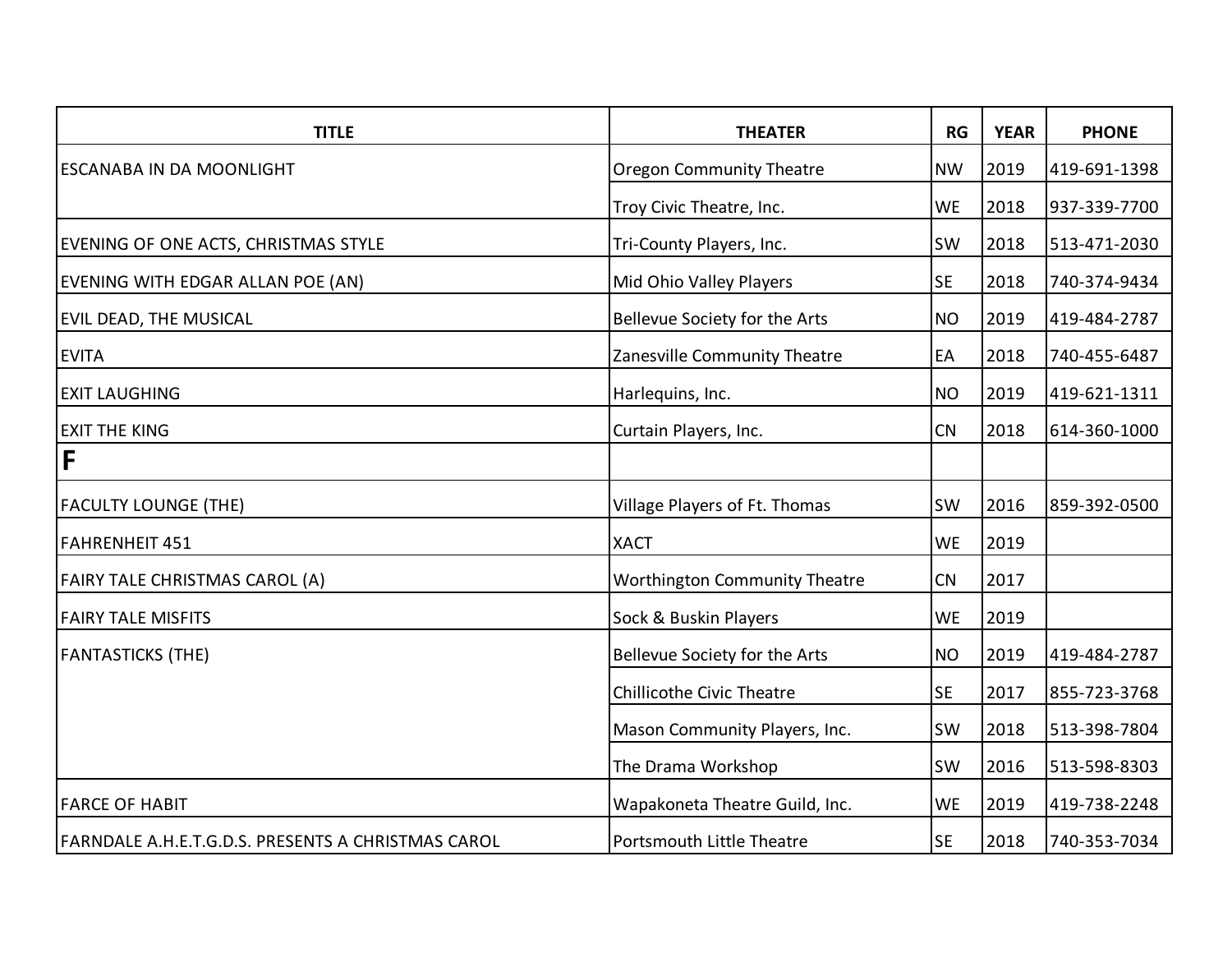| <b>TITLE</b>                                       | <b>THEATER</b>                       | RG        | <b>YEAR</b> | <b>PHONE</b> |
|----------------------------------------------------|--------------------------------------|-----------|-------------|--------------|
| <b>ESCANABA IN DA MOONLIGHT</b>                    | <b>Oregon Community Theatre</b>      | <b>NW</b> | 2019        | 419-691-1398 |
|                                                    | Troy Civic Theatre, Inc.             | <b>WE</b> | 2018        | 937-339-7700 |
| EVENING OF ONE ACTS, CHRISTMAS STYLE               | Tri-County Players, Inc.             | <b>SW</b> | 2018        | 513-471-2030 |
| EVENING WITH EDGAR ALLAN POE (AN)                  | Mid Ohio Valley Players              | <b>SE</b> | 2018        | 740-374-9434 |
| EVIL DEAD, THE MUSICAL                             | Bellevue Society for the Arts        | <b>NO</b> | 2019        | 419-484-2787 |
| <b>EVITA</b>                                       | Zanesville Community Theatre         | EA        | 2018        | 740-455-6487 |
| <b>EXIT LAUGHING</b>                               | Harlequins, Inc.                     | <b>NO</b> | 2019        | 419-621-1311 |
| <b>EXIT THE KING</b>                               | Curtain Players, Inc.                | <b>CN</b> | 2018        | 614-360-1000 |
| F                                                  |                                      |           |             |              |
| <b>FACULTY LOUNGE (THE)</b>                        | Village Players of Ft. Thomas        | <b>SW</b> | 2016        | 859-392-0500 |
| <b>FAHRENHEIT 451</b>                              | <b>XACT</b>                          | <b>WE</b> | 2019        |              |
| <b>FAIRY TALE CHRISTMAS CAROL (A)</b>              | <b>Worthington Community Theatre</b> | CN        | 2017        |              |
| <b>FAIRY TALE MISFITS</b>                          | Sock & Buskin Players                | <b>WE</b> | 2019        |              |
| <b>FANTASTICKS (THE)</b>                           | Bellevue Society for the Arts        | <b>NO</b> | 2019        | 419-484-2787 |
|                                                    | <b>Chillicothe Civic Theatre</b>     | <b>SE</b> | 2017        | 855-723-3768 |
|                                                    | Mason Community Players, Inc.        | <b>SW</b> | 2018        | 513-398-7804 |
|                                                    | The Drama Workshop                   | <b>SW</b> | 2016        | 513-598-8303 |
| <b>FARCE OF HABIT</b>                              | Wapakoneta Theatre Guild, Inc.       | <b>WE</b> | 2019        | 419-738-2248 |
| FARNDALE A.H.E.T.G.D.S. PRESENTS A CHRISTMAS CAROL | <b>Portsmouth Little Theatre</b>     | <b>SE</b> | 2018        | 740-353-7034 |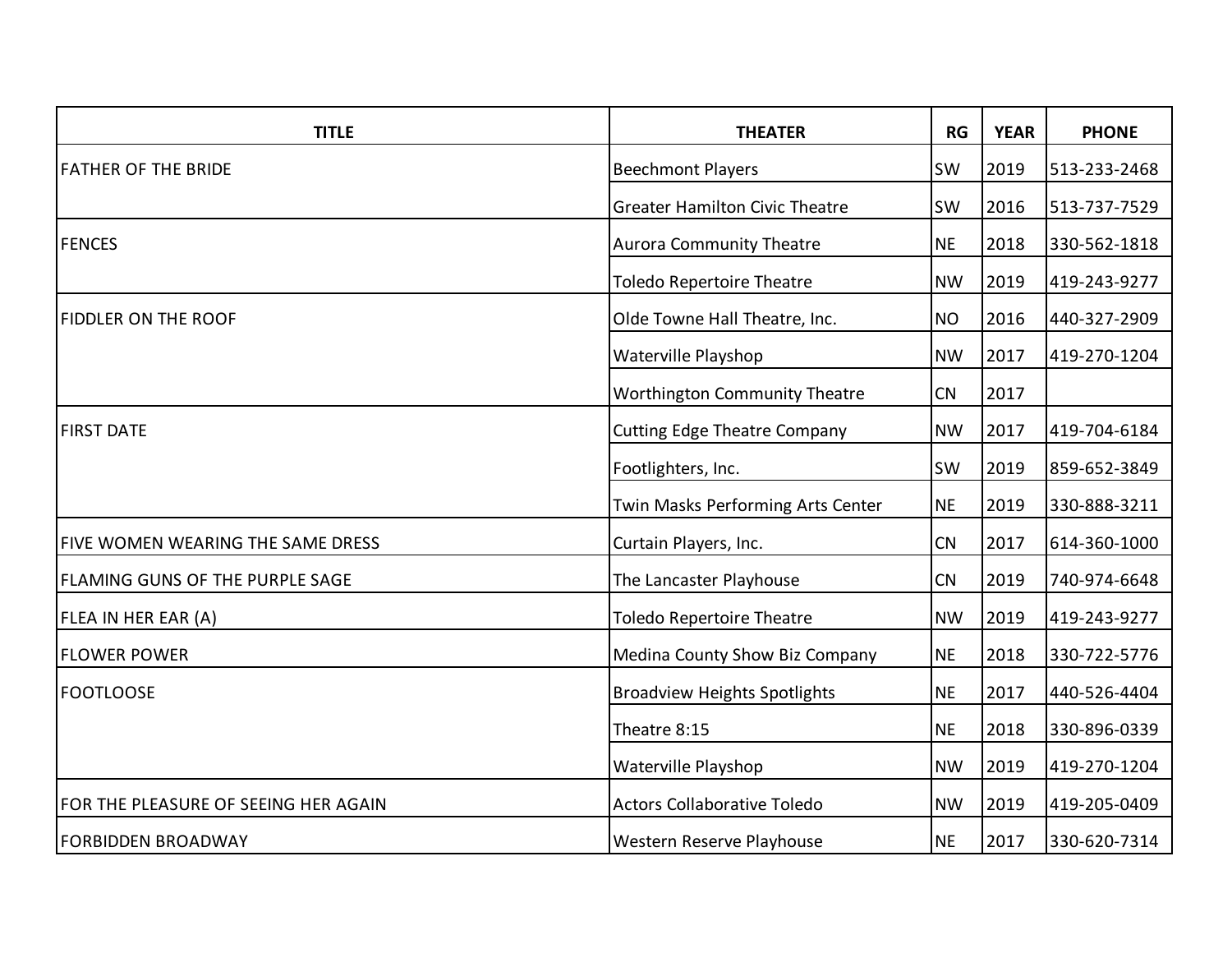| <b>TITLE</b>                           | <b>THEATER</b>                        | RG        | <b>YEAR</b> | <b>PHONE</b> |
|----------------------------------------|---------------------------------------|-----------|-------------|--------------|
| <b>FATHER OF THE BRIDE</b>             | <b>Beechmont Players</b>              | <b>SW</b> | 2019        | 513-233-2468 |
|                                        | <b>Greater Hamilton Civic Theatre</b> | SW        | 2016        | 513-737-7529 |
| <b>FENCES</b>                          | <b>Aurora Community Theatre</b>       | <b>NE</b> | 2018        | 330-562-1818 |
|                                        | <b>Toledo Repertoire Theatre</b>      | <b>NW</b> | 2019        | 419-243-9277 |
| <b>FIDDLER ON THE ROOF</b>             | Olde Towne Hall Theatre, Inc.         | <b>NO</b> | 2016        | 440-327-2909 |
|                                        | Waterville Playshop                   | <b>NW</b> | 2017        | 419-270-1204 |
|                                        | <b>Worthington Community Theatre</b>  | CN        | 2017        |              |
| <b>FIRST DATE</b>                      | <b>Cutting Edge Theatre Company</b>   | <b>NW</b> | 2017        | 419-704-6184 |
|                                        | Footlighters, Inc.                    | <b>SW</b> | 2019        | 859-652-3849 |
|                                        | Twin Masks Performing Arts Center     | <b>NE</b> | 2019        | 330-888-3211 |
| FIVE WOMEN WEARING THE SAME DRESS      | Curtain Players, Inc.                 | CN        | 2017        | 614-360-1000 |
| <b>FLAMING GUNS OF THE PURPLE SAGE</b> | The Lancaster Playhouse               | <b>CN</b> | 2019        | 740-974-6648 |
| FLEA IN HER EAR (A)                    | <b>Toledo Repertoire Theatre</b>      | <b>NW</b> | 2019        | 419-243-9277 |
| <b>FLOWER POWER</b>                    | Medina County Show Biz Company        | <b>NE</b> | 2018        | 330-722-5776 |
| <b>FOOTLOOSE</b>                       | <b>Broadview Heights Spotlights</b>   | <b>NE</b> | 2017        | 440-526-4404 |
|                                        | Theatre 8:15                          | <b>NE</b> | 2018        | 330-896-0339 |
|                                        | Waterville Playshop                   | <b>NW</b> | 2019        | 419-270-1204 |
| FOR THE PLEASURE OF SEEING HER AGAIN   | <b>Actors Collaborative Toledo</b>    | <b>NW</b> | 2019        | 419-205-0409 |
| <b>FORBIDDEN BROADWAY</b>              | Western Reserve Playhouse             | <b>NE</b> | 2017        | 330-620-7314 |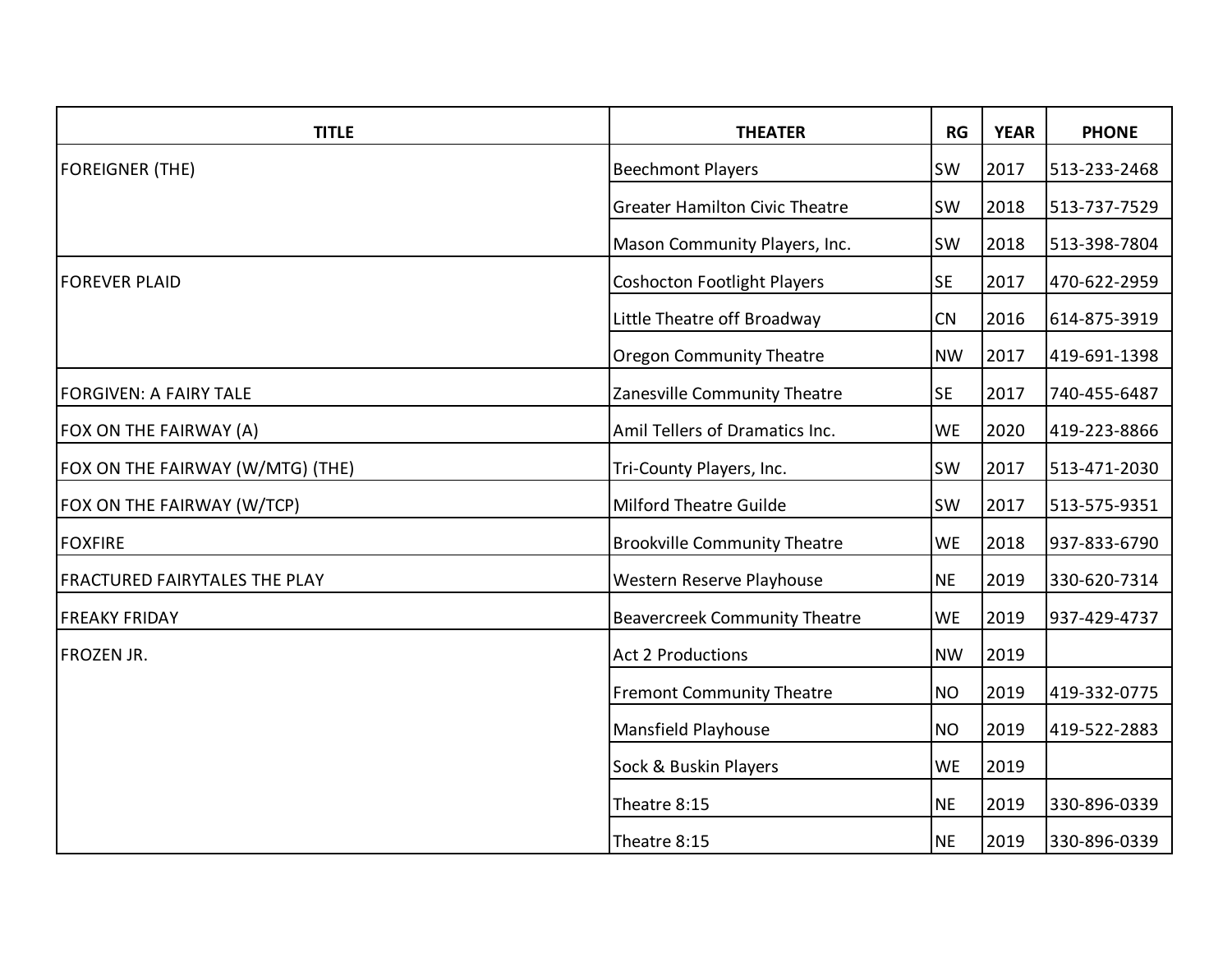| <b>TITLE</b>                         | <b>THEATER</b>                        | RG        | <b>YEAR</b> | <b>PHONE</b> |
|--------------------------------------|---------------------------------------|-----------|-------------|--------------|
| <b>FOREIGNER (THE)</b>               | <b>Beechmont Players</b>              | SW        | 2017        | 513-233-2468 |
|                                      | <b>Greater Hamilton Civic Theatre</b> | <b>SW</b> | 2018        | 513-737-7529 |
|                                      | Mason Community Players, Inc.         | <b>SW</b> | 2018        | 513-398-7804 |
| <b>FOREVER PLAID</b>                 | <b>Coshocton Footlight Players</b>    | <b>SE</b> | 2017        | 470-622-2959 |
|                                      | Little Theatre off Broadway           | <b>CN</b> | 2016        | 614-875-3919 |
|                                      | <b>Oregon Community Theatre</b>       | <b>NW</b> | 2017        | 419-691-1398 |
| <b>FORGIVEN: A FAIRY TALE</b>        | Zanesville Community Theatre          | <b>SE</b> | 2017        | 740-455-6487 |
| FOX ON THE FAIRWAY (A)               | Amil Tellers of Dramatics Inc.        | <b>WE</b> | 2020        | 419-223-8866 |
| FOX ON THE FAIRWAY (W/MTG) (THE)     | Tri-County Players, Inc.              | <b>SW</b> | 2017        | 513-471-2030 |
| FOX ON THE FAIRWAY (W/TCP)           | <b>Milford Theatre Guilde</b>         | <b>SW</b> | 2017        | 513-575-9351 |
| <b>FOXFIRE</b>                       | <b>Brookville Community Theatre</b>   | <b>WE</b> | 2018        | 937-833-6790 |
| <b>FRACTURED FAIRYTALES THE PLAY</b> | Western Reserve Playhouse             | <b>NE</b> | 2019        | 330-620-7314 |
| <b>FREAKY FRIDAY</b>                 | <b>Beavercreek Community Theatre</b>  | <b>WE</b> | 2019        | 937-429-4737 |
| <b>FROZEN JR.</b>                    | <b>Act 2 Productions</b>              | <b>NW</b> | 2019        |              |
|                                      | <b>Fremont Community Theatre</b>      | <b>NO</b> | 2019        | 419-332-0775 |
|                                      | Mansfield Playhouse                   | <b>NO</b> | 2019        | 419-522-2883 |
|                                      | Sock & Buskin Players                 | <b>WE</b> | 2019        |              |
|                                      | Theatre 8:15                          | <b>NE</b> | 2019        | 330-896-0339 |
|                                      | Theatre 8:15                          | <b>NE</b> | 2019        | 330-896-0339 |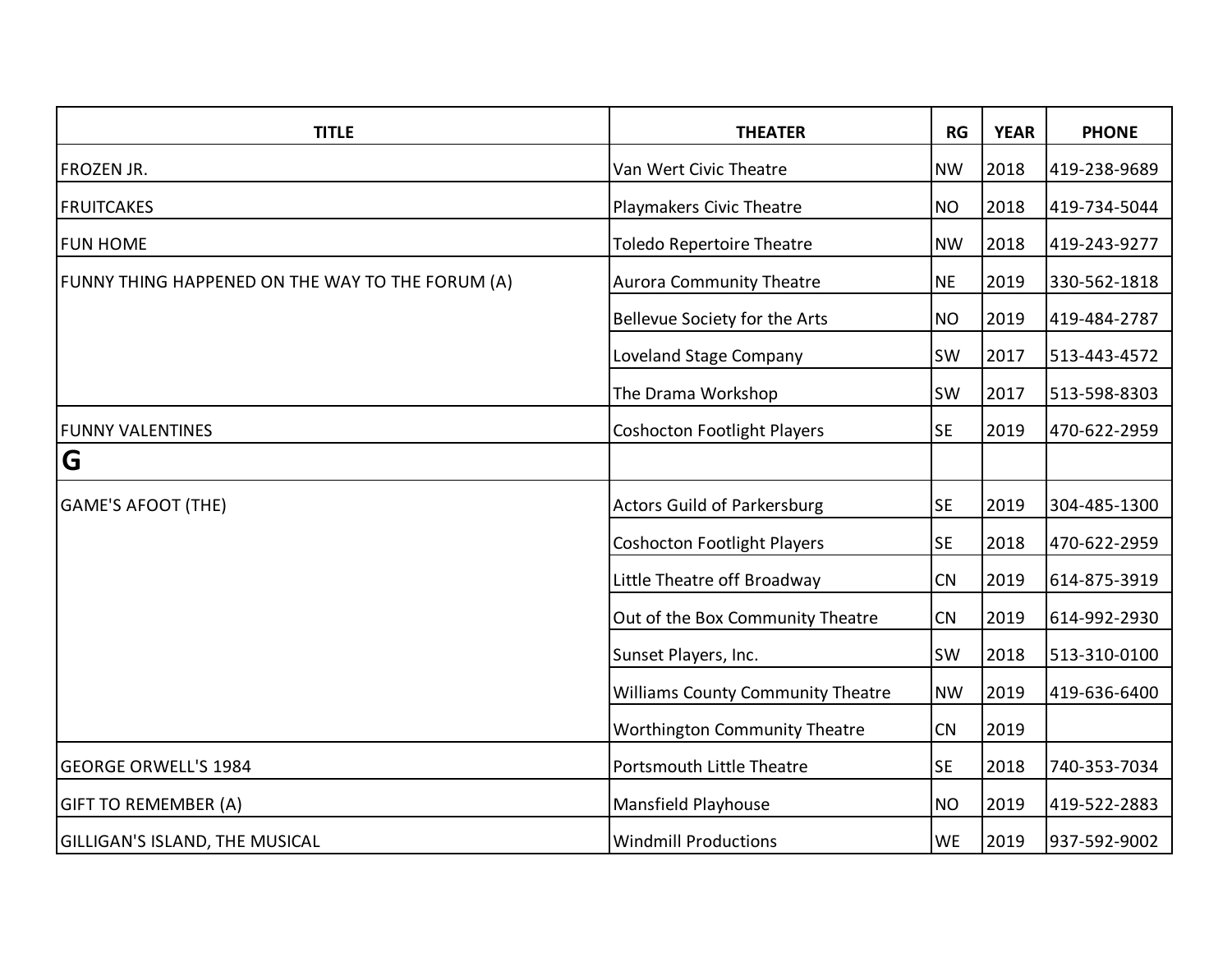| <b>TITLE</b>                                     | <b>THEATER</b>                           | RG        | <b>YEAR</b> | <b>PHONE</b> |
|--------------------------------------------------|------------------------------------------|-----------|-------------|--------------|
| <b>FROZEN JR.</b>                                | Van Wert Civic Theatre                   | <b>NW</b> | 2018        | 419-238-9689 |
| <b>FRUITCAKES</b>                                | Playmakers Civic Theatre                 | <b>NO</b> | 2018        | 419-734-5044 |
| <b>FUN HOME</b>                                  | <b>Toledo Repertoire Theatre</b>         | <b>NW</b> | 2018        | 419-243-9277 |
| FUNNY THING HAPPENED ON THE WAY TO THE FORUM (A) | <b>Aurora Community Theatre</b>          | <b>NE</b> | 2019        | 330-562-1818 |
|                                                  | Bellevue Society for the Arts            | <b>NO</b> | 2019        | 419-484-2787 |
|                                                  | Loveland Stage Company                   | <b>SW</b> | 2017        | 513-443-4572 |
|                                                  | The Drama Workshop                       | <b>SW</b> | 2017        | 513-598-8303 |
| <b>FUNNY VALENTINES</b>                          | <b>Coshocton Footlight Players</b>       | <b>SE</b> | 2019        | 470-622-2959 |
| G                                                |                                          |           |             |              |
| <b>GAME'S AFOOT (THE)</b>                        | <b>Actors Guild of Parkersburg</b>       | <b>SE</b> | 2019        | 304-485-1300 |
|                                                  | <b>Coshocton Footlight Players</b>       | <b>SE</b> | 2018        | 470-622-2959 |
|                                                  | Little Theatre off Broadway              | CN        | 2019        | 614-875-3919 |
|                                                  | Out of the Box Community Theatre         | CN        | 2019        | 614-992-2930 |
|                                                  | Sunset Players, Inc.                     | <b>SW</b> | 2018        | 513-310-0100 |
|                                                  | <b>Williams County Community Theatre</b> | <b>NW</b> | 2019        | 419-636-6400 |
|                                                  | <b>Worthington Community Theatre</b>     | CN        | 2019        |              |
| <b>GEORGE ORWELL'S 1984</b>                      | Portsmouth Little Theatre                | <b>SE</b> | 2018        | 740-353-7034 |
| <b>GIFT TO REMEMBER (A)</b>                      | Mansfield Playhouse                      | <b>NO</b> | 2019        | 419-522-2883 |
| <b>GILLIGAN'S ISLAND, THE MUSICAL</b>            | <b>Windmill Productions</b>              | <b>WE</b> | 2019        | 937-592-9002 |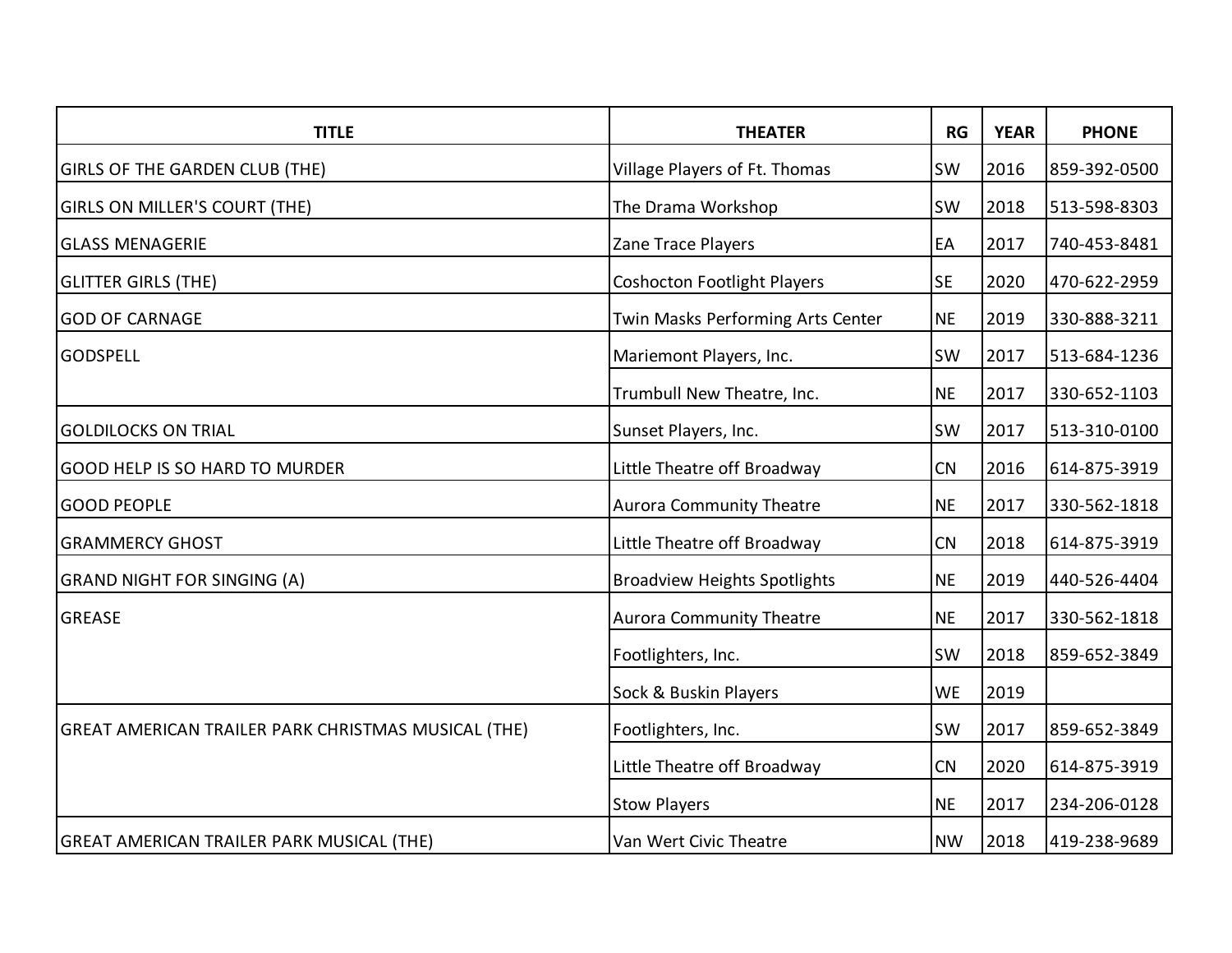| <b>TITLE</b>                                        | <b>THEATER</b>                      | RG        | <b>YEAR</b> | <b>PHONE</b> |
|-----------------------------------------------------|-------------------------------------|-----------|-------------|--------------|
| <b>GIRLS OF THE GARDEN CLUB (THE)</b>               | Village Players of Ft. Thomas       | SW        | 2016        | 859-392-0500 |
| <b>GIRLS ON MILLER'S COURT (THE)</b>                | The Drama Workshop                  | SW        | 2018        | 513-598-8303 |
| <b>GLASS MENAGERIE</b>                              | Zane Trace Players                  | EA        | 2017        | 740-453-8481 |
| <b>GLITTER GIRLS (THE)</b>                          | <b>Coshocton Footlight Players</b>  | <b>SE</b> | 2020        | 470-622-2959 |
| <b>GOD OF CARNAGE</b>                               | Twin Masks Performing Arts Center   | <b>NE</b> | 2019        | 330-888-3211 |
| <b>GODSPELL</b>                                     | Mariemont Players, Inc.             | SW        | 2017        | 513-684-1236 |
|                                                     | Trumbull New Theatre, Inc.          | <b>NE</b> | 2017        | 330-652-1103 |
| <b>GOLDILOCKS ON TRIAL</b>                          | Sunset Players, Inc.                | SW        | 2017        | 513-310-0100 |
| GOOD HELP IS SO HARD TO MURDER                      | Little Theatre off Broadway         | CN        | 2016        | 614-875-3919 |
| <b>GOOD PEOPLE</b>                                  | <b>Aurora Community Theatre</b>     | <b>NE</b> | 2017        | 330-562-1818 |
| <b>GRAMMERCY GHOST</b>                              | Little Theatre off Broadway         | <b>CN</b> | 2018        | 614-875-3919 |
| <b>GRAND NIGHT FOR SINGING (A)</b>                  | <b>Broadview Heights Spotlights</b> | <b>NE</b> | 2019        | 440-526-4404 |
| <b>GREASE</b>                                       | <b>Aurora Community Theatre</b>     | <b>NE</b> | 2017        | 330-562-1818 |
|                                                     | Footlighters, Inc.                  | SW        | 2018        | 859-652-3849 |
|                                                     | Sock & Buskin Players               | <b>WE</b> | 2019        |              |
| GREAT AMERICAN TRAILER PARK CHRISTMAS MUSICAL (THE) | Footlighters, Inc.                  | <b>SW</b> | 2017        | 859-652-3849 |
|                                                     | Little Theatre off Broadway         | CN        | 2020        | 614-875-3919 |
|                                                     | <b>Stow Players</b>                 | <b>NE</b> | 2017        | 234-206-0128 |
| <b>GREAT AMERICAN TRAILER PARK MUSICAL (THE)</b>    | Van Wert Civic Theatre              | <b>NW</b> | 2018        | 419-238-9689 |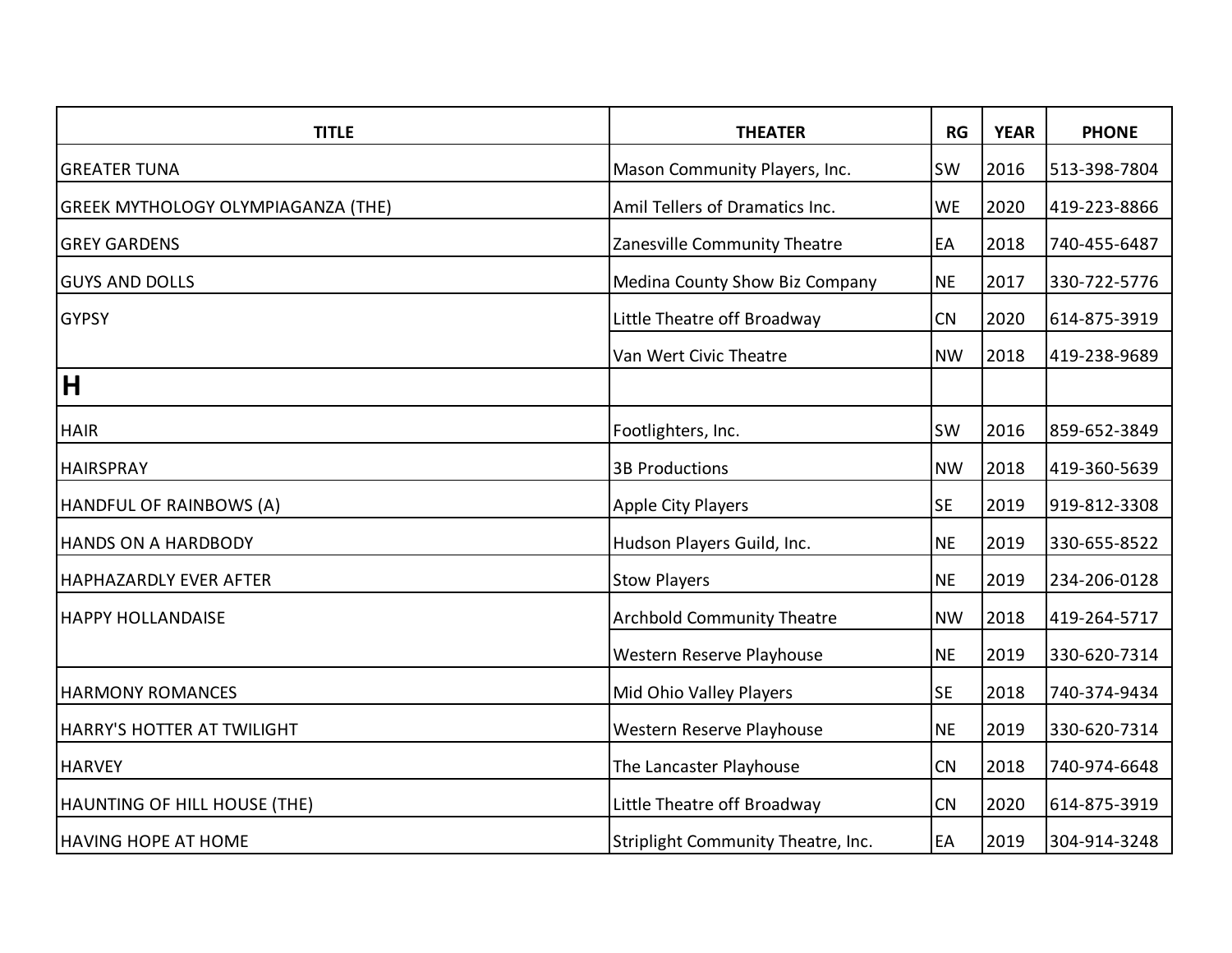| <b>TITLE</b>                              | <b>THEATER</b>                     | RG        | <b>YEAR</b> | <b>PHONE</b> |
|-------------------------------------------|------------------------------------|-----------|-------------|--------------|
| <b>GREATER TUNA</b>                       | Mason Community Players, Inc.      | <b>SW</b> | 2016        | 513-398-7804 |
| <b>GREEK MYTHOLOGY OLYMPIAGANZA (THE)</b> | Amil Tellers of Dramatics Inc.     | <b>WE</b> | 2020        | 419-223-8866 |
| <b>GREY GARDENS</b>                       | Zanesville Community Theatre       | EA        | 2018        | 740-455-6487 |
| <b>GUYS AND DOLLS</b>                     | Medina County Show Biz Company     | <b>NE</b> | 2017        | 330-722-5776 |
| <b>GYPSY</b>                              | Little Theatre off Broadway        | CN        | 2020        | 614-875-3919 |
|                                           | Van Wert Civic Theatre             | <b>NW</b> | 2018        | 419-238-9689 |
| H                                         |                                    |           |             |              |
| <b>HAIR</b>                               | Footlighters, Inc.                 | <b>SW</b> | 2016        | 859-652-3849 |
| <b>HAIRSPRAY</b>                          | <b>3B Productions</b>              | <b>NW</b> | 2018        | 419-360-5639 |
| HANDFUL OF RAINBOWS (A)                   | Apple City Players                 | <b>SE</b> | 2019        | 919-812-3308 |
| <b>HANDS ON A HARDBODY</b>                | Hudson Players Guild, Inc.         | <b>NE</b> | 2019        | 330-655-8522 |
| HAPHAZARDLY EVER AFTER                    | <b>Stow Players</b>                | <b>NE</b> | 2019        | 234-206-0128 |
| <b>HAPPY HOLLANDAISE</b>                  | <b>Archbold Community Theatre</b>  | <b>NW</b> | 2018        | 419-264-5717 |
|                                           | Western Reserve Playhouse          | <b>NE</b> | 2019        | 330-620-7314 |
| <b>HARMONY ROMANCES</b>                   | Mid Ohio Valley Players            | <b>SE</b> | 2018        | 740-374-9434 |
| HARRY'S HOTTER AT TWILIGHT                | Western Reserve Playhouse          | <b>NE</b> | 2019        | 330-620-7314 |
| <b>HARVEY</b>                             | The Lancaster Playhouse            | CN        | 2018        | 740-974-6648 |
| HAUNTING OF HILL HOUSE (THE)              | Little Theatre off Broadway        | CN        | 2020        | 614-875-3919 |
| <b>HAVING HOPE AT HOME</b>                | Striplight Community Theatre, Inc. | EA        | 2019        | 304-914-3248 |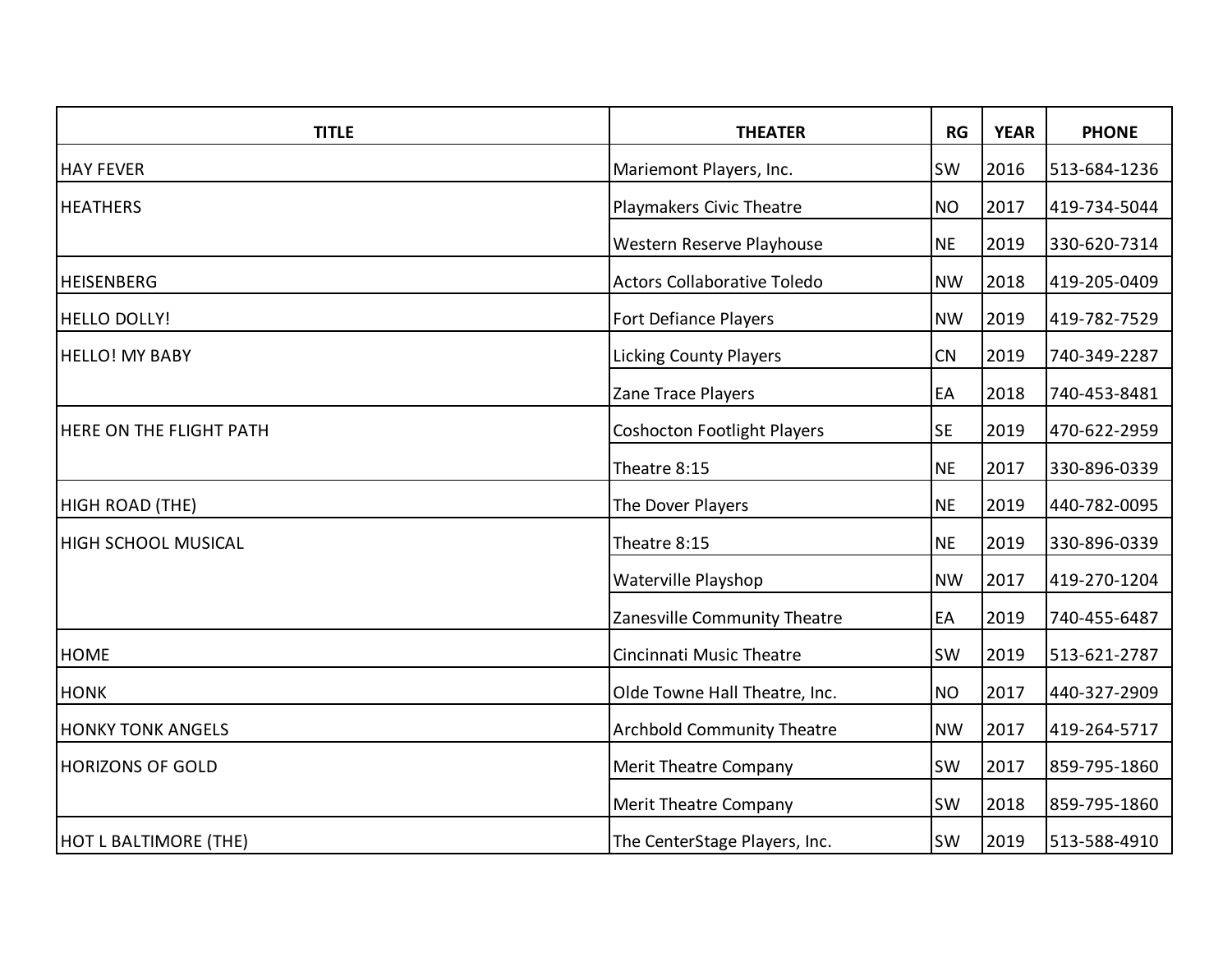| <b>TITLE</b>                   | <b>THEATER</b>                     | RG        | <b>YEAR</b> | <b>PHONE</b> |
|--------------------------------|------------------------------------|-----------|-------------|--------------|
| <b>HAY FEVER</b>               | Mariemont Players, Inc.            | <b>SW</b> | 2016        | 513-684-1236 |
| <b>HEATHERS</b>                | Playmakers Civic Theatre           | <b>NO</b> | 2017        | 419-734-5044 |
|                                | Western Reserve Playhouse          | <b>NE</b> | 2019        | 330-620-7314 |
| <b>HEISENBERG</b>              | <b>Actors Collaborative Toledo</b> | <b>NW</b> | 2018        | 419-205-0409 |
| <b>HELLO DOLLY!</b>            | <b>Fort Defiance Players</b>       | <b>NW</b> | 2019        | 419-782-7529 |
| <b>HELLO! MY BABY</b>          | <b>Licking County Players</b>      | CN        | 2019        | 740-349-2287 |
|                                | Zane Trace Players                 | EA        | 2018        | 740-453-8481 |
| <b>HERE ON THE FLIGHT PATH</b> | <b>Coshocton Footlight Players</b> | <b>SE</b> | 2019        | 470-622-2959 |
|                                | Theatre 8:15                       | <b>NE</b> | 2017        | 330-896-0339 |
| HIGH ROAD (THE)                | The Dover Players                  | <b>NE</b> | 2019        | 440-782-0095 |
| <b>HIGH SCHOOL MUSICAL</b>     | Theatre 8:15                       | <b>NE</b> | 2019        | 330-896-0339 |
|                                | Waterville Playshop                | <b>NW</b> | 2017        | 419-270-1204 |
|                                | Zanesville Community Theatre       | EA        | 2019        | 740-455-6487 |
| <b>HOME</b>                    | Cincinnati Music Theatre           | SW        | 2019        | 513-621-2787 |
| <b>HONK</b>                    | Olde Towne Hall Theatre, Inc.      | <b>NO</b> | 2017        | 440-327-2909 |
| <b>HONKY TONK ANGELS</b>       | <b>Archbold Community Theatre</b>  | <b>NW</b> | 2017        | 419-264-5717 |
| <b>HORIZONS OF GOLD</b>        | <b>Merit Theatre Company</b>       | <b>SW</b> | 2017        | 859-795-1860 |
|                                | <b>Merit Theatre Company</b>       | <b>SW</b> | 2018        | 859-795-1860 |
| <b>HOT L BALTIMORE (THE)</b>   | The CenterStage Players, Inc.      | SW        | 2019        | 513-588-4910 |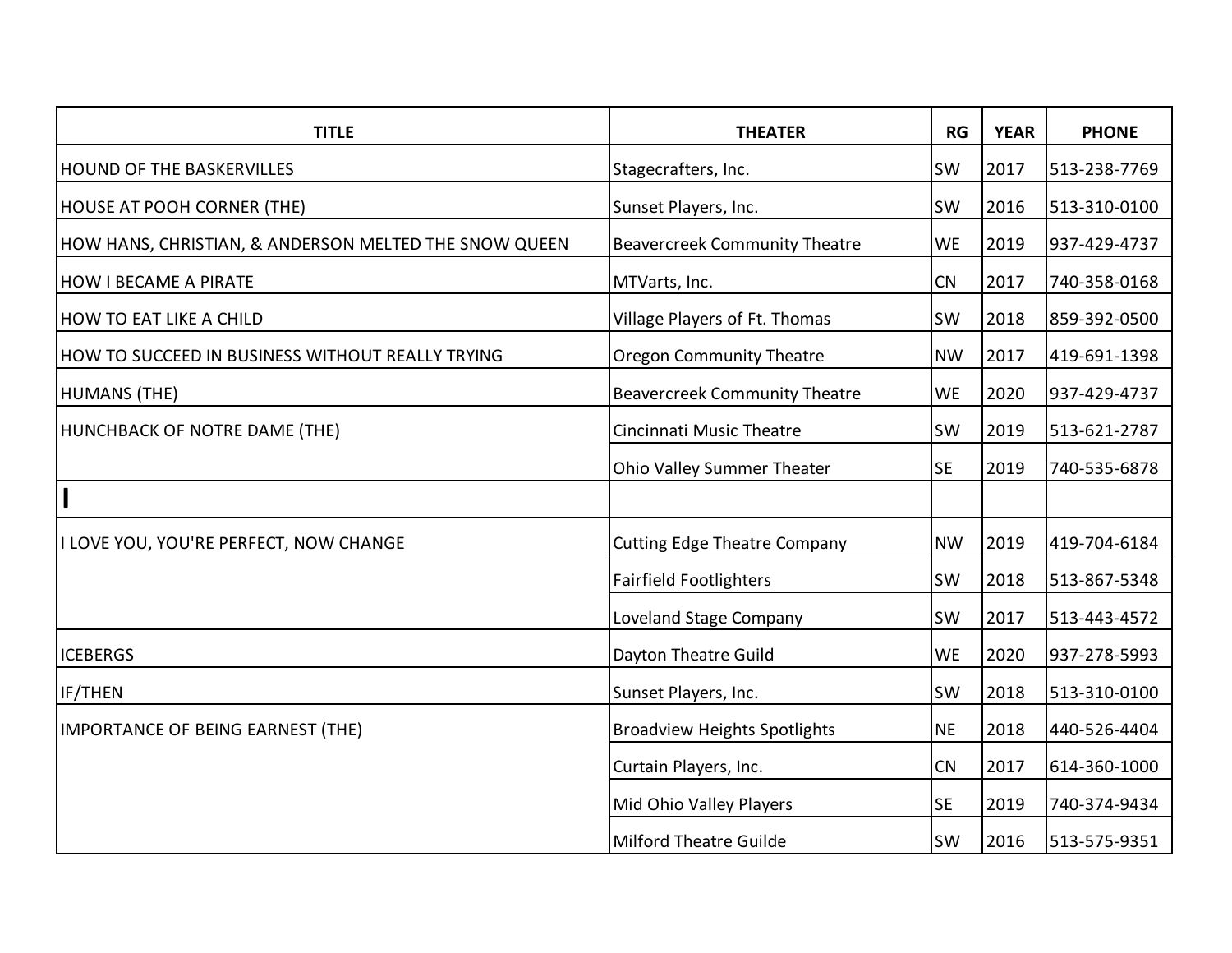| <b>TITLE</b>                                          | <b>THEATER</b>                       | RG        | <b>YEAR</b> | <b>PHONE</b> |
|-------------------------------------------------------|--------------------------------------|-----------|-------------|--------------|
| <b>HOUND OF THE BASKERVILLES</b>                      | Stagecrafters, Inc.                  | <b>SW</b> | 2017        | 513-238-7769 |
| <b>HOUSE AT POOH CORNER (THE)</b>                     | Sunset Players, Inc.                 | <b>SW</b> | 2016        | 513-310-0100 |
| HOW HANS, CHRISTIAN, & ANDERSON MELTED THE SNOW QUEEN | <b>Beavercreek Community Theatre</b> | <b>WE</b> | 2019        | 937-429-4737 |
| <b>HOW I BECAME A PIRATE</b>                          | MTVarts, Inc.                        | CN        | 2017        | 740-358-0168 |
| <b>HOW TO EAT LIKE A CHILD</b>                        | Village Players of Ft. Thomas        | <b>SW</b> | 2018        | 859-392-0500 |
| HOW TO SUCCEED IN BUSINESS WITHOUT REALLY TRYING      | <b>Oregon Community Theatre</b>      | <b>NW</b> | 2017        | 419-691-1398 |
| HUMANS (THE)                                          | <b>Beavercreek Community Theatre</b> | <b>WE</b> | 2020        | 937-429-4737 |
| HUNCHBACK OF NOTRE DAME (THE)                         | Cincinnati Music Theatre             | SW        | 2019        | 513-621-2787 |
|                                                       | Ohio Valley Summer Theater           | <b>SE</b> | 2019        | 740-535-6878 |
|                                                       |                                      |           |             |              |
| I LOVE YOU, YOU'RE PERFECT, NOW CHANGE                | <b>Cutting Edge Theatre Company</b>  | <b>NW</b> | 2019        | 419-704-6184 |
|                                                       | <b>Fairfield Footlighters</b>        | <b>SW</b> | 2018        | 513-867-5348 |
|                                                       | <b>Loveland Stage Company</b>        | <b>SW</b> | 2017        | 513-443-4572 |
| <b>ICEBERGS</b>                                       | Dayton Theatre Guild                 | <b>WE</b> | 2020        | 937-278-5993 |
| IF/THEN                                               | Sunset Players, Inc.                 | <b>SW</b> | 2018        | 513-310-0100 |
| IMPORTANCE OF BEING EARNEST (THE)                     | <b>Broadview Heights Spotlights</b>  | <b>NE</b> | 2018        | 440-526-4404 |
|                                                       | Curtain Players, Inc.                | CN        | 2017        | 614-360-1000 |
|                                                       | Mid Ohio Valley Players              | <b>SE</b> | 2019        | 740-374-9434 |
|                                                       | <b>Milford Theatre Guilde</b>        | SW        | 2016        | 513-575-9351 |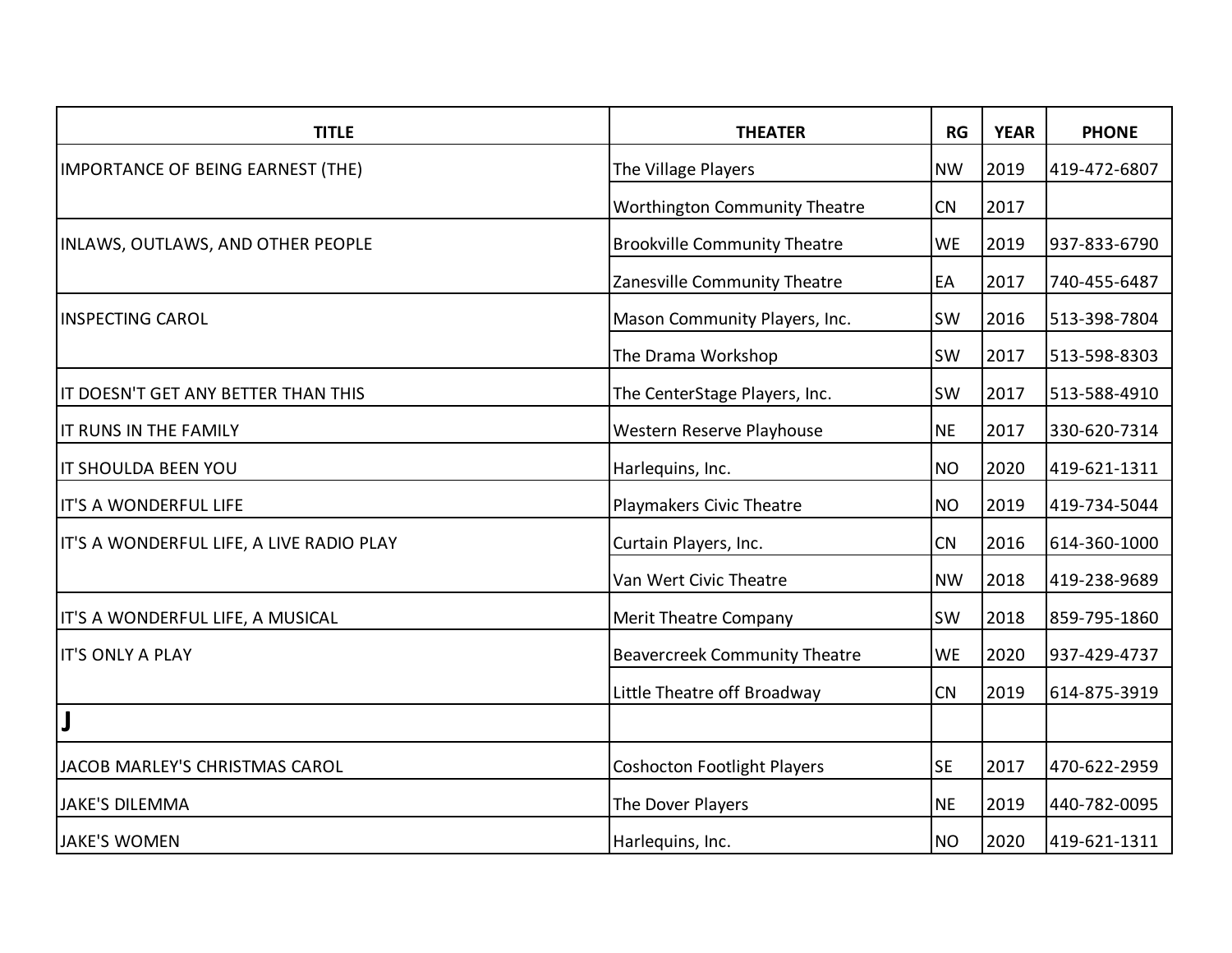| <b>TITLE</b>                             | <b>THEATER</b>                       | RG        | <b>YEAR</b> | <b>PHONE</b> |
|------------------------------------------|--------------------------------------|-----------|-------------|--------------|
| IMPORTANCE OF BEING EARNEST (THE)        | The Village Players                  | <b>NW</b> | 2019        | 419-472-6807 |
|                                          | <b>Worthington Community Theatre</b> | CN        | 2017        |              |
| <b>INLAWS, OUTLAWS, AND OTHER PEOPLE</b> | <b>Brookville Community Theatre</b>  | <b>WE</b> | 2019        | 937-833-6790 |
|                                          | Zanesville Community Theatre         | EA        | 2017        | 740-455-6487 |
| <b>INSPECTING CAROL</b>                  | Mason Community Players, Inc.        | <b>SW</b> | 2016        | 513-398-7804 |
|                                          | The Drama Workshop                   | <b>SW</b> | 2017        | 513-598-8303 |
| IT DOESN'T GET ANY BETTER THAN THIS      | The CenterStage Players, Inc.        | <b>SW</b> | 2017        | 513-588-4910 |
| IT RUNS IN THE FAMILY                    | Western Reserve Playhouse            | <b>NE</b> | 2017        | 330-620-7314 |
| IT SHOULDA BEEN YOU                      | Harlequins, Inc.                     | <b>NO</b> | 2020        | 419-621-1311 |
| IT'S A WONDERFUL LIFE                    | Playmakers Civic Theatre             | <b>NO</b> | 2019        | 419-734-5044 |
| IT'S A WONDERFUL LIFE, A LIVE RADIO PLAY | Curtain Players, Inc.                | CN        | 2016        | 614-360-1000 |
|                                          | Van Wert Civic Theatre               | <b>NW</b> | 2018        | 419-238-9689 |
| IT'S A WONDERFUL LIFE, A MUSICAL         | <b>Merit Theatre Company</b>         | <b>SW</b> | 2018        | 859-795-1860 |
| <b>IT'S ONLY A PLAY</b>                  | <b>Beavercreek Community Theatre</b> | <b>WE</b> | 2020        | 937-429-4737 |
|                                          | Little Theatre off Broadway          | CN        | 2019        | 614-875-3919 |
| J                                        |                                      |           |             |              |
| JACOB MARLEY'S CHRISTMAS CAROL           | <b>Coshocton Footlight Players</b>   | <b>SE</b> | 2017        | 470-622-2959 |
| <b>JAKE'S DILEMMA</b>                    | The Dover Players                    | <b>NE</b> | 2019        | 440-782-0095 |
| <b>JAKE'S WOMEN</b>                      | Harlequins, Inc.                     | <b>NO</b> | 2020        | 419-621-1311 |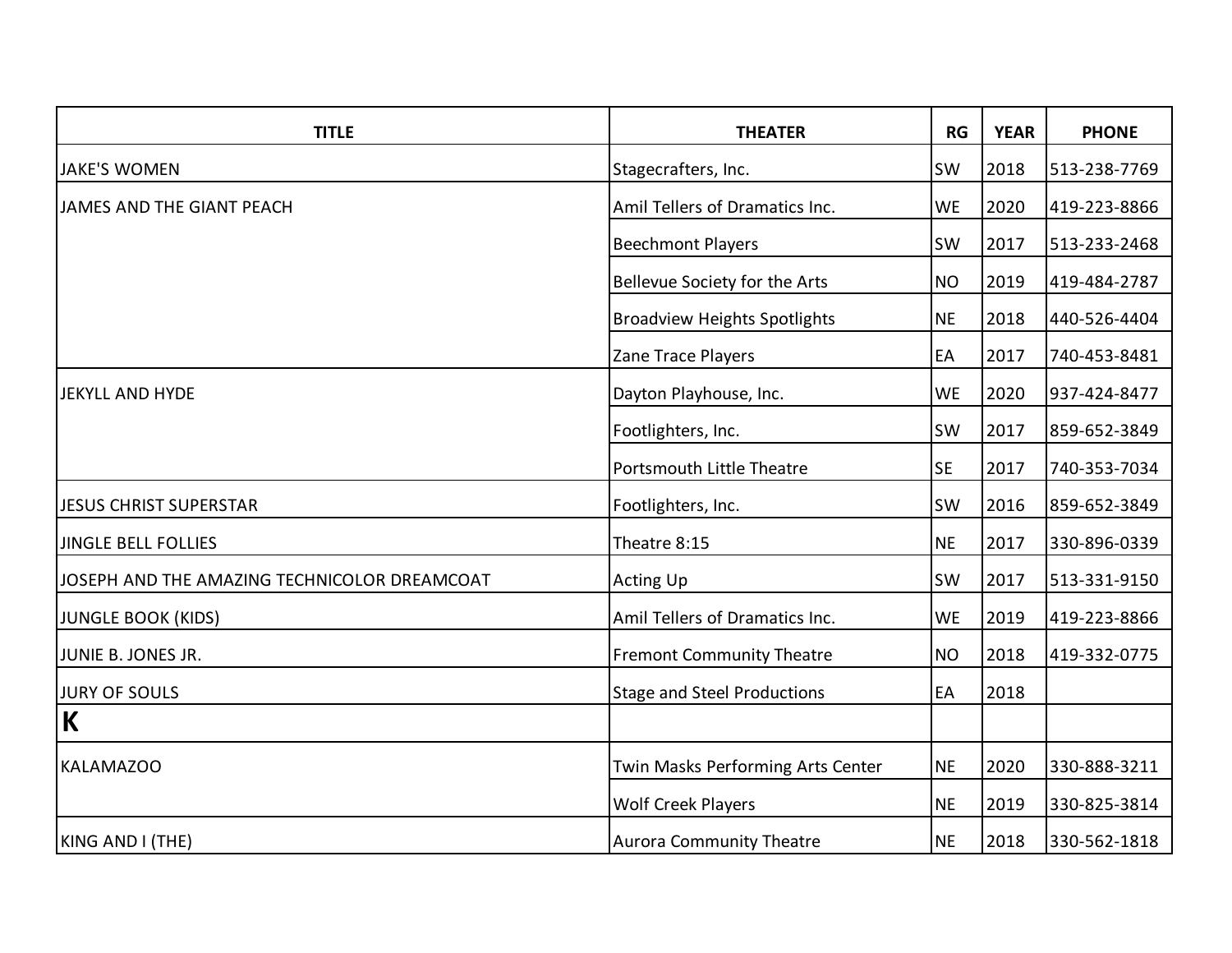| <b>TITLE</b>                                 | <b>THEATER</b>                      | RG        | <b>YEAR</b> | <b>PHONE</b> |
|----------------------------------------------|-------------------------------------|-----------|-------------|--------------|
| <b>JAKE'S WOMEN</b>                          | Stagecrafters, Inc.                 | SW        | 2018        | 513-238-7769 |
| JAMES AND THE GIANT PEACH                    | Amil Tellers of Dramatics Inc.      | <b>WE</b> | 2020        | 419-223-8866 |
|                                              | <b>Beechmont Players</b>            | <b>SW</b> | 2017        | 513-233-2468 |
|                                              | Bellevue Society for the Arts       | <b>NO</b> | 2019        | 419-484-2787 |
|                                              | <b>Broadview Heights Spotlights</b> | <b>NE</b> | 2018        | 440-526-4404 |
|                                              | Zane Trace Players                  | EA        | 2017        | 740-453-8481 |
| JEKYLL AND HYDE                              | Dayton Playhouse, Inc.              | <b>WE</b> | 2020        | 937-424-8477 |
|                                              | Footlighters, Inc.                  | SW        | 2017        | 859-652-3849 |
|                                              | <b>Portsmouth Little Theatre</b>    | <b>SE</b> | 2017        | 740-353-7034 |
| <b>JESUS CHRIST SUPERSTAR</b>                | Footlighters, Inc.                  | <b>SW</b> | 2016        | 859-652-3849 |
| <b>JINGLE BELL FOLLIES</b>                   | Theatre 8:15                        | <b>NE</b> | 2017        | 330-896-0339 |
| JOSEPH AND THE AMAZING TECHNICOLOR DREAMCOAT | <b>Acting Up</b>                    | <b>SW</b> | 2017        | 513-331-9150 |
| <b>JUNGLE BOOK (KIDS)</b>                    | Amil Tellers of Dramatics Inc.      | <b>WE</b> | 2019        | 419-223-8866 |
| JUNIE B. JONES JR.                           | <b>Fremont Community Theatre</b>    | <b>NO</b> | 2018        | 419-332-0775 |
| <b>JURY OF SOULS</b>                         | <b>Stage and Steel Productions</b>  | EA        | 2018        |              |
| K                                            |                                     |           |             |              |
| <b>KALAMAZOO</b>                             | Twin Masks Performing Arts Center   | <b>NE</b> | 2020        | 330-888-3211 |
|                                              | <b>Wolf Creek Players</b>           | <b>NE</b> | 2019        | 330-825-3814 |
| KING AND I (THE)                             | <b>Aurora Community Theatre</b>     | <b>NE</b> | 2018        | 330-562-1818 |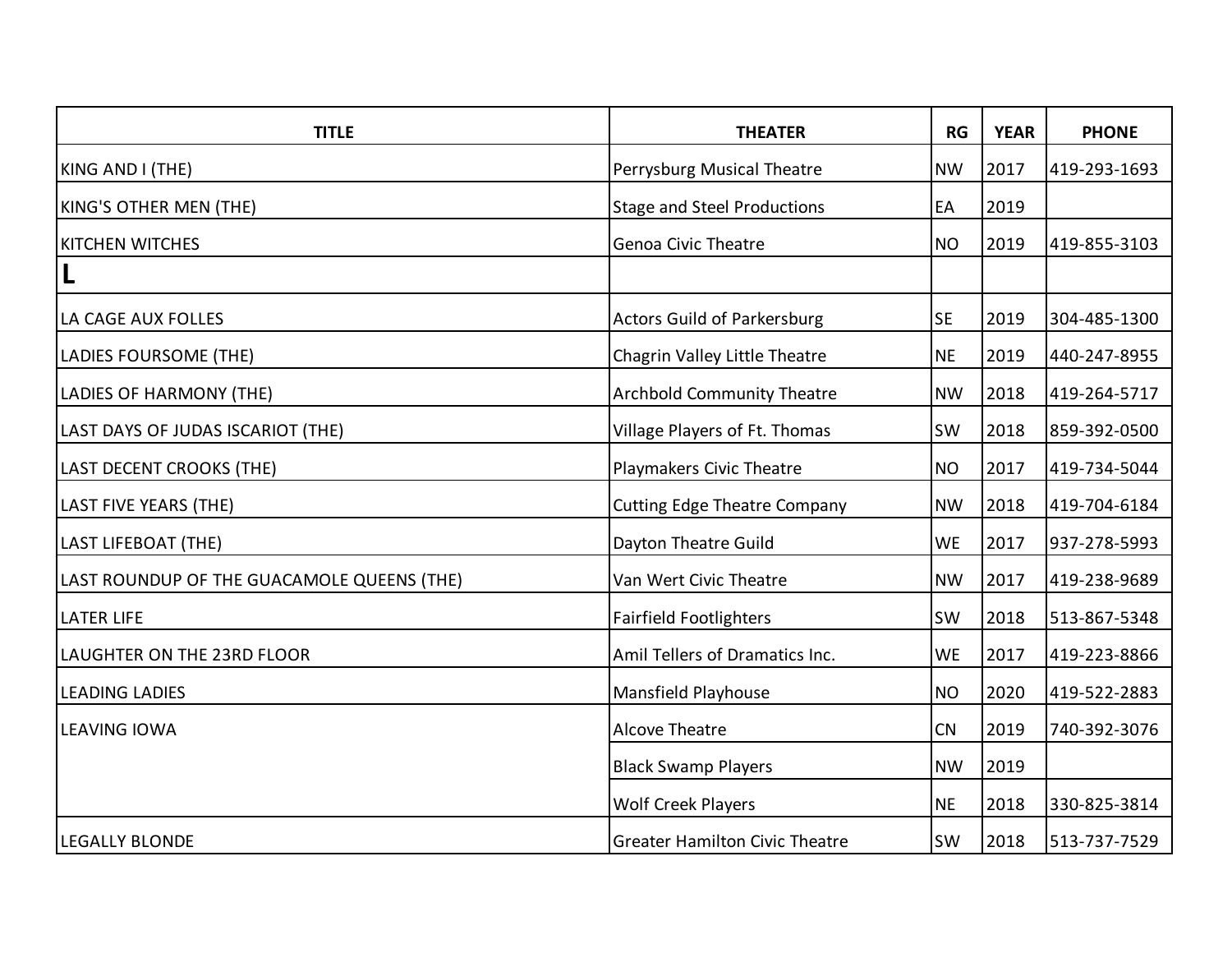| <b>TITLE</b>                               | <b>THEATER</b>                        | RG        | <b>YEAR</b> | <b>PHONE</b> |
|--------------------------------------------|---------------------------------------|-----------|-------------|--------------|
| KING AND I (THE)                           | Perrysburg Musical Theatre            | <b>NW</b> | 2017        | 419-293-1693 |
| <b>KING'S OTHER MEN (THE)</b>              | <b>Stage and Steel Productions</b>    | EA        | 2019        |              |
| <b>KITCHEN WITCHES</b>                     | <b>Genoa Civic Theatre</b>            | <b>NO</b> | 2019        | 419-855-3103 |
| $\mathsf{L}$                               |                                       |           |             |              |
| LA CAGE AUX FOLLES                         | <b>Actors Guild of Parkersburg</b>    | <b>SE</b> | 2019        | 304-485-1300 |
| LADIES FOURSOME (THE)                      | Chagrin Valley Little Theatre         | <b>NE</b> | 2019        | 440-247-8955 |
| LADIES OF HARMONY (THE)                    | <b>Archbold Community Theatre</b>     | <b>NW</b> | 2018        | 419-264-5717 |
| LAST DAYS OF JUDAS ISCARIOT (THE)          | Village Players of Ft. Thomas         | <b>SW</b> | 2018        | 859-392-0500 |
| LAST DECENT CROOKS (THE)                   | Playmakers Civic Theatre              | <b>NO</b> | 2017        | 419-734-5044 |
| <b>LAST FIVE YEARS (THE)</b>               | <b>Cutting Edge Theatre Company</b>   | <b>NW</b> | 2018        | 419-704-6184 |
| <b>LAST LIFEBOAT (THE)</b>                 | Dayton Theatre Guild                  | <b>WE</b> | 2017        | 937-278-5993 |
| LAST ROUNDUP OF THE GUACAMOLE QUEENS (THE) | Van Wert Civic Theatre                | <b>NW</b> | 2017        | 419-238-9689 |
| <b>LATER LIFE</b>                          | <b>Fairfield Footlighters</b>         | <b>SW</b> | 2018        | 513-867-5348 |
| LAUGHTER ON THE 23RD FLOOR                 | Amil Tellers of Dramatics Inc.        | <b>WE</b> | 2017        | 419-223-8866 |
| <b>LEADING LADIES</b>                      | Mansfield Playhouse                   | <b>NO</b> | 2020        | 419-522-2883 |
| <b>LEAVING IOWA</b>                        | <b>Alcove Theatre</b>                 | CN        | 2019        | 740-392-3076 |
|                                            | <b>Black Swamp Players</b>            | <b>NW</b> | 2019        |              |
|                                            | <b>Wolf Creek Players</b>             | <b>NE</b> | 2018        | 330-825-3814 |
| <b>LEGALLY BLONDE</b>                      | <b>Greater Hamilton Civic Theatre</b> | SW        | 2018        | 513-737-7529 |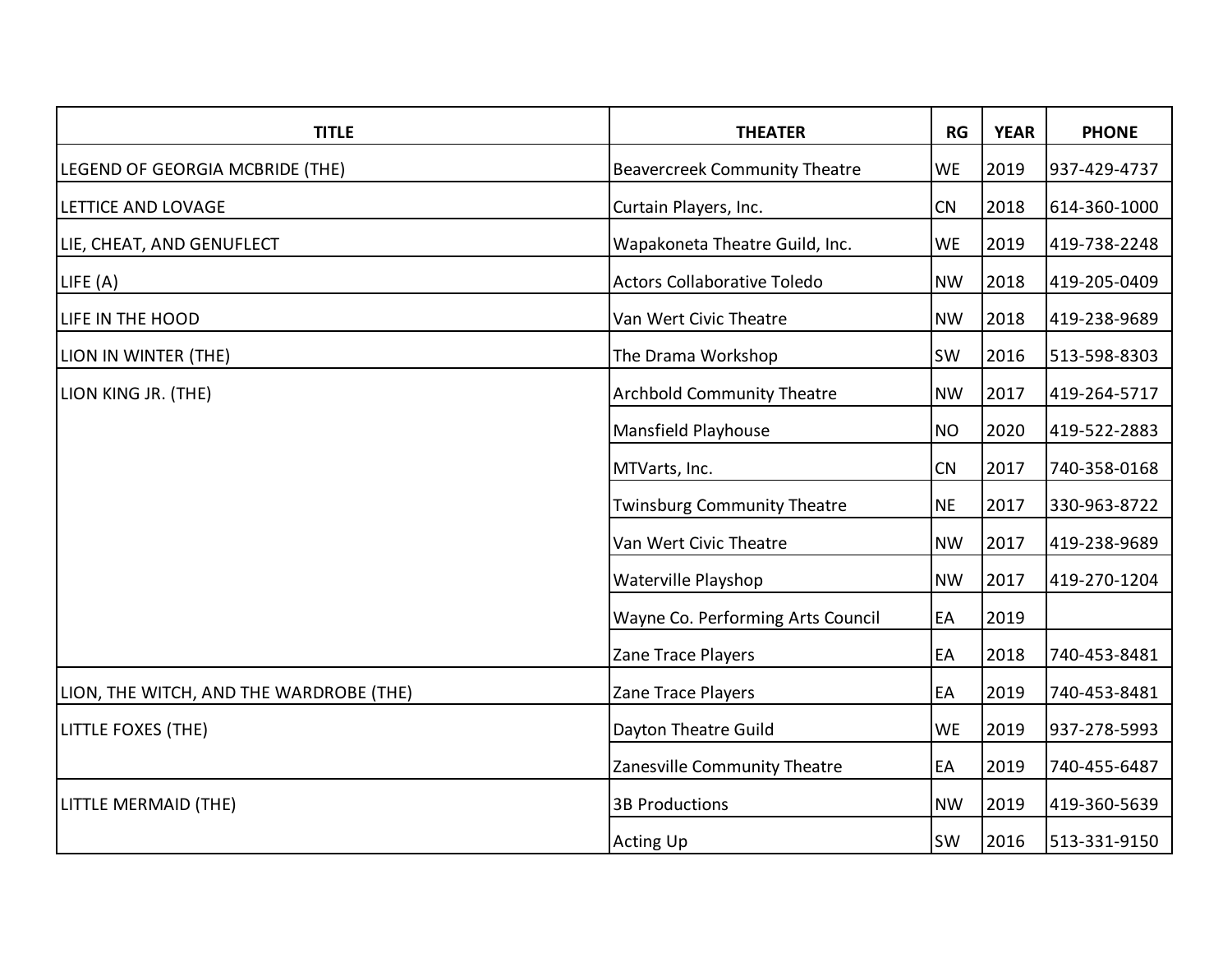| <b>TITLE</b>                            | <b>THEATER</b>                       | <b>RG</b> | <b>YEAR</b> | <b>PHONE</b> |
|-----------------------------------------|--------------------------------------|-----------|-------------|--------------|
| LEGEND OF GEORGIA MCBRIDE (THE)         | <b>Beavercreek Community Theatre</b> | WE        | 2019        | 937-429-4737 |
| LETTICE AND LOVAGE                      | Curtain Players, Inc.                | CN        | 2018        | 614-360-1000 |
| LIE, CHEAT, AND GENUFLECT               | Wapakoneta Theatre Guild, Inc.       | <b>WE</b> | 2019        | 419-738-2248 |
| LIE(A)                                  | <b>Actors Collaborative Toledo</b>   | <b>NW</b> | 2018        | 419-205-0409 |
| LIFE IN THE HOOD                        | Van Wert Civic Theatre               | <b>NW</b> | 2018        | 419-238-9689 |
| LION IN WINTER (THE)                    | The Drama Workshop                   | <b>SW</b> | 2016        | 513-598-8303 |
| LION KING JR. (THE)                     | <b>Archbold Community Theatre</b>    | <b>NW</b> | 2017        | 419-264-5717 |
|                                         | Mansfield Playhouse                  | <b>NO</b> | 2020        | 419-522-2883 |
|                                         | MTVarts, Inc.                        | CN        | 2017        | 740-358-0168 |
|                                         | <b>Twinsburg Community Theatre</b>   | <b>NE</b> | 2017        | 330-963-8722 |
|                                         | Van Wert Civic Theatre               | <b>NW</b> | 2017        | 419-238-9689 |
|                                         | Waterville Playshop                  | <b>NW</b> | 2017        | 419-270-1204 |
|                                         | Wayne Co. Performing Arts Council    | EA        | 2019        |              |
|                                         | Zane Trace Players                   | EA        | 2018        | 740-453-8481 |
| LION, THE WITCH, AND THE WARDROBE (THE) | Zane Trace Players                   | EA        | 2019        | 740-453-8481 |
| LITTLE FOXES (THE)                      | Dayton Theatre Guild                 | <b>WE</b> | 2019        | 937-278-5993 |
|                                         | Zanesville Community Theatre         | EA        | 2019        | 740-455-6487 |
| LITTLE MERMAID (THE)                    | <b>3B Productions</b>                | <b>NW</b> | 2019        | 419-360-5639 |
|                                         | <b>Acting Up</b>                     | <b>SW</b> | 2016        | 513-331-9150 |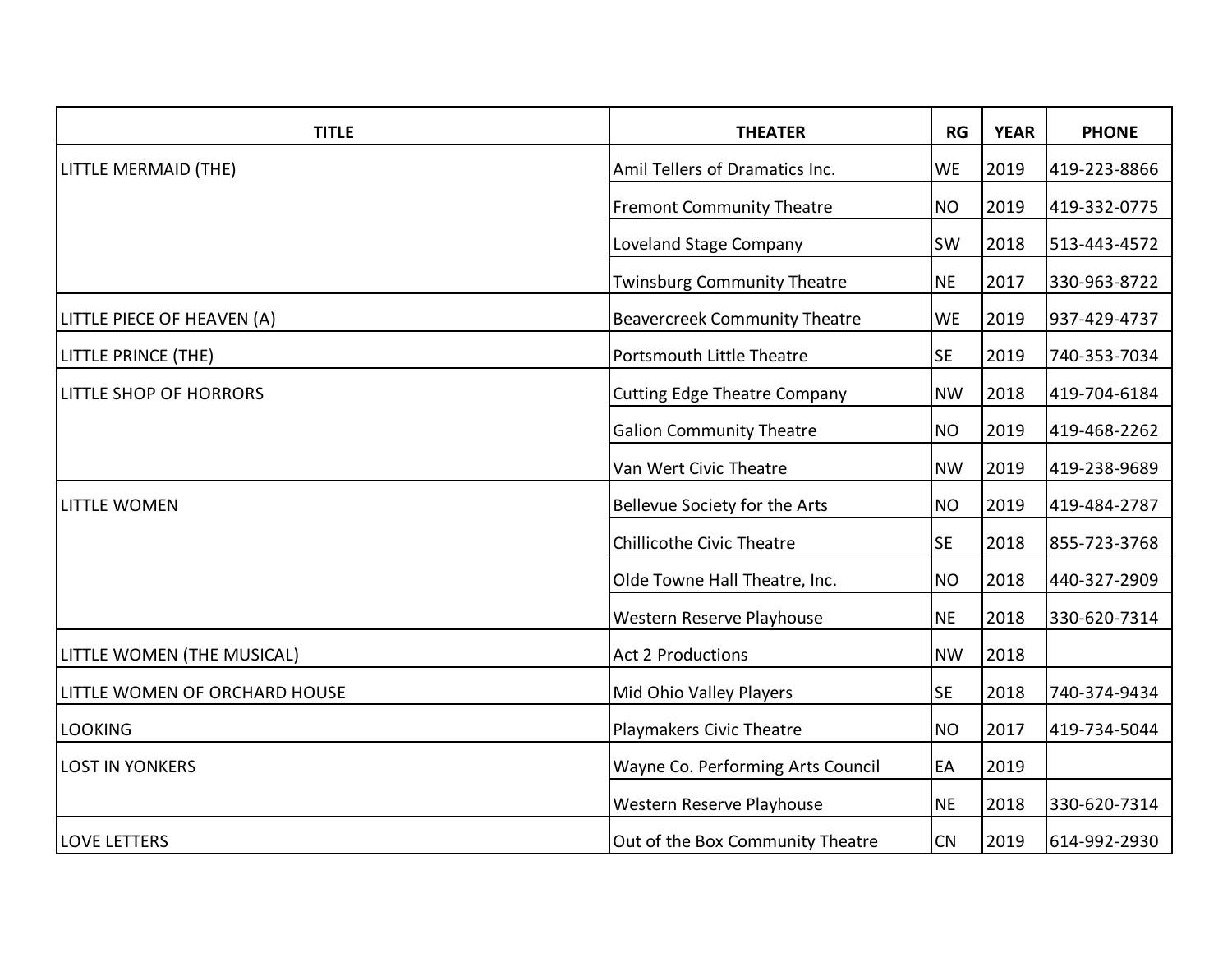| <b>TITLE</b>                  | <b>THEATER</b>                       | RG        | <b>YEAR</b> | <b>PHONE</b> |
|-------------------------------|--------------------------------------|-----------|-------------|--------------|
| LITTLE MERMAID (THE)          | Amil Tellers of Dramatics Inc.       | <b>WE</b> | 2019        | 419-223-8866 |
|                               | <b>Fremont Community Theatre</b>     | <b>NO</b> | 2019        | 419-332-0775 |
|                               | Loveland Stage Company               | <b>SW</b> | 2018        | 513-443-4572 |
|                               | <b>Twinsburg Community Theatre</b>   | <b>NE</b> | 2017        | 330-963-8722 |
| LITTLE PIECE OF HEAVEN (A)    | <b>Beavercreek Community Theatre</b> | <b>WE</b> | 2019        | 937-429-4737 |
| LITTLE PRINCE (THE)           | <b>Portsmouth Little Theatre</b>     | <b>SE</b> | 2019        | 740-353-7034 |
| LITTLE SHOP OF HORRORS        | <b>Cutting Edge Theatre Company</b>  | <b>NW</b> | 2018        | 419-704-6184 |
|                               | <b>Galion Community Theatre</b>      | <b>NO</b> | 2019        | 419-468-2262 |
|                               | Van Wert Civic Theatre               | <b>NW</b> | 2019        | 419-238-9689 |
| <b>LITTLE WOMEN</b>           | Bellevue Society for the Arts        | <b>NO</b> | 2019        | 419-484-2787 |
|                               | <b>Chillicothe Civic Theatre</b>     | <b>SE</b> | 2018        | 855-723-3768 |
|                               | Olde Towne Hall Theatre, Inc.        | <b>NO</b> | 2018        | 440-327-2909 |
|                               | Western Reserve Playhouse            | <b>NE</b> | 2018        | 330-620-7314 |
| LITTLE WOMEN (THE MUSICAL)    | <b>Act 2 Productions</b>             | <b>NW</b> | 2018        |              |
| LITTLE WOMEN OF ORCHARD HOUSE | Mid Ohio Valley Players              | <b>SE</b> | 2018        | 740-374-9434 |
| <b>LOOKING</b>                | Playmakers Civic Theatre             | <b>NO</b> | 2017        | 419-734-5044 |
| <b>LOST IN YONKERS</b>        | Wayne Co. Performing Arts Council    | EA        | 2019        |              |
|                               | Western Reserve Playhouse            | <b>NE</b> | 2018        | 330-620-7314 |
| <b>LOVE LETTERS</b>           | Out of the Box Community Theatre     | CN        | 2019        | 614-992-2930 |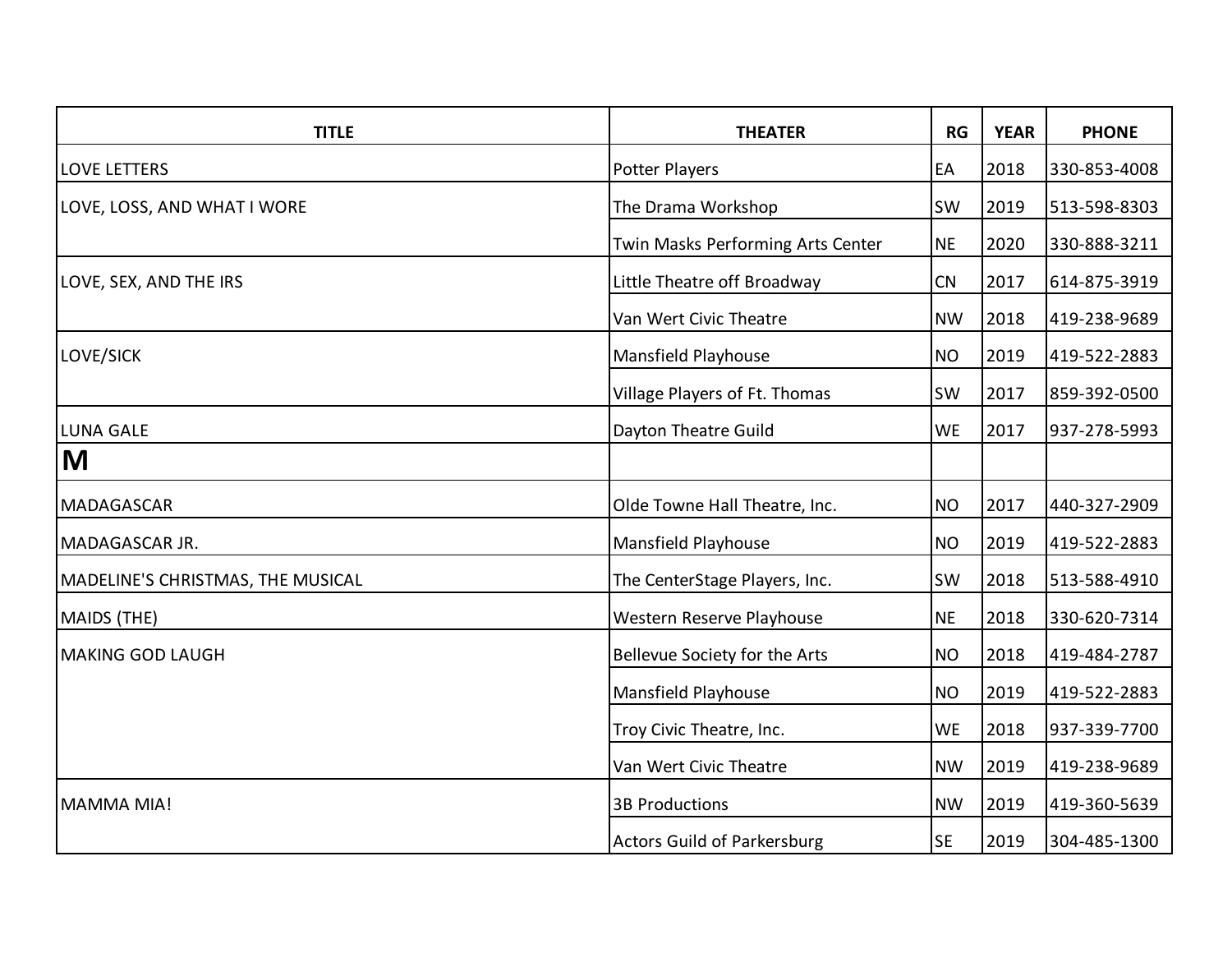| <b>TITLE</b>                      | <b>THEATER</b>                     | RG        | <b>YEAR</b> | <b>PHONE</b> |
|-----------------------------------|------------------------------------|-----------|-------------|--------------|
| <b>LOVE LETTERS</b>               | Potter Players                     | EA        | 2018        | 330-853-4008 |
| LOVE, LOSS, AND WHAT I WORE       | The Drama Workshop                 | SW        | 2019        | 513-598-8303 |
|                                   | Twin Masks Performing Arts Center  | <b>NE</b> | 2020        | 330-888-3211 |
| LOVE, SEX, AND THE IRS            | Little Theatre off Broadway        | CN        | 2017        | 614-875-3919 |
|                                   | Van Wert Civic Theatre             | <b>NW</b> | 2018        | 419-238-9689 |
| LOVE/SICK                         | Mansfield Playhouse                | <b>NO</b> | 2019        | 419-522-2883 |
|                                   | Village Players of Ft. Thomas      | SW        | 2017        | 859-392-0500 |
| <b>LUNA GALE</b>                  | Dayton Theatre Guild               | <b>WE</b> | 2017        | 937-278-5993 |
| M                                 |                                    |           |             |              |
| <b>MADAGASCAR</b>                 | Olde Towne Hall Theatre, Inc.      | <b>NO</b> | 2017        | 440-327-2909 |
| <b>MADAGASCAR JR.</b>             | Mansfield Playhouse                | <b>NO</b> | 2019        | 419-522-2883 |
| MADELINE'S CHRISTMAS, THE MUSICAL | The CenterStage Players, Inc.      | <b>SW</b> | 2018        | 513-588-4910 |
| MAIDS (THE)                       | Western Reserve Playhouse          | <b>NE</b> | 2018        | 330-620-7314 |
| <b>MAKING GOD LAUGH</b>           | Bellevue Society for the Arts      | <b>NO</b> | 2018        | 419-484-2787 |
|                                   | Mansfield Playhouse                | <b>NO</b> | 2019        | 419-522-2883 |
|                                   | Troy Civic Theatre, Inc.           | <b>WE</b> | 2018        | 937-339-7700 |
|                                   | Van Wert Civic Theatre             | <b>NW</b> | 2019        | 419-238-9689 |
| MAMMA MIA!                        | <b>3B Productions</b>              | <b>NW</b> | 2019        | 419-360-5639 |
|                                   | <b>Actors Guild of Parkersburg</b> | <b>SE</b> | 2019        | 304-485-1300 |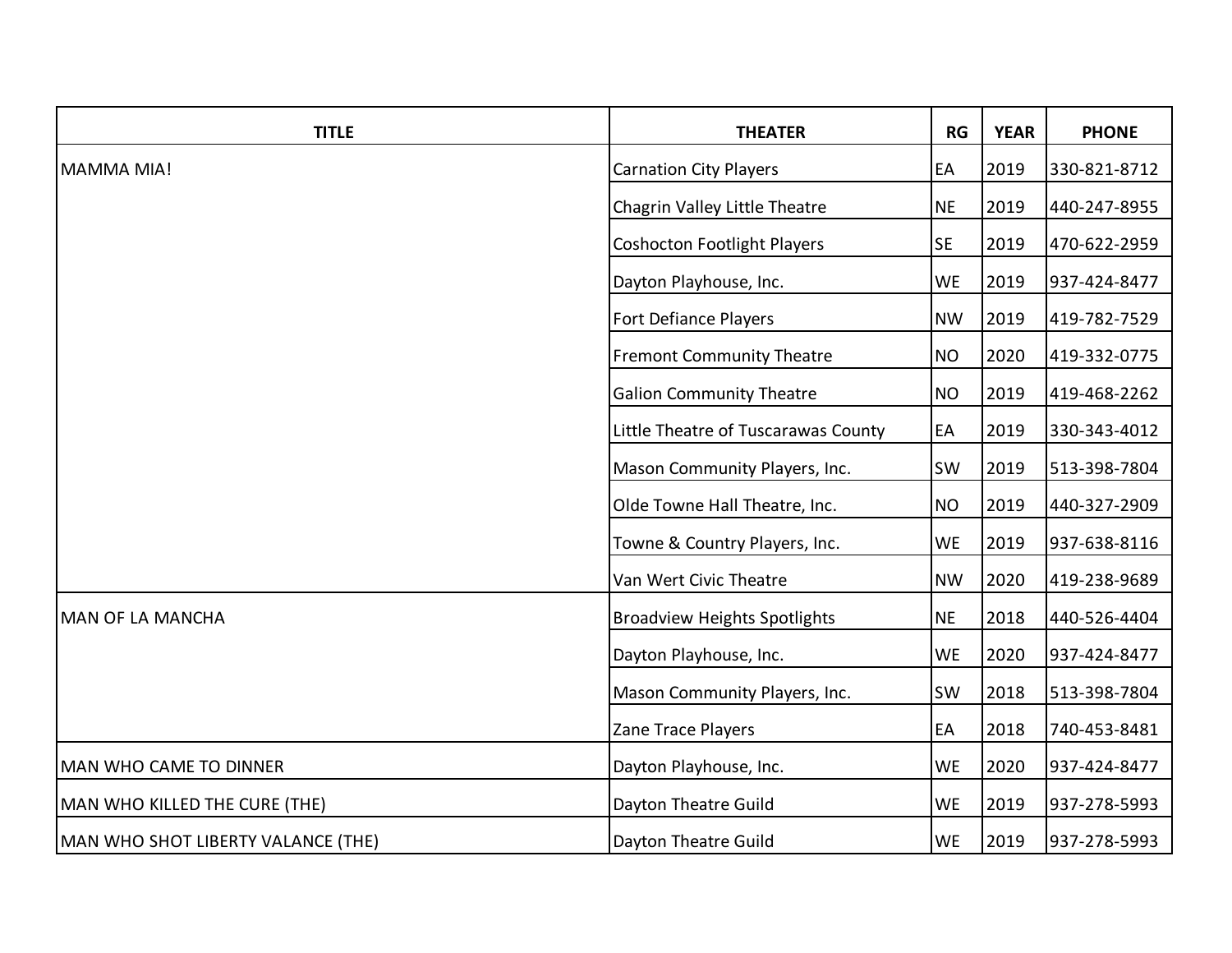| <b>TITLE</b>                       | <b>THEATER</b>                      | RG        | <b>YEAR</b> | <b>PHONE</b> |
|------------------------------------|-------------------------------------|-----------|-------------|--------------|
| MAMMA MIA!                         | <b>Carnation City Players</b>       | EA        | 2019        | 330-821-8712 |
|                                    | Chagrin Valley Little Theatre       | <b>NE</b> | 2019        | 440-247-8955 |
|                                    | <b>Coshocton Footlight Players</b>  | <b>SE</b> | 2019        | 470-622-2959 |
|                                    | Dayton Playhouse, Inc.              | <b>WE</b> | 2019        | 937-424-8477 |
|                                    | <b>Fort Defiance Players</b>        | <b>NW</b> | 2019        | 419-782-7529 |
|                                    | <b>Fremont Community Theatre</b>    | <b>NO</b> | 2020        | 419-332-0775 |
|                                    | <b>Galion Community Theatre</b>     | <b>NO</b> | 2019        | 419-468-2262 |
|                                    | Little Theatre of Tuscarawas County | EA        | 2019        | 330-343-4012 |
|                                    | Mason Community Players, Inc.       | <b>SW</b> | 2019        | 513-398-7804 |
|                                    | Olde Towne Hall Theatre, Inc.       | <b>NO</b> | 2019        | 440-327-2909 |
|                                    | Towne & Country Players, Inc.       | <b>WE</b> | 2019        | 937-638-8116 |
|                                    | Van Wert Civic Theatre              | <b>NW</b> | 2020        | 419-238-9689 |
| <b>MAN OF LA MANCHA</b>            | <b>Broadview Heights Spotlights</b> | <b>NE</b> | 2018        | 440-526-4404 |
|                                    | Dayton Playhouse, Inc.              | <b>WE</b> | 2020        | 937-424-8477 |
|                                    | Mason Community Players, Inc.       | <b>SW</b> | 2018        | 513-398-7804 |
|                                    | Zane Trace Players                  | EA        | 2018        | 740-453-8481 |
| MAN WHO CAME TO DINNER             | Dayton Playhouse, Inc.              | <b>WE</b> | 2020        | 937-424-8477 |
| MAN WHO KILLED THE CURE (THE)      | Dayton Theatre Guild                | <b>WE</b> | 2019        | 937-278-5993 |
| MAN WHO SHOT LIBERTY VALANCE (THE) | Dayton Theatre Guild                | <b>WE</b> | 2019        | 937-278-5993 |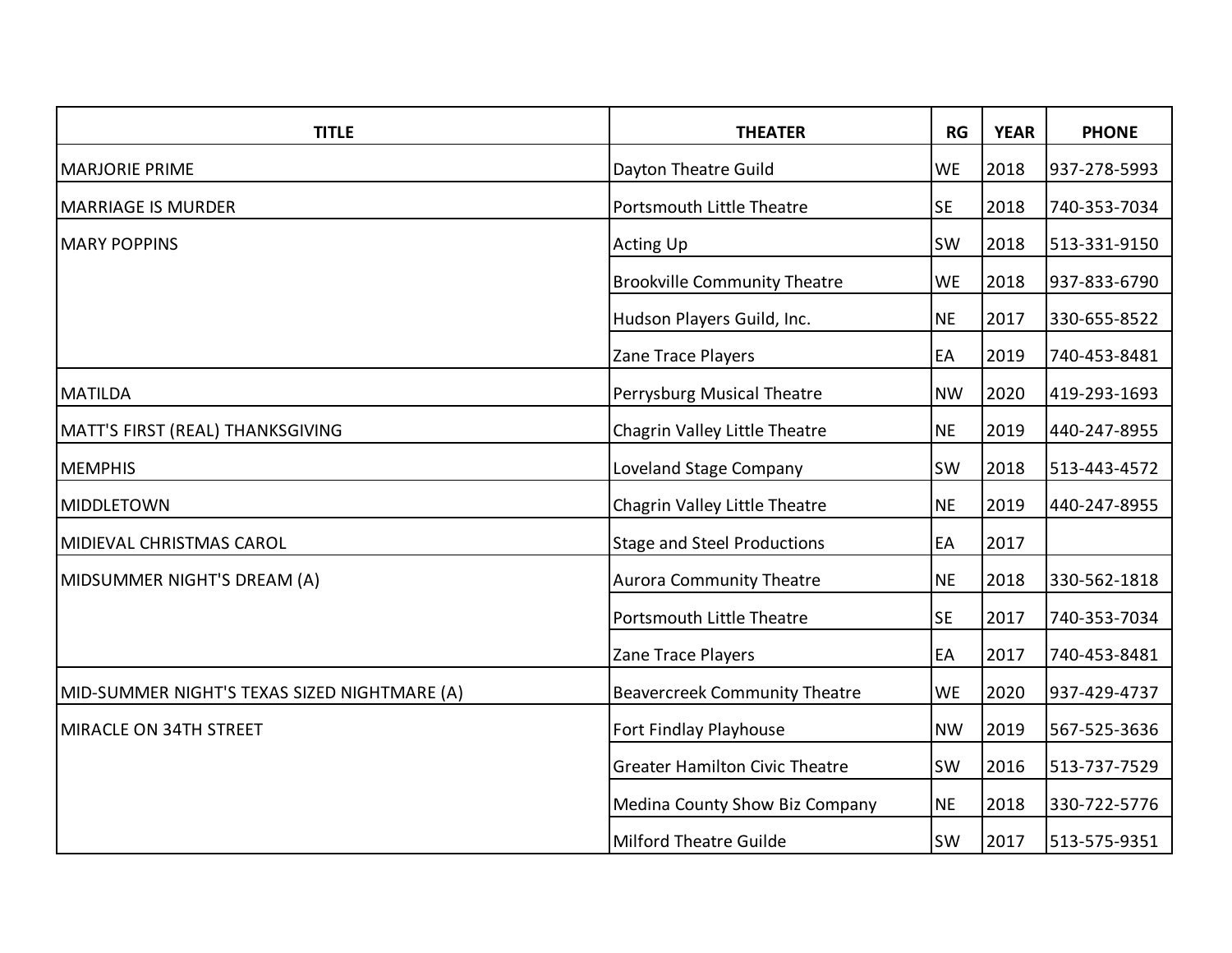| <b>TITLE</b>                                 | <b>THEATER</b>                        | RG        | <b>YEAR</b> | <b>PHONE</b> |
|----------------------------------------------|---------------------------------------|-----------|-------------|--------------|
| <b>MARJORIE PRIME</b>                        | Dayton Theatre Guild                  | <b>WE</b> | 2018        | 937-278-5993 |
| <b>MARRIAGE IS MURDER</b>                    | <b>Portsmouth Little Theatre</b>      | <b>SE</b> | 2018        | 740-353-7034 |
| <b>MARY POPPINS</b>                          | <b>Acting Up</b>                      | <b>SW</b> | 2018        | 513-331-9150 |
|                                              | <b>Brookville Community Theatre</b>   | <b>WE</b> | 2018        | 937-833-6790 |
|                                              | Hudson Players Guild, Inc.            | <b>NE</b> | 2017        | 330-655-8522 |
|                                              | Zane Trace Players                    | EA        | 2019        | 740-453-8481 |
| <b>MATILDA</b>                               | Perrysburg Musical Theatre            | <b>NW</b> | 2020        | 419-293-1693 |
| MATT'S FIRST (REAL) THANKSGIVING             | Chagrin Valley Little Theatre         | <b>NE</b> | 2019        | 440-247-8955 |
| <b>MEMPHIS</b>                               | Loveland Stage Company                | <b>SW</b> | 2018        | 513-443-4572 |
| <b>MIDDLETOWN</b>                            | Chagrin Valley Little Theatre         | <b>NE</b> | 2019        | 440-247-8955 |
| MIDIEVAL CHRISTMAS CAROL                     | <b>Stage and Steel Productions</b>    | EA        | 2017        |              |
| MIDSUMMER NIGHT'S DREAM (A)                  | <b>Aurora Community Theatre</b>       | <b>NE</b> | 2018        | 330-562-1818 |
|                                              | <b>Portsmouth Little Theatre</b>      | <b>SE</b> | 2017        | 740-353-7034 |
|                                              | Zane Trace Players                    | EA        | 2017        | 740-453-8481 |
| MID-SUMMER NIGHT'S TEXAS SIZED NIGHTMARE (A) | <b>Beavercreek Community Theatre</b>  | <b>WE</b> | 2020        | 937-429-4737 |
| MIRACLE ON 34TH STREET                       | Fort Findlay Playhouse                | <b>NW</b> | 2019        | 567-525-3636 |
|                                              | <b>Greater Hamilton Civic Theatre</b> | <b>SW</b> | 2016        | 513-737-7529 |
|                                              | Medina County Show Biz Company        | <b>NE</b> | 2018        | 330-722-5776 |
|                                              | <b>Milford Theatre Guilde</b>         | SW        | 2017        | 513-575-9351 |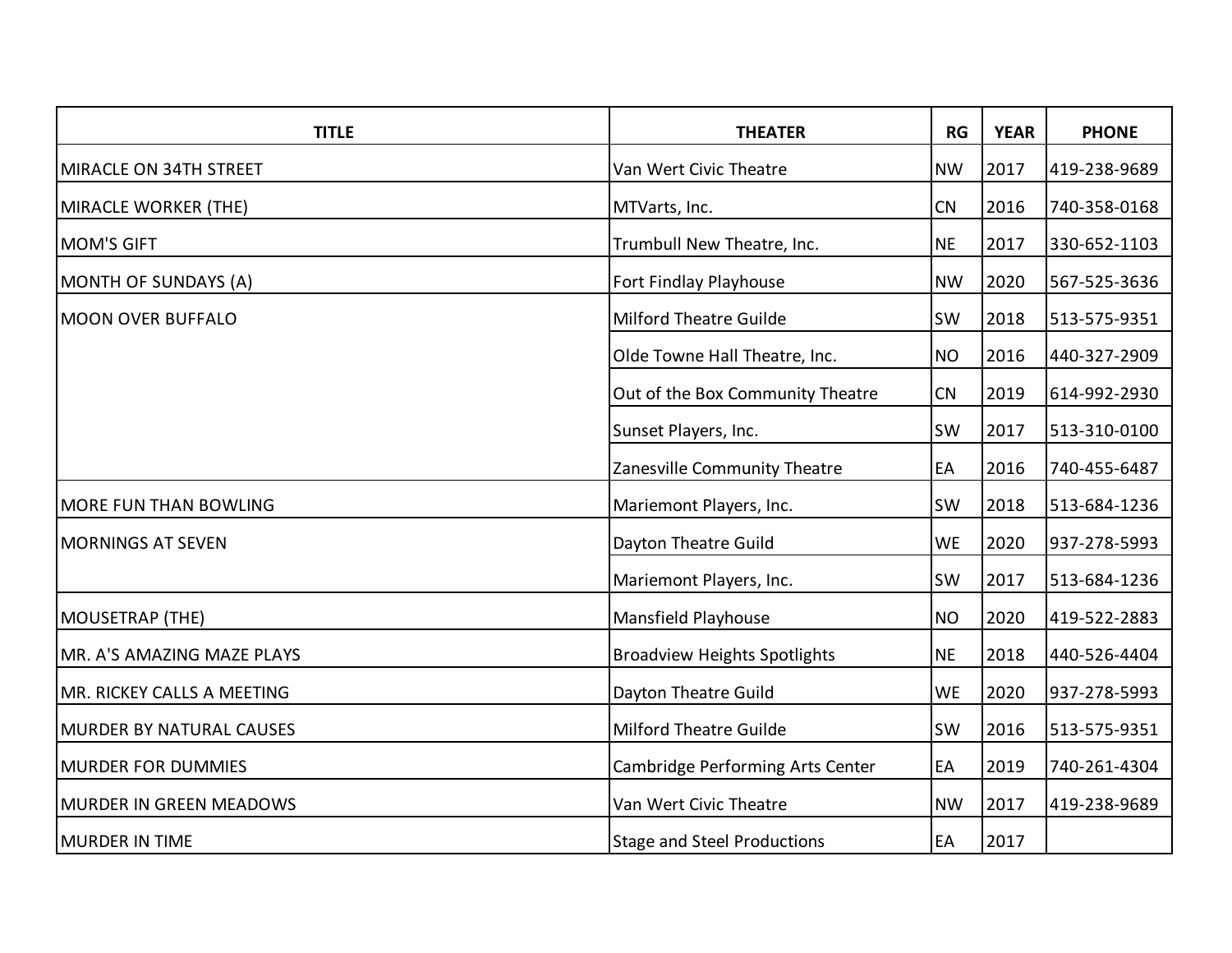| <b>TITLE</b>                    | <b>THEATER</b>                      | RG        | <b>YEAR</b> | <b>PHONE</b> |
|---------------------------------|-------------------------------------|-----------|-------------|--------------|
| MIRACLE ON 34TH STREET          | Van Wert Civic Theatre              | <b>NW</b> | 2017        | 419-238-9689 |
| MIRACLE WORKER (THE)            | MTVarts, Inc.                       | CN        | 2016        | 740-358-0168 |
| <b>MOM'S GIFT</b>               | Trumbull New Theatre, Inc.          | <b>NE</b> | 2017        | 330-652-1103 |
| MONTH OF SUNDAYS (A)            | Fort Findlay Playhouse              | <b>NW</b> | 2020        | 567-525-3636 |
| <b>MOON OVER BUFFALO</b>        | <b>Milford Theatre Guilde</b>       | <b>SW</b> | 2018        | 513-575-9351 |
|                                 | Olde Towne Hall Theatre, Inc.       | <b>NO</b> | 2016        | 440-327-2909 |
|                                 | Out of the Box Community Theatre    | CN        | 2019        | 614-992-2930 |
|                                 | Sunset Players, Inc.                | SW        | 2017        | 513-310-0100 |
|                                 | Zanesville Community Theatre        | EA        | 2016        | 740-455-6487 |
| MORE FUN THAN BOWLING           | Mariemont Players, Inc.             | <b>SW</b> | 2018        | 513-684-1236 |
| <b>MORNINGS AT SEVEN</b>        | Dayton Theatre Guild                | <b>WE</b> | 2020        | 937-278-5993 |
|                                 | Mariemont Players, Inc.             | <b>SW</b> | 2017        | 513-684-1236 |
| MOUSETRAP (THE)                 | Mansfield Playhouse                 | <b>NO</b> | 2020        | 419-522-2883 |
| MR. A'S AMAZING MAZE PLAYS      | <b>Broadview Heights Spotlights</b> | <b>NE</b> | 2018        | 440-526-4404 |
| MR. RICKEY CALLS A MEETING      | Dayton Theatre Guild                | <b>WE</b> | 2020        | 937-278-5993 |
| <b>MURDER BY NATURAL CAUSES</b> | <b>Milford Theatre Guilde</b>       | <b>SW</b> | 2016        | 513-575-9351 |
| <b>MURDER FOR DUMMIES</b>       | Cambridge Performing Arts Center    | EA        | 2019        | 740-261-4304 |
| MURDER IN GREEN MEADOWS         | Van Wert Civic Theatre              | <b>NW</b> | 2017        | 419-238-9689 |
| <b>MURDER IN TIME</b>           | <b>Stage and Steel Productions</b>  | EA        | 2017        |              |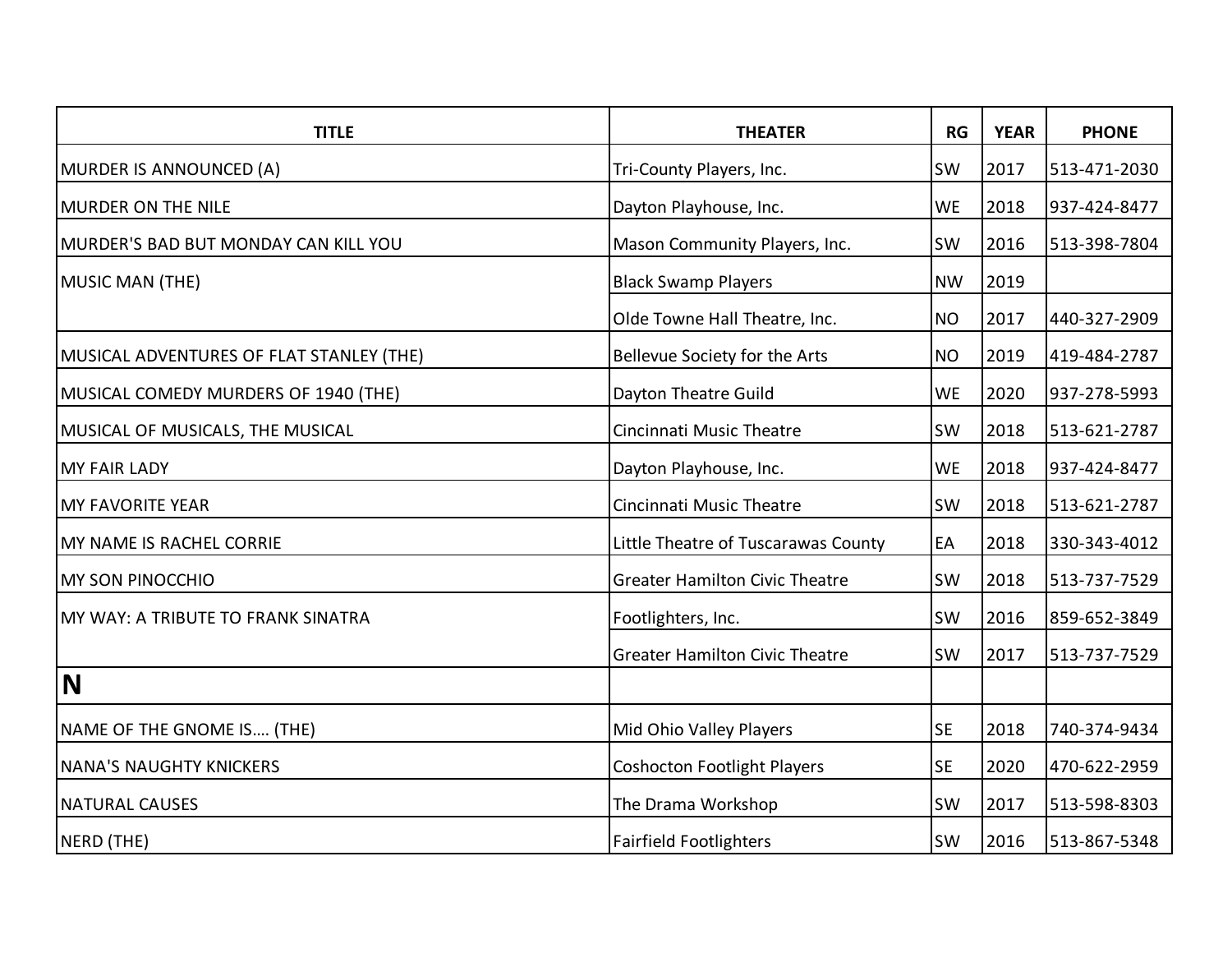| <b>TITLE</b>                             | <b>THEATER</b>                        | RG        | <b>YEAR</b> | <b>PHONE</b> |
|------------------------------------------|---------------------------------------|-----------|-------------|--------------|
| MURDER IS ANNOUNCED (A)                  | Tri-County Players, Inc.              | <b>SW</b> | 2017        | 513-471-2030 |
| MURDER ON THE NILE                       | Dayton Playhouse, Inc.                | <b>WE</b> | 2018        | 937-424-8477 |
| MURDER'S BAD BUT MONDAY CAN KILL YOU     | Mason Community Players, Inc.         | <b>SW</b> | 2016        | 513-398-7804 |
| MUSIC MAN (THE)                          | <b>Black Swamp Players</b>            | <b>NW</b> | 2019        |              |
|                                          | Olde Towne Hall Theatre, Inc.         | <b>NO</b> | 2017        | 440-327-2909 |
| MUSICAL ADVENTURES OF FLAT STANLEY (THE) | Bellevue Society for the Arts         | <b>NO</b> | 2019        | 419-484-2787 |
| MUSICAL COMEDY MURDERS OF 1940 (THE)     | Dayton Theatre Guild                  | <b>WE</b> | 2020        | 937-278-5993 |
| MUSICAL OF MUSICALS, THE MUSICAL         | Cincinnati Music Theatre              | SW        | 2018        | 513-621-2787 |
| <b>MY FAIR LADY</b>                      | Dayton Playhouse, Inc.                | <b>WE</b> | 2018        | 937-424-8477 |
| <b>MY FAVORITE YEAR</b>                  | Cincinnati Music Theatre              | <b>SW</b> | 2018        | 513-621-2787 |
| MY NAME IS RACHEL CORRIE                 | Little Theatre of Tuscarawas County   | EA        | 2018        | 330-343-4012 |
| <b>MY SON PINOCCHIO</b>                  | <b>Greater Hamilton Civic Theatre</b> | SW        | 2018        | 513-737-7529 |
| MY WAY: A TRIBUTE TO FRANK SINATRA       | Footlighters, Inc.                    | <b>SW</b> | 2016        | 859-652-3849 |
|                                          | <b>Greater Hamilton Civic Theatre</b> | <b>SW</b> | 2017        | 513-737-7529 |
| N                                        |                                       |           |             |              |
| NAME OF THE GNOME IS (THE)               | Mid Ohio Valley Players               | <b>SE</b> | 2018        | 740-374-9434 |
| <b>NANA'S NAUGHTY KNICKERS</b>           | <b>Coshocton Footlight Players</b>    | <b>SE</b> | 2020        | 470-622-2959 |
| <b>NATURAL CAUSES</b>                    | The Drama Workshop                    | <b>SW</b> | 2017        | 513-598-8303 |
| NERD (THE)                               | <b>Fairfield Footlighters</b>         | SW        | 2016        | 513-867-5348 |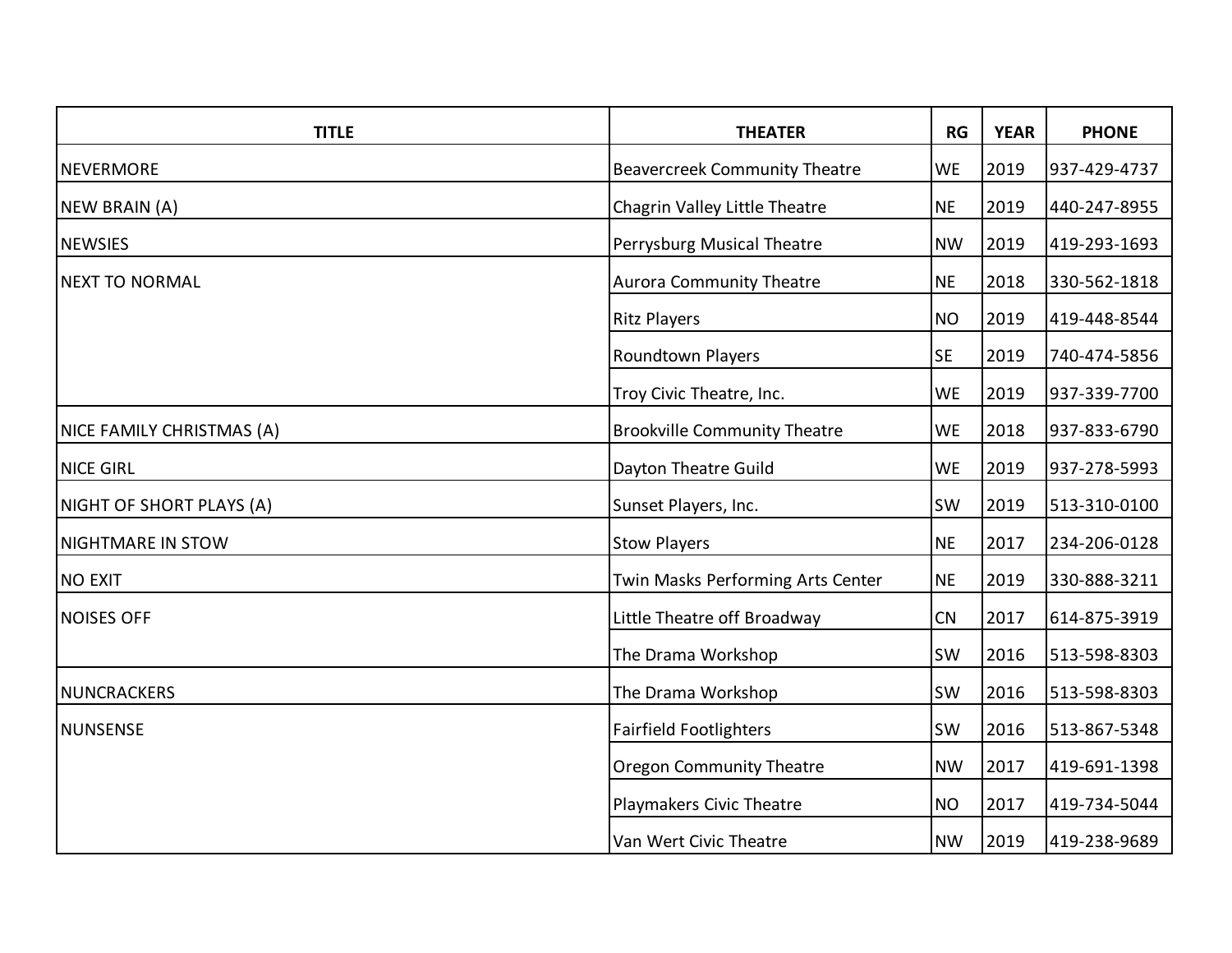| <b>TITLE</b>              | <b>THEATER</b>                       | <b>RG</b> | <b>YEAR</b> | <b>PHONE</b> |
|---------------------------|--------------------------------------|-----------|-------------|--------------|
| <b>NEVERMORE</b>          | <b>Beavercreek Community Theatre</b> | <b>WE</b> | 2019        | 937-429-4737 |
| NEW BRAIN (A)             | Chagrin Valley Little Theatre        | <b>NE</b> | 2019        | 440-247-8955 |
| <b>NEWSIES</b>            | Perrysburg Musical Theatre           | <b>NW</b> | 2019        | 419-293-1693 |
| <b>NEXT TO NORMAL</b>     | <b>Aurora Community Theatre</b>      | <b>NE</b> | 2018        | 330-562-1818 |
|                           | <b>Ritz Players</b>                  | <b>NO</b> | 2019        | 419-448-8544 |
|                           | Roundtown Players                    | <b>SE</b> | 2019        | 740-474-5856 |
|                           | Troy Civic Theatre, Inc.             | <b>WE</b> | 2019        | 937-339-7700 |
| NICE FAMILY CHRISTMAS (A) | <b>Brookville Community Theatre</b>  | <b>WE</b> | 2018        | 937-833-6790 |
| <b>NICE GIRL</b>          | Dayton Theatre Guild                 | <b>WE</b> | 2019        | 937-278-5993 |
| NIGHT OF SHORT PLAYS (A)  | Sunset Players, Inc.                 | <b>SW</b> | 2019        | 513-310-0100 |
| <b>NIGHTMARE IN STOW</b>  | <b>Stow Players</b>                  | <b>NE</b> | 2017        | 234-206-0128 |
| <b>NO EXIT</b>            | Twin Masks Performing Arts Center    | <b>NE</b> | 2019        | 330-888-3211 |
| <b>NOISES OFF</b>         | Little Theatre off Broadway          | CN        | 2017        | 614-875-3919 |
|                           | The Drama Workshop                   | <b>SW</b> | 2016        | 513-598-8303 |
| <b>NUNCRACKERS</b>        | The Drama Workshop                   | SW        | 2016        | 513-598-8303 |
| <b>NUNSENSE</b>           | <b>Fairfield Footlighters</b>        | SW        | 2016        | 513-867-5348 |
|                           | <b>Oregon Community Theatre</b>      | <b>NW</b> | 2017        | 419-691-1398 |
|                           | Playmakers Civic Theatre             | <b>NO</b> | 2017        | 419-734-5044 |
|                           | Van Wert Civic Theatre               | <b>NW</b> | 2019        | 419-238-9689 |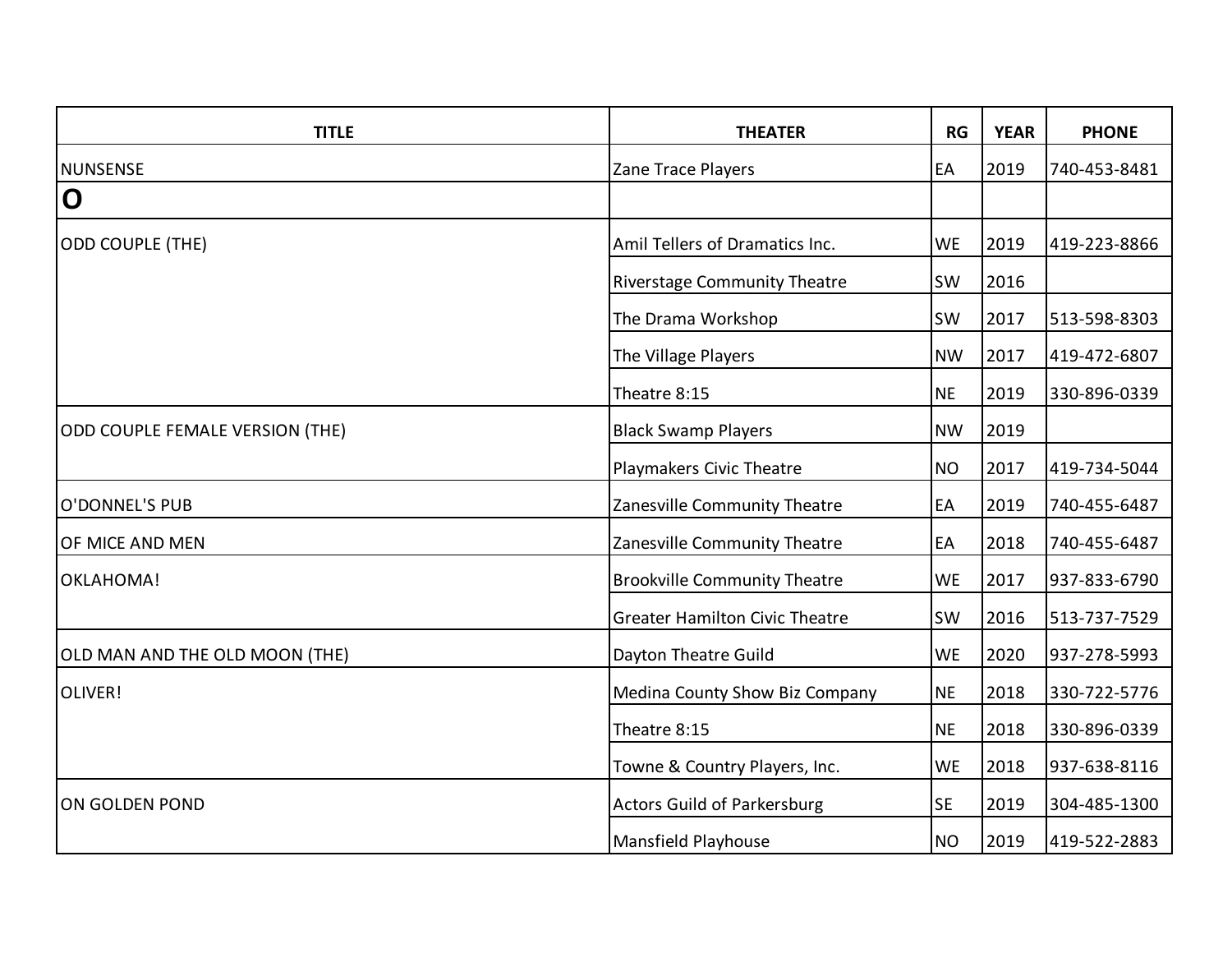| <b>TITLE</b>                    | <b>THEATER</b>                        | RG        | <b>YEAR</b> | <b>PHONE</b> |
|---------------------------------|---------------------------------------|-----------|-------------|--------------|
| <b>NUNSENSE</b>                 | Zane Trace Players                    | EA        | 2019        | 740-453-8481 |
| $\overline{O}$                  |                                       |           |             |              |
| ODD COUPLE (THE)                | Amil Tellers of Dramatics Inc.        | <b>WE</b> | 2019        | 419-223-8866 |
|                                 | <b>Riverstage Community Theatre</b>   | <b>SW</b> | 2016        |              |
|                                 | The Drama Workshop                    | <b>SW</b> | 2017        | 513-598-8303 |
|                                 | The Village Players                   | <b>NW</b> | 2017        | 419-472-6807 |
|                                 | Theatre 8:15                          | <b>NE</b> | 2019        | 330-896-0339 |
| ODD COUPLE FEMALE VERSION (THE) | <b>Black Swamp Players</b>            | <b>NW</b> | 2019        |              |
|                                 | Playmakers Civic Theatre              | <b>NO</b> | 2017        | 419-734-5044 |
| O'DONNEL'S PUB                  | Zanesville Community Theatre          | EA        | 2019        | 740-455-6487 |
| OF MICE AND MEN                 | Zanesville Community Theatre          | EA        | 2018        | 740-455-6487 |
| OKLAHOMA!                       | <b>Brookville Community Theatre</b>   | <b>WE</b> | 2017        | 937-833-6790 |
|                                 | <b>Greater Hamilton Civic Theatre</b> | <b>SW</b> | 2016        | 513-737-7529 |
| OLD MAN AND THE OLD MOON (THE)  | Dayton Theatre Guild                  | <b>WE</b> | 2020        | 937-278-5993 |
| OLIVER!                         | Medina County Show Biz Company        | <b>NE</b> | 2018        | 330-722-5776 |
|                                 | Theatre 8:15                          | <b>NE</b> | 2018        | 330-896-0339 |
|                                 | Towne & Country Players, Inc.         | <b>WE</b> | 2018        | 937-638-8116 |
| ON GOLDEN POND                  | <b>Actors Guild of Parkersburg</b>    | <b>SE</b> | 2019        | 304-485-1300 |
|                                 | Mansfield Playhouse                   | <b>NO</b> | 2019        | 419-522-2883 |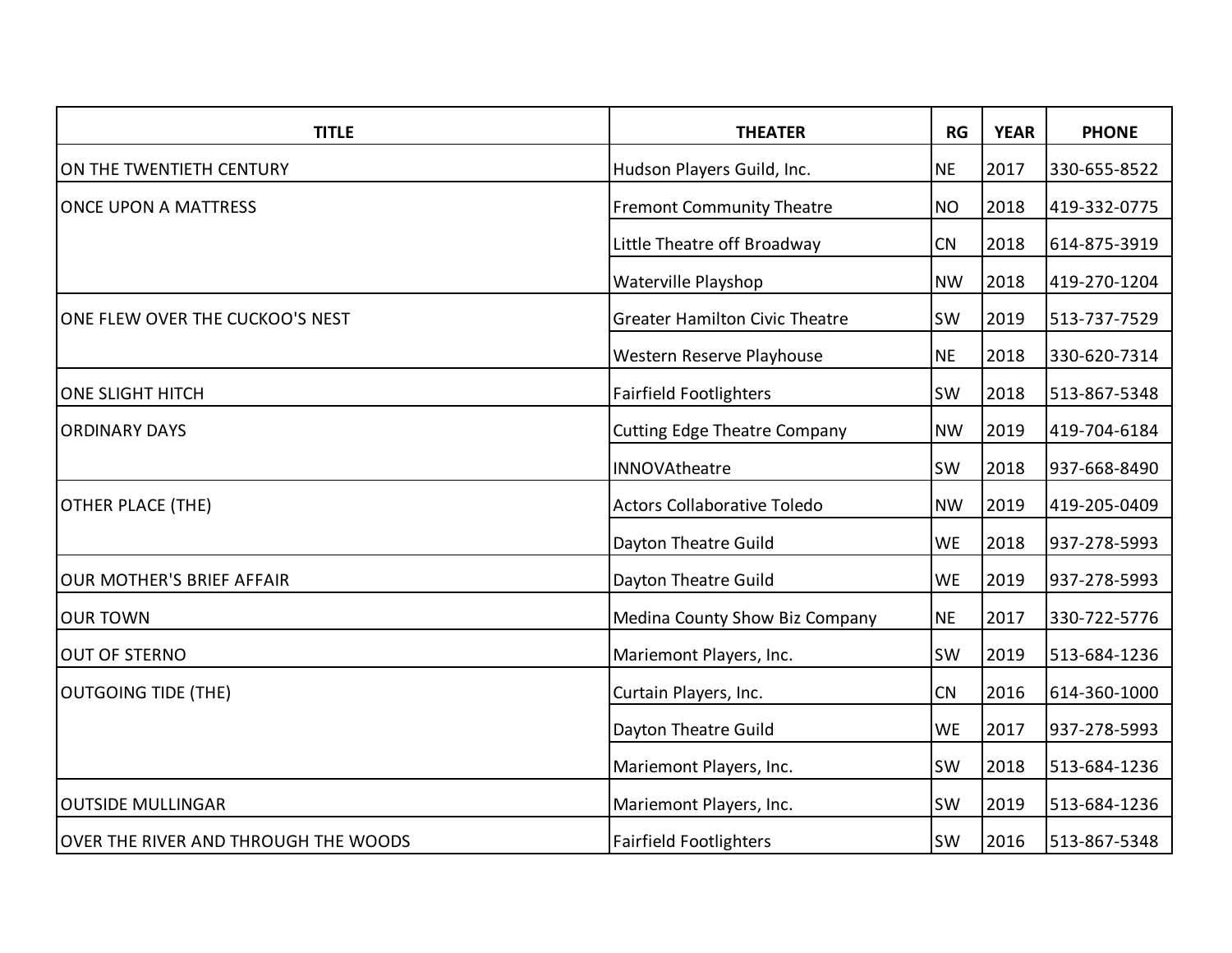| <b>TITLE</b>                         | <b>THEATER</b>                        | <b>RG</b> | <b>YEAR</b> | <b>PHONE</b> |
|--------------------------------------|---------------------------------------|-----------|-------------|--------------|
| ON THE TWENTIETH CENTURY             | Hudson Players Guild, Inc.            | <b>NE</b> | 2017        | 330-655-8522 |
| <b>ONCE UPON A MATTRESS</b>          | <b>Fremont Community Theatre</b>      | <b>NO</b> | 2018        | 419-332-0775 |
|                                      | Little Theatre off Broadway           | CN        | 2018        | 614-875-3919 |
|                                      | <b>Waterville Playshop</b>            | <b>NW</b> | 2018        | 419-270-1204 |
| ONE FLEW OVER THE CUCKOO'S NEST      | <b>Greater Hamilton Civic Theatre</b> | SW        | 2019        | 513-737-7529 |
|                                      | Western Reserve Playhouse             | <b>NE</b> | 2018        | 330-620-7314 |
| <b>ONE SLIGHT HITCH</b>              | <b>Fairfield Footlighters</b>         | SW        | 2018        | 513-867-5348 |
| <b>ORDINARY DAYS</b>                 | <b>Cutting Edge Theatre Company</b>   | <b>NW</b> | 2019        | 419-704-6184 |
|                                      | <b>INNOVAtheatre</b>                  | SW        | 2018        | 937-668-8490 |
| <b>OTHER PLACE (THE)</b>             | <b>Actors Collaborative Toledo</b>    | <b>NW</b> | 2019        | 419-205-0409 |
|                                      | Dayton Theatre Guild                  | <b>WE</b> | 2018        | 937-278-5993 |
| <b>OUR MOTHER'S BRIEF AFFAIR</b>     | Dayton Theatre Guild                  | <b>WE</b> | 2019        | 937-278-5993 |
| <b>OUR TOWN</b>                      | Medina County Show Biz Company        | <b>NE</b> | 2017        | 330-722-5776 |
| <b>OUT OF STERNO</b>                 | Mariemont Players, Inc.               | SW        | 2019        | 513-684-1236 |
| <b>OUTGOING TIDE (THE)</b>           | Curtain Players, Inc.                 | CN        | 2016        | 614-360-1000 |
|                                      | Dayton Theatre Guild                  | <b>WE</b> | 2017        | 937-278-5993 |
|                                      | Mariemont Players, Inc.               | SW        | 2018        | 513-684-1236 |
| <b>OUTSIDE MULLINGAR</b>             | Mariemont Players, Inc.               | SW        | 2019        | 513-684-1236 |
| OVER THE RIVER AND THROUGH THE WOODS | <b>Fairfield Footlighters</b>         | SW        | 2016        | 513-867-5348 |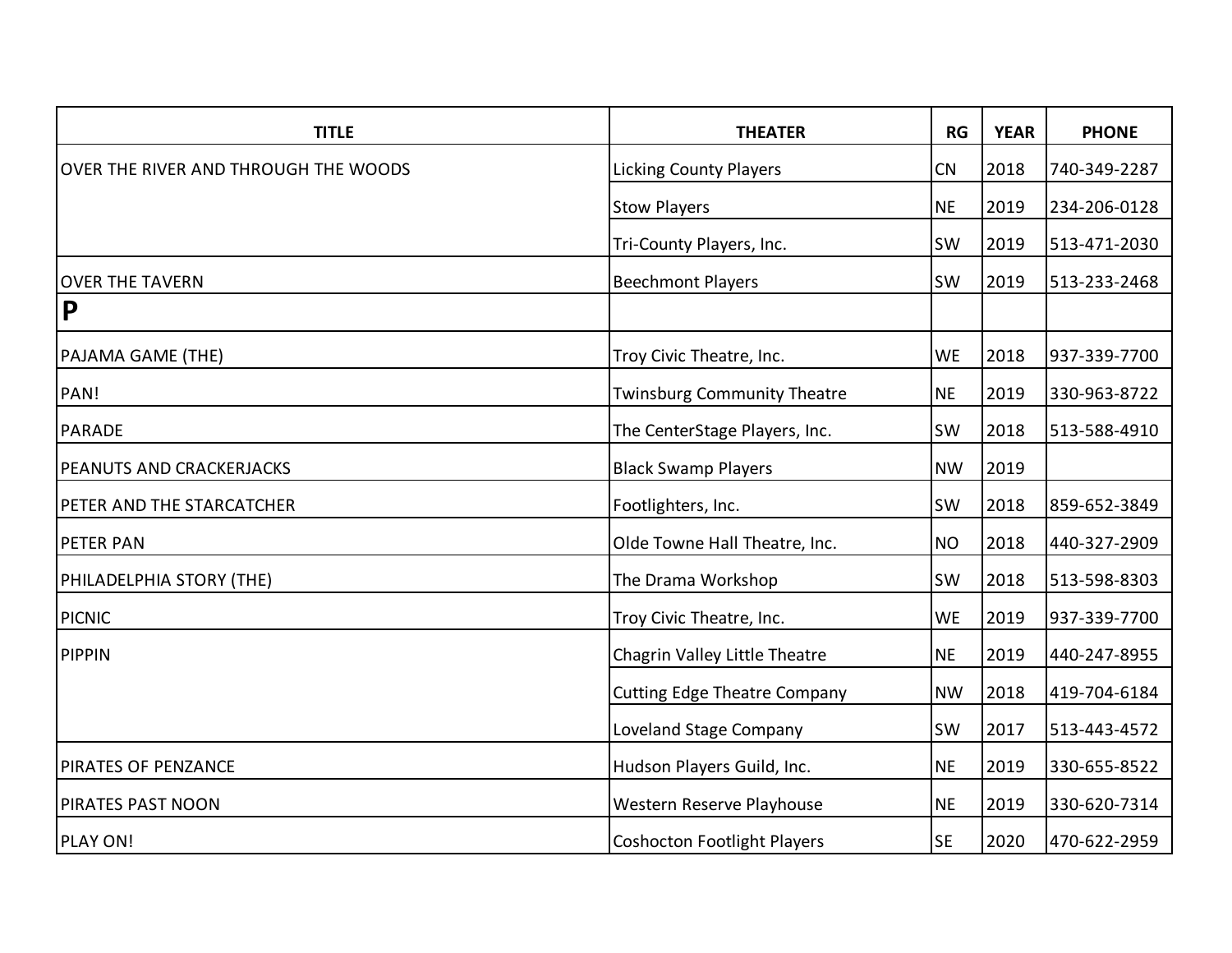| <b>TITLE</b>                         | <b>THEATER</b>                      | RG        | <b>YEAR</b> | <b>PHONE</b> |
|--------------------------------------|-------------------------------------|-----------|-------------|--------------|
| OVER THE RIVER AND THROUGH THE WOODS | <b>Licking County Players</b>       | CN        | 2018        | 740-349-2287 |
|                                      | <b>Stow Players</b>                 | <b>NE</b> | 2019        | 234-206-0128 |
|                                      | Tri-County Players, Inc.            | <b>SW</b> | 2019        | 513-471-2030 |
| <b>OVER THE TAVERN</b>               | <b>Beechmont Players</b>            | <b>SW</b> | 2019        | 513-233-2468 |
| $\mathsf{P}$                         |                                     |           |             |              |
| PAJAMA GAME (THE)                    | Troy Civic Theatre, Inc.            | <b>WE</b> | 2018        | 937-339-7700 |
| PAN!                                 | <b>Twinsburg Community Theatre</b>  | <b>NE</b> | 2019        | 330-963-8722 |
| <b>PARADE</b>                        | The CenterStage Players, Inc.       | <b>SW</b> | 2018        | 513-588-4910 |
| PEANUTS AND CRACKERJACKS             | <b>Black Swamp Players</b>          | <b>NW</b> | 2019        |              |
| PETER AND THE STARCATCHER            | Footlighters, Inc.                  | <b>SW</b> | 2018        | 859-652-3849 |
| <b>PETER PAN</b>                     | Olde Towne Hall Theatre, Inc.       | <b>NO</b> | 2018        | 440-327-2909 |
| PHILADELPHIA STORY (THE)             | The Drama Workshop                  | SW        | 2018        | 513-598-8303 |
| <b>PICNIC</b>                        | Troy Civic Theatre, Inc.            | <b>WE</b> | 2019        | 937-339-7700 |
| <b>PIPPIN</b>                        | Chagrin Valley Little Theatre       | <b>NE</b> | 2019        | 440-247-8955 |
|                                      | <b>Cutting Edge Theatre Company</b> | <b>NW</b> | 2018        | 419-704-6184 |
|                                      | Loveland Stage Company              | <b>SW</b> | 2017        | 513-443-4572 |
| PIRATES OF PENZANCE                  | Hudson Players Guild, Inc.          | <b>NE</b> | 2019        | 330-655-8522 |
| PIRATES PAST NOON                    | Western Reserve Playhouse           | <b>NE</b> | 2019        | 330-620-7314 |
| <b>PLAY ON!</b>                      | <b>Coshocton Footlight Players</b>  | <b>SE</b> | 2020        | 470-622-2959 |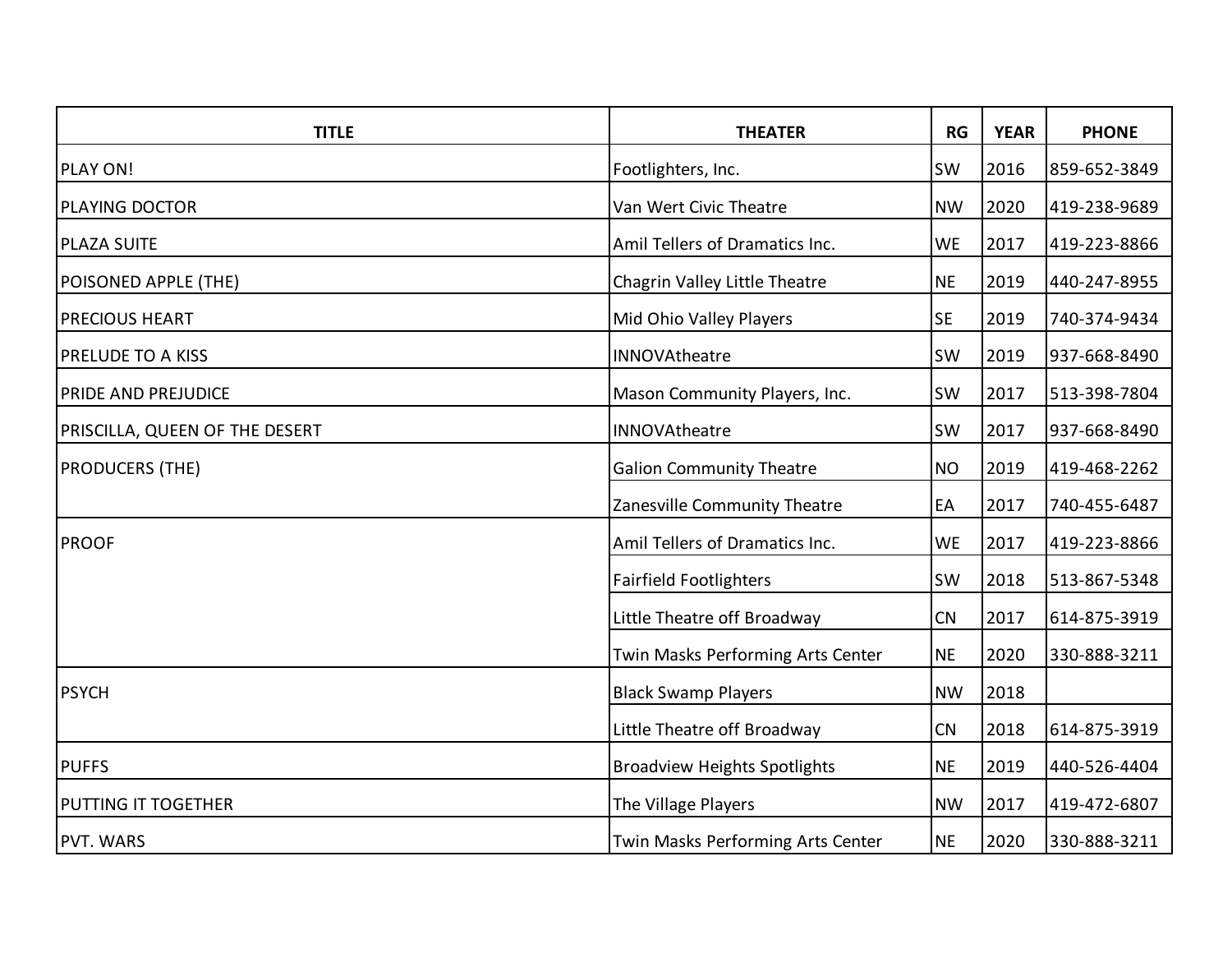| <b>TITLE</b>                   | <b>THEATER</b>                      | RG        | <b>YEAR</b> | <b>PHONE</b> |
|--------------------------------|-------------------------------------|-----------|-------------|--------------|
| PLAY ON!                       | Footlighters, Inc.                  | <b>SW</b> | 2016        | 859-652-3849 |
| PLAYING DOCTOR                 | Van Wert Civic Theatre              | <b>NW</b> | 2020        | 419-238-9689 |
| <b>PLAZA SUITE</b>             | Amil Tellers of Dramatics Inc.      | <b>WE</b> | 2017        | 419-223-8866 |
| POISONED APPLE (THE)           | Chagrin Valley Little Theatre       | <b>NE</b> | 2019        | 440-247-8955 |
| <b>PRECIOUS HEART</b>          | Mid Ohio Valley Players             | <b>SE</b> | 2019        | 740-374-9434 |
| <b>PRELUDE TO A KISS</b>       | INNOVAtheatre                       | <b>SW</b> | 2019        | 937-668-8490 |
| PRIDE AND PREJUDICE            | Mason Community Players, Inc.       | <b>SW</b> | 2017        | 513-398-7804 |
| PRISCILLA, QUEEN OF THE DESERT | INNOVAtheatre                       | SW        | 2017        | 937-668-8490 |
| <b>PRODUCERS (THE)</b>         | <b>Galion Community Theatre</b>     | <b>NO</b> | 2019        | 419-468-2262 |
|                                | Zanesville Community Theatre        | EA        | 2017        | 740-455-6487 |
| <b>PROOF</b>                   | Amil Tellers of Dramatics Inc.      | <b>WE</b> | 2017        | 419-223-8866 |
|                                | <b>Fairfield Footlighters</b>       | <b>SW</b> | 2018        | 513-867-5348 |
|                                | Little Theatre off Broadway         | CN        | 2017        | 614-875-3919 |
|                                | Twin Masks Performing Arts Center   | <b>NE</b> | 2020        | 330-888-3211 |
| <b>PSYCH</b>                   | <b>Black Swamp Players</b>          | <b>NW</b> | 2018        |              |
|                                | Little Theatre off Broadway         | CN        | 2018        | 614-875-3919 |
| <b>PUFFS</b>                   | <b>Broadview Heights Spotlights</b> | <b>NE</b> | 2019        | 440-526-4404 |
| PUTTING IT TOGETHER            | The Village Players                 | <b>NW</b> | 2017        | 419-472-6807 |
| <b>PVT. WARS</b>               | Twin Masks Performing Arts Center   | <b>NE</b> | 2020        | 330-888-3211 |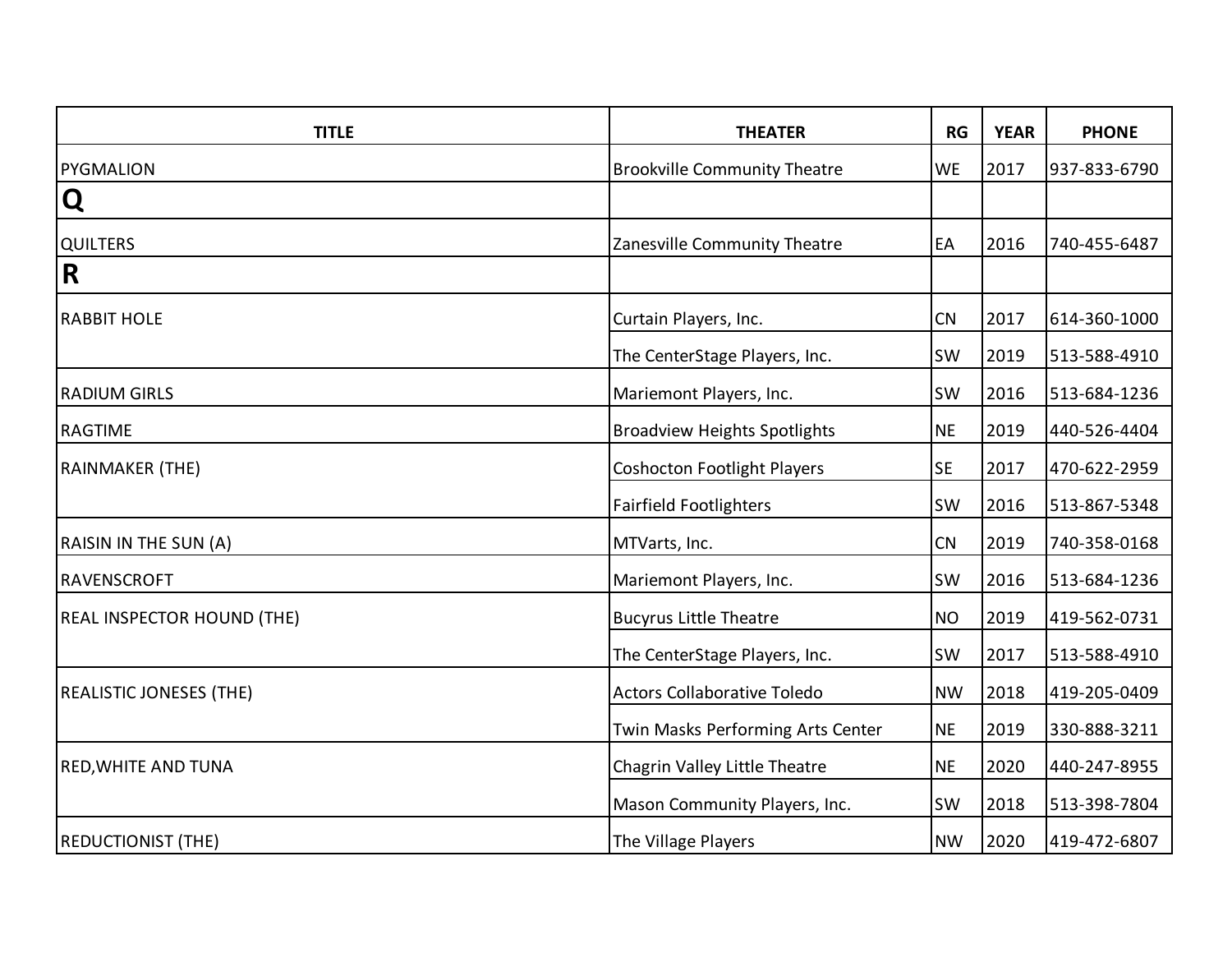| <b>TITLE</b>                      | <b>THEATER</b>                      | RG        | <b>YEAR</b> | <b>PHONE</b> |
|-----------------------------------|-------------------------------------|-----------|-------------|--------------|
| <b>PYGMALION</b>                  | <b>Brookville Community Theatre</b> | <b>WE</b> | 2017        | 937-833-6790 |
| Q                                 |                                     |           |             |              |
| QUILTERS                          | Zanesville Community Theatre        | EA        | 2016        | 740-455-6487 |
| R                                 |                                     |           |             |              |
| <b>RABBIT HOLE</b>                | Curtain Players, Inc.               | CN        | 2017        | 614-360-1000 |
|                                   | The CenterStage Players, Inc.       | <b>SW</b> | 2019        | 513-588-4910 |
| <b>RADIUM GIRLS</b>               | Mariemont Players, Inc.             | <b>SW</b> | 2016        | 513-684-1236 |
| <b>RAGTIME</b>                    | <b>Broadview Heights Spotlights</b> | <b>NE</b> | 2019        | 440-526-4404 |
| <b>RAINMAKER (THE)</b>            | <b>Coshocton Footlight Players</b>  | <b>SE</b> | 2017        | 470-622-2959 |
|                                   | <b>Fairfield Footlighters</b>       | <b>SW</b> | 2016        | 513-867-5348 |
| RAISIN IN THE SUN (A)             | MTVarts, Inc.                       | CN        | 2019        | 740-358-0168 |
| RAVENSCROFT                       | Mariemont Players, Inc.             | SW        | 2016        | 513-684-1236 |
| <b>REAL INSPECTOR HOUND (THE)</b> | <b>Bucyrus Little Theatre</b>       | <b>NO</b> | 2019        | 419-562-0731 |
|                                   | The CenterStage Players, Inc.       | <b>SW</b> | 2017        | 513-588-4910 |
| <b>REALISTIC JONESES (THE)</b>    | <b>Actors Collaborative Toledo</b>  | <b>NW</b> | 2018        | 419-205-0409 |
|                                   | Twin Masks Performing Arts Center   | <b>NE</b> | 2019        | 330-888-3211 |
| <b>RED, WHITE AND TUNA</b>        | Chagrin Valley Little Theatre       | <b>NE</b> | 2020        | 440-247-8955 |
|                                   | Mason Community Players, Inc.       | SW        | 2018        | 513-398-7804 |
| <b>REDUCTIONIST (THE)</b>         | The Village Players                 | <b>NW</b> | 2020        | 419-472-6807 |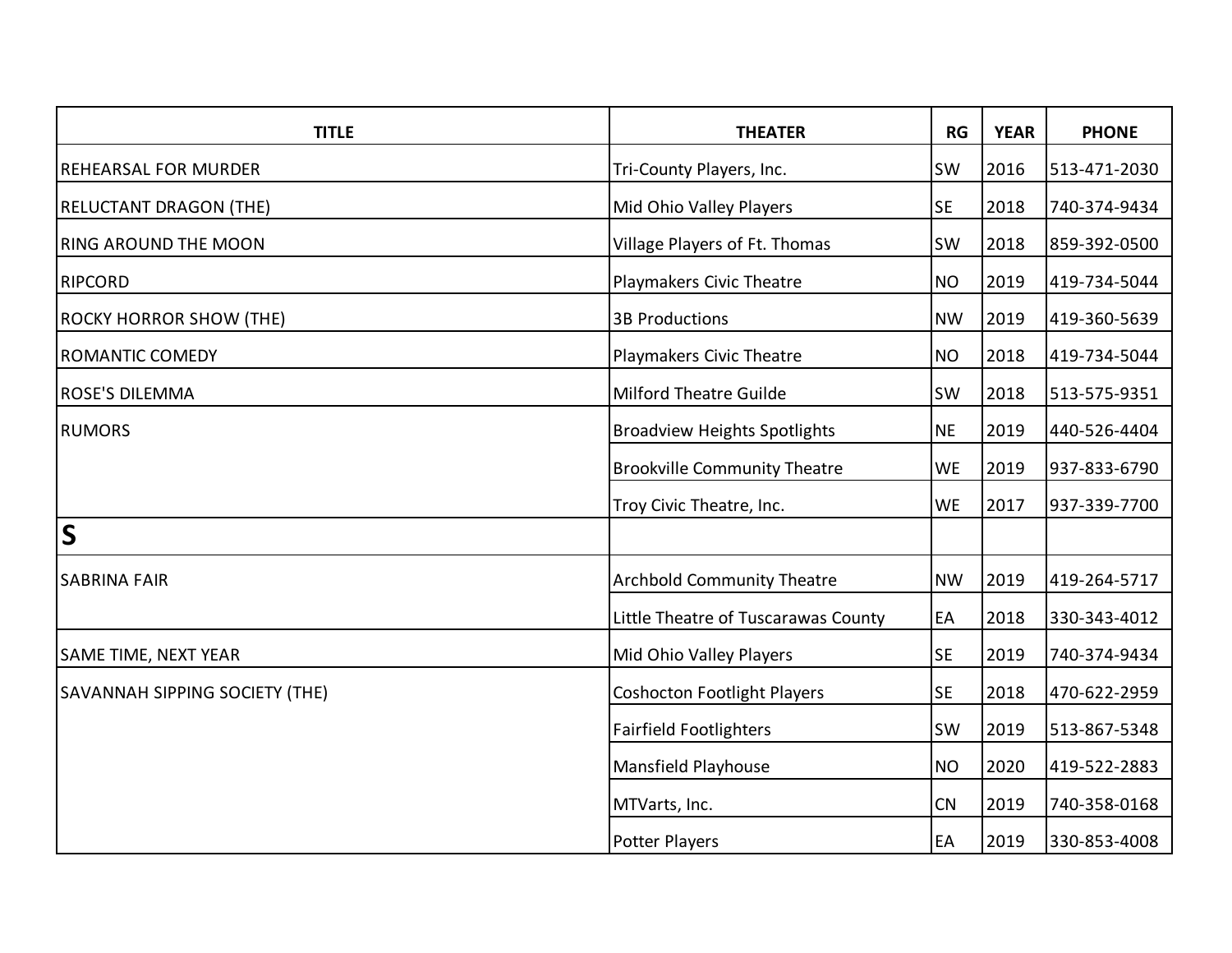| <b>TITLE</b>                          | <b>THEATER</b>                      | RG        | <b>YEAR</b> | <b>PHONE</b> |
|---------------------------------------|-------------------------------------|-----------|-------------|--------------|
| <b>REHEARSAL FOR MURDER</b>           | Tri-County Players, Inc.            | <b>SW</b> | 2016        | 513-471-2030 |
| <b>RELUCTANT DRAGON (THE)</b>         | Mid Ohio Valley Players             | <b>SE</b> | 2018        | 740-374-9434 |
| <b>RING AROUND THE MOON</b>           | Village Players of Ft. Thomas       | <b>SW</b> | 2018        | 859-392-0500 |
| <b>RIPCORD</b>                        | Playmakers Civic Theatre            | <b>NO</b> | 2019        | 419-734-5044 |
| <b>ROCKY HORROR SHOW (THE)</b>        | <b>3B Productions</b>               | <b>NW</b> | 2019        | 419-360-5639 |
| <b>ROMANTIC COMEDY</b>                | Playmakers Civic Theatre            | <b>NO</b> | 2018        | 419-734-5044 |
| <b>ROSE'S DILEMMA</b>                 | <b>Milford Theatre Guilde</b>       | <b>SW</b> | 2018        | 513-575-9351 |
| <b>RUMORS</b>                         | <b>Broadview Heights Spotlights</b> | <b>NE</b> | 2019        | 440-526-4404 |
|                                       | <b>Brookville Community Theatre</b> | <b>WE</b> | 2019        | 937-833-6790 |
|                                       | Troy Civic Theatre, Inc.            | <b>WE</b> | 2017        | 937-339-7700 |
| $\mathsf{S}$                          |                                     |           |             |              |
| <b>SABRINA FAIR</b>                   | <b>Archbold Community Theatre</b>   | <b>NW</b> | 2019        | 419-264-5717 |
|                                       | Little Theatre of Tuscarawas County | EA        | 2018        | 330-343-4012 |
| SAME TIME, NEXT YEAR                  | Mid Ohio Valley Players             | <b>SE</b> | 2019        | 740-374-9434 |
| <b>SAVANNAH SIPPING SOCIETY (THE)</b> | <b>Coshocton Footlight Players</b>  | <b>SE</b> | 2018        | 470-622-2959 |
|                                       | <b>Fairfield Footlighters</b>       | <b>SW</b> | 2019        | 513-867-5348 |
|                                       | Mansfield Playhouse                 | <b>NO</b> | 2020        | 419-522-2883 |
|                                       | MTVarts, Inc.                       | CN        | 2019        | 740-358-0168 |
|                                       | Potter Players                      | EA        | 2019        | 330-853-4008 |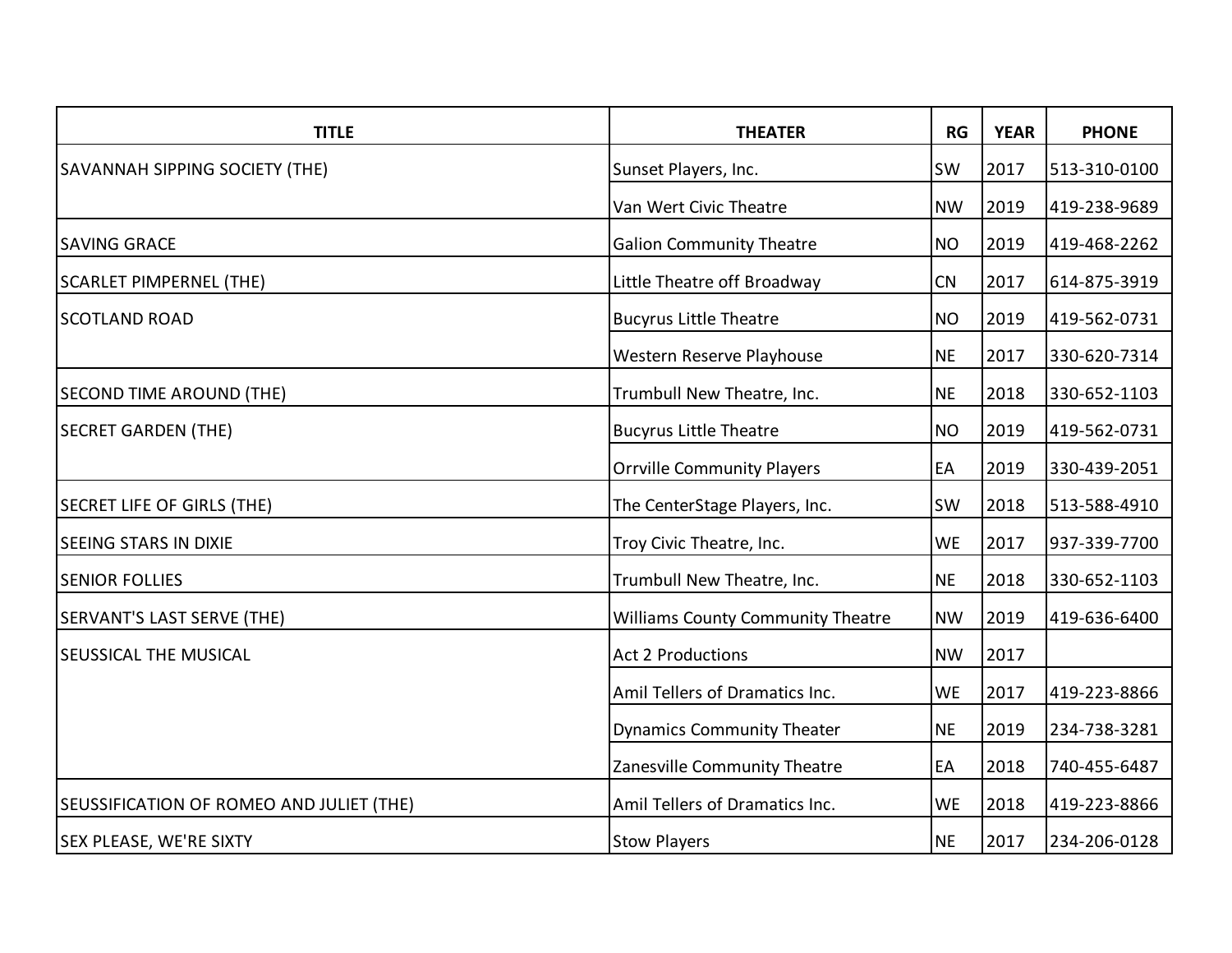| <b>TITLE</b>                             | <b>THEATER</b>                           | RG        | <b>YEAR</b> | <b>PHONE</b> |
|------------------------------------------|------------------------------------------|-----------|-------------|--------------|
| <b>SAVANNAH SIPPING SOCIETY (THE)</b>    | Sunset Players, Inc.                     | SW        | 2017        | 513-310-0100 |
|                                          | Van Wert Civic Theatre                   | <b>NW</b> | 2019        | 419-238-9689 |
| <b>SAVING GRACE</b>                      | <b>Galion Community Theatre</b>          | <b>NO</b> | 2019        | 419-468-2262 |
| <b>SCARLET PIMPERNEL (THE)</b>           | Little Theatre off Broadway              | CN        | 2017        | 614-875-3919 |
| <b>SCOTLAND ROAD</b>                     | <b>Bucyrus Little Theatre</b>            | <b>NO</b> | 2019        | 419-562-0731 |
|                                          | Western Reserve Playhouse                | <b>NE</b> | 2017        | 330-620-7314 |
| <b>SECOND TIME AROUND (THE)</b>          | Trumbull New Theatre, Inc.               | <b>NE</b> | 2018        | 330-652-1103 |
| <b>SECRET GARDEN (THE)</b>               | <b>Bucyrus Little Theatre</b>            | <b>NO</b> | 2019        | 419-562-0731 |
|                                          | <b>Orrville Community Players</b>        | EA        | 2019        | 330-439-2051 |
| <b>SECRET LIFE OF GIRLS (THE)</b>        | The CenterStage Players, Inc.            | <b>SW</b> | 2018        | 513-588-4910 |
| <b>SEEING STARS IN DIXIE</b>             | Troy Civic Theatre, Inc.                 | <b>WE</b> | 2017        | 937-339-7700 |
| <b>SENIOR FOLLIES</b>                    | Trumbull New Theatre, Inc.               | <b>NE</b> | 2018        | 330-652-1103 |
| <b>SERVANT'S LAST SERVE (THE)</b>        | <b>Williams County Community Theatre</b> | <b>NW</b> | 2019        | 419-636-6400 |
| <b>SEUSSICAL THE MUSICAL</b>             | <b>Act 2 Productions</b>                 | <b>NW</b> | 2017        |              |
|                                          | Amil Tellers of Dramatics Inc.           | <b>WE</b> | 2017        | 419-223-8866 |
|                                          | <b>Dynamics Community Theater</b>        | <b>NE</b> | 2019        | 234-738-3281 |
|                                          | Zanesville Community Theatre             | EA        | 2018        | 740-455-6487 |
| SEUSSIFICATION OF ROMEO AND JULIET (THE) | Amil Tellers of Dramatics Inc.           | <b>WE</b> | 2018        | 419-223-8866 |
| <b>SEX PLEASE, WE'RE SIXTY</b>           | <b>Stow Players</b>                      | <b>NE</b> | 2017        | 234-206-0128 |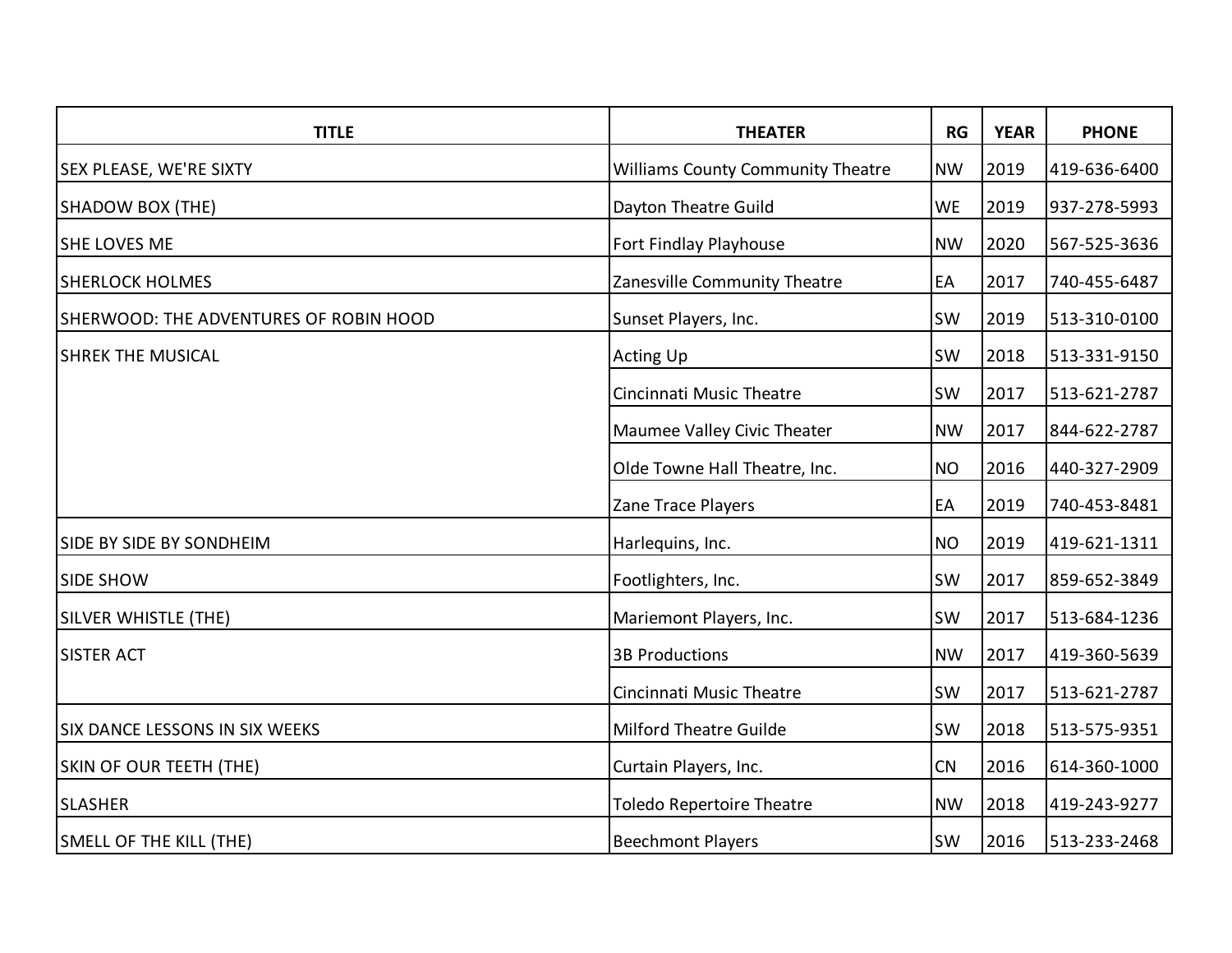| <b>TITLE</b>                           | <b>THEATER</b>                           | <b>RG</b> | <b>YEAR</b> | <b>PHONE</b> |
|----------------------------------------|------------------------------------------|-----------|-------------|--------------|
| <b>SEX PLEASE, WE'RE SIXTY</b>         | <b>Williams County Community Theatre</b> | <b>NW</b> | 2019        | 419-636-6400 |
| SHADOW BOX (THE)                       | Dayton Theatre Guild                     | <b>WE</b> | 2019        | 937-278-5993 |
| SHE LOVES ME                           | Fort Findlay Playhouse                   | <b>NW</b> | 2020        | 567-525-3636 |
| <b>SHERLOCK HOLMES</b>                 | Zanesville Community Theatre             | EA        | 2017        | 740-455-6487 |
| SHERWOOD: THE ADVENTURES OF ROBIN HOOD | Sunset Players, Inc.                     | <b>SW</b> | 2019        | 513-310-0100 |
| <b>SHREK THE MUSICAL</b>               | <b>Acting Up</b>                         | <b>SW</b> | 2018        | 513-331-9150 |
|                                        | Cincinnati Music Theatre                 | <b>SW</b> | 2017        | 513-621-2787 |
|                                        | Maumee Valley Civic Theater              | <b>NW</b> | 2017        | 844-622-2787 |
|                                        | Olde Towne Hall Theatre, Inc.            | <b>NO</b> | 2016        | 440-327-2909 |
|                                        | Zane Trace Players                       | EA        | 2019        | 740-453-8481 |
| SIDE BY SIDE BY SONDHEIM               | Harlequins, Inc.                         | <b>NO</b> | 2019        | 419-621-1311 |
| <b>SIDE SHOW</b>                       | Footlighters, Inc.                       | SW        | 2017        | 859-652-3849 |
| SILVER WHISTLE (THE)                   | Mariemont Players, Inc.                  | <b>SW</b> | 2017        | 513-684-1236 |
| <b>SISTER ACT</b>                      | <b>3B Productions</b>                    | <b>NW</b> | 2017        | 419-360-5639 |
|                                        | Cincinnati Music Theatre                 | SW        | 2017        | 513-621-2787 |
| <b>SIX DANCE LESSONS IN SIX WEEKS</b>  | <b>Milford Theatre Guilde</b>            | <b>SW</b> | 2018        | 513-575-9351 |
| SKIN OF OUR TEETH (THE)                | Curtain Players, Inc.                    | CN        | 2016        | 614-360-1000 |
| <b>SLASHER</b>                         | <b>Toledo Repertoire Theatre</b>         | <b>NW</b> | 2018        | 419-243-9277 |
| SMELL OF THE KILL (THE)                | <b>Beechmont Players</b>                 | SW        | 2016        | 513-233-2468 |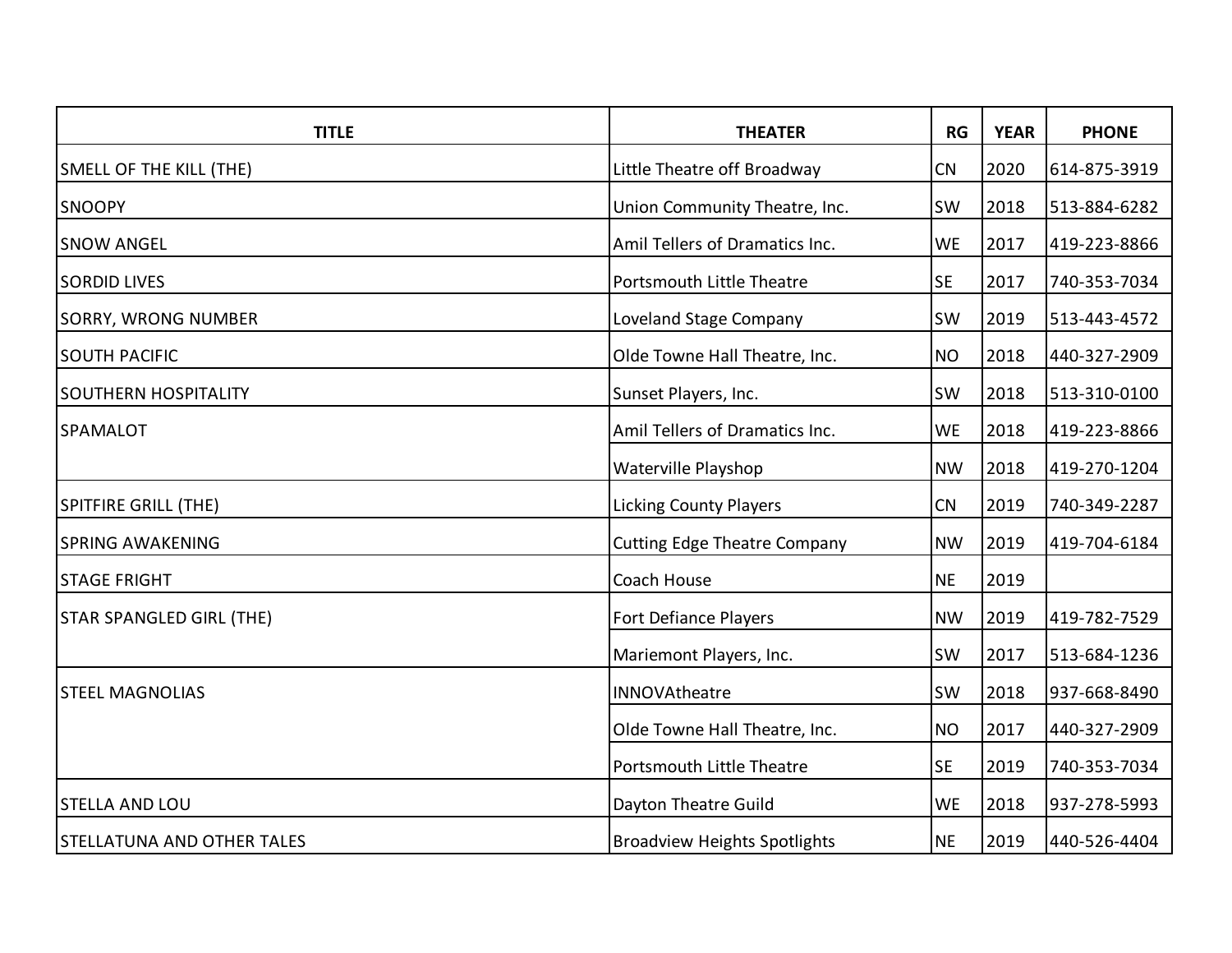| <b>TITLE</b>                      | <b>THEATER</b>                      | RG        | <b>YEAR</b> | <b>PHONE</b> |
|-----------------------------------|-------------------------------------|-----------|-------------|--------------|
| SMELL OF THE KILL (THE)           | Little Theatre off Broadway         | CN        | 2020        | 614-875-3919 |
| <b>SNOOPY</b>                     | Union Community Theatre, Inc.       | SW        | 2018        | 513-884-6282 |
| <b>SNOW ANGEL</b>                 | Amil Tellers of Dramatics Inc.      | <b>WE</b> | 2017        | 419-223-8866 |
| <b>SORDID LIVES</b>               | Portsmouth Little Theatre           | <b>SE</b> | 2017        | 740-353-7034 |
| SORRY, WRONG NUMBER               | Loveland Stage Company              | <b>SW</b> | 2019        | 513-443-4572 |
| <b>SOUTH PACIFIC</b>              | Olde Towne Hall Theatre, Inc.       | <b>NO</b> | 2018        | 440-327-2909 |
| <b>SOUTHERN HOSPITALITY</b>       | Sunset Players, Inc.                | <b>SW</b> | 2018        | 513-310-0100 |
| <b>SPAMALOT</b>                   | Amil Tellers of Dramatics Inc.      | <b>WE</b> | 2018        | 419-223-8866 |
|                                   | Waterville Playshop                 | <b>NW</b> | 2018        | 419-270-1204 |
| <b>SPITFIRE GRILL (THE)</b>       | <b>Licking County Players</b>       | CN        | 2019        | 740-349-2287 |
| <b>SPRING AWAKENING</b>           | <b>Cutting Edge Theatre Company</b> | <b>NW</b> | 2019        | 419-704-6184 |
| <b>STAGE FRIGHT</b>               | Coach House                         | <b>NE</b> | 2019        |              |
| <b>STAR SPANGLED GIRL (THE)</b>   | <b>Fort Defiance Players</b>        | <b>NW</b> | 2019        | 419-782-7529 |
|                                   | Mariemont Players, Inc.             | <b>SW</b> | 2017        | 513-684-1236 |
| <b>STEEL MAGNOLIAS</b>            | INNOVAtheatre                       | <b>SW</b> | 2018        | 937-668-8490 |
|                                   | Olde Towne Hall Theatre, Inc.       | <b>NO</b> | 2017        | 440-327-2909 |
|                                   | <b>Portsmouth Little Theatre</b>    | <b>SE</b> | 2019        | 740-353-7034 |
| <b>STELLA AND LOU</b>             | Dayton Theatre Guild                | <b>WE</b> | 2018        | 937-278-5993 |
| <b>STELLATUNA AND OTHER TALES</b> | <b>Broadview Heights Spotlights</b> | <b>NE</b> | 2019        | 440-526-4404 |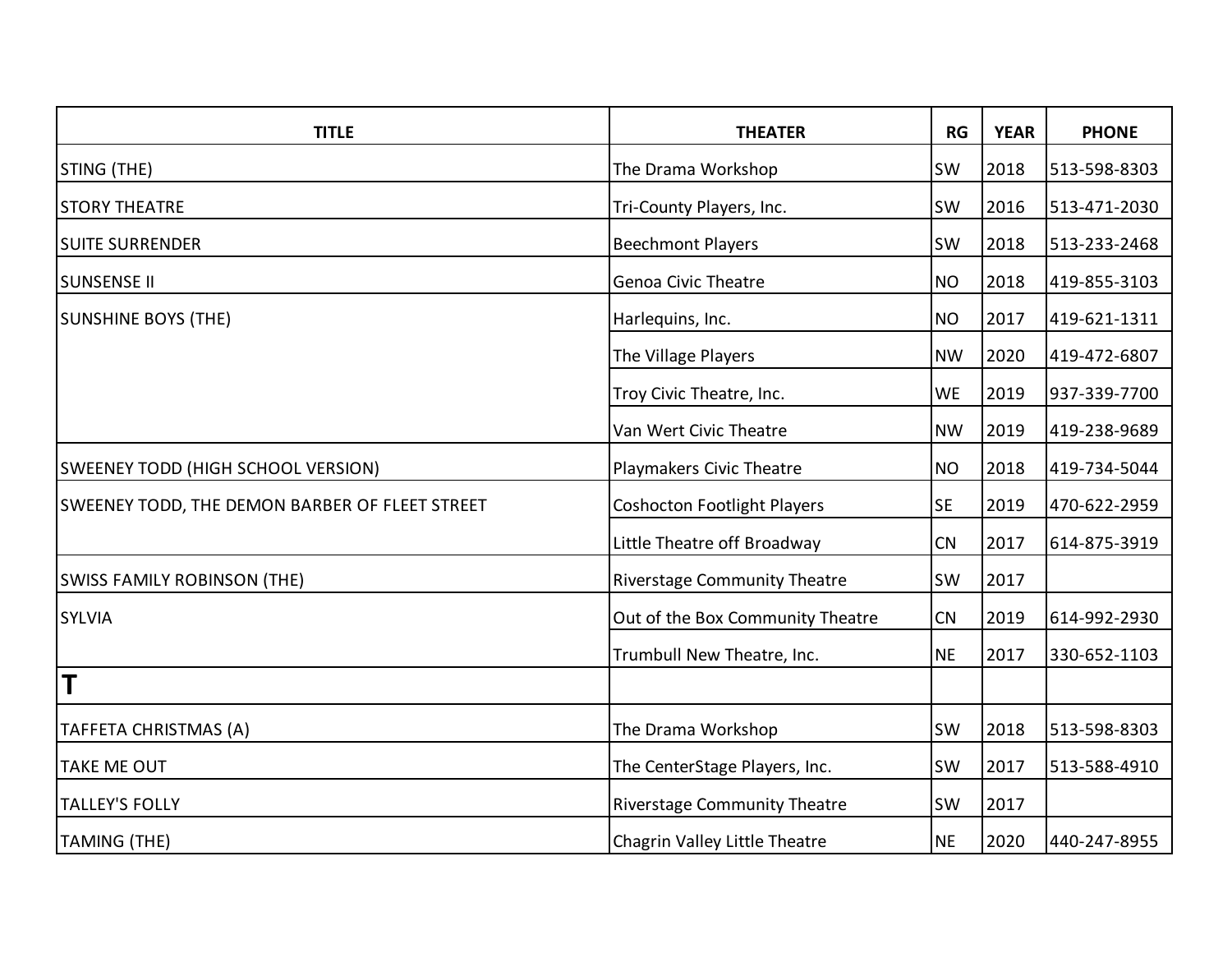| <b>TITLE</b>                                   | <b>THEATER</b>                      | RG        | <b>YEAR</b> | <b>PHONE</b> |
|------------------------------------------------|-------------------------------------|-----------|-------------|--------------|
| STING (THE)                                    | The Drama Workshop                  | <b>SW</b> | 2018        | 513-598-8303 |
| <b>STORY THEATRE</b>                           | Tri-County Players, Inc.            | <b>SW</b> | 2016        | 513-471-2030 |
| <b>SUITE SURRENDER</b>                         | <b>Beechmont Players</b>            | SW        | 2018        | 513-233-2468 |
| <b>SUNSENSE II</b>                             | <b>Genoa Civic Theatre</b>          | <b>NO</b> | 2018        | 419-855-3103 |
| <b>SUNSHINE BOYS (THE)</b>                     | Harlequins, Inc.                    | <b>NO</b> | 2017        | 419-621-1311 |
|                                                | The Village Players                 | <b>NW</b> | 2020        | 419-472-6807 |
|                                                | Troy Civic Theatre, Inc.            | <b>WE</b> | 2019        | 937-339-7700 |
|                                                | Van Wert Civic Theatre              | <b>NW</b> | 2019        | 419-238-9689 |
| SWEENEY TODD (HIGH SCHOOL VERSION)             | Playmakers Civic Theatre            | <b>NO</b> | 2018        | 419-734-5044 |
| SWEENEY TODD, THE DEMON BARBER OF FLEET STREET | <b>Coshocton Footlight Players</b>  | <b>SE</b> | 2019        | 470-622-2959 |
|                                                | Little Theatre off Broadway         | CN        | 2017        | 614-875-3919 |
| <b>SWISS FAMILY ROBINSON (THE)</b>             | <b>Riverstage Community Theatre</b> | <b>SW</b> | 2017        |              |
| <b>SYLVIA</b>                                  | Out of the Box Community Theatre    | CN        | 2019        | 614-992-2930 |
|                                                | Trumbull New Theatre, Inc.          | <b>NE</b> | 2017        | 330-652-1103 |
| T                                              |                                     |           |             |              |
| TAFFETA CHRISTMAS (A)                          | The Drama Workshop                  | <b>SW</b> | 2018        | 513-598-8303 |
| <b>TAKE ME OUT</b>                             | The CenterStage Players, Inc.       | <b>SW</b> | 2017        | 513-588-4910 |
| <b>TALLEY'S FOLLY</b>                          | <b>Riverstage Community Theatre</b> | <b>SW</b> | 2017        |              |
| <b>TAMING (THE)</b>                            | Chagrin Valley Little Theatre       | <b>NE</b> | 2020        | 440-247-8955 |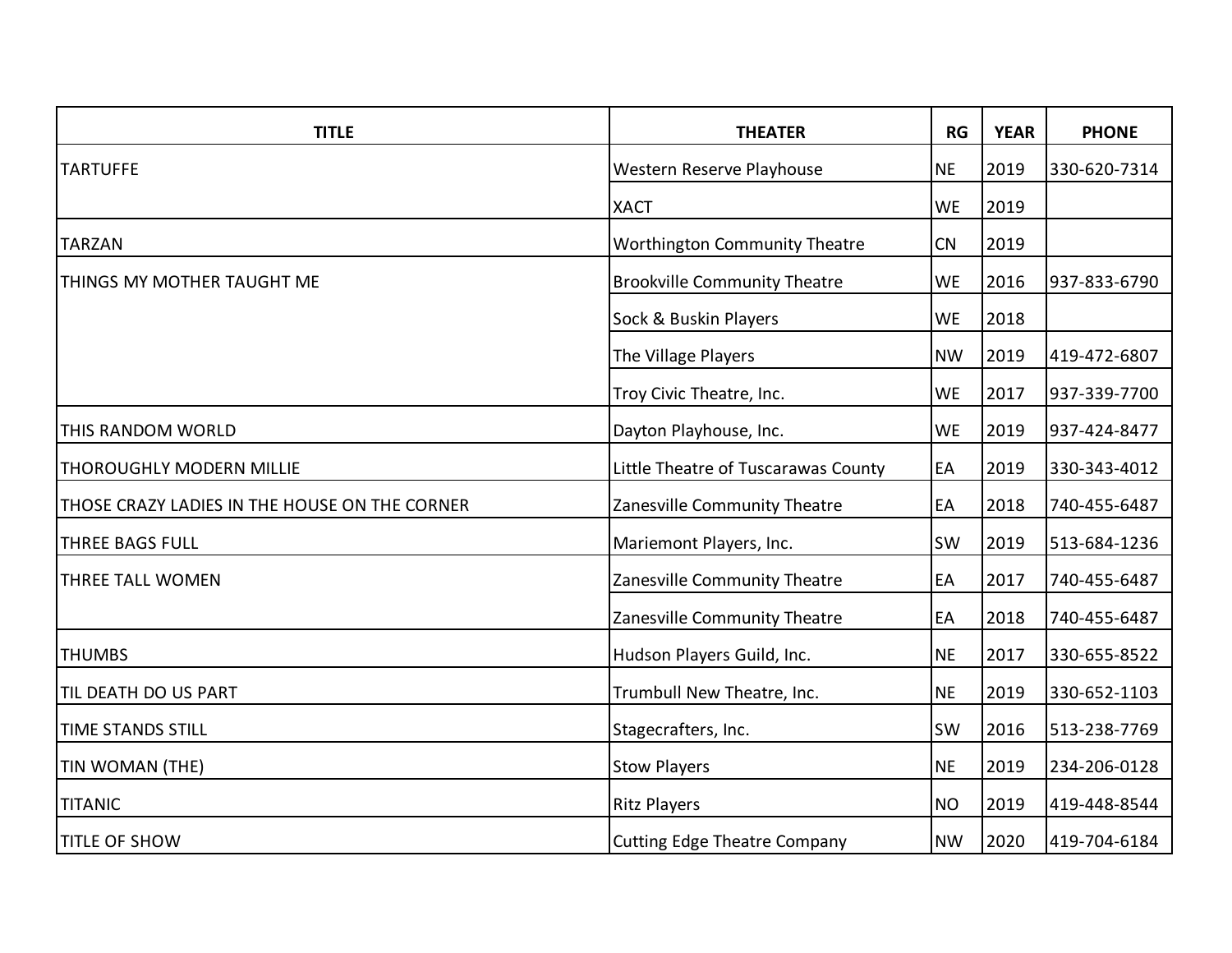| <b>TITLE</b>                                  | <b>THEATER</b>                       | <b>RG</b> | <b>YEAR</b> | <b>PHONE</b> |
|-----------------------------------------------|--------------------------------------|-----------|-------------|--------------|
| <b>TARTUFFE</b>                               | Western Reserve Playhouse            | <b>NE</b> | 2019        | 330-620-7314 |
|                                               | <b>XACT</b>                          | <b>WE</b> | 2019        |              |
| <b>TARZAN</b>                                 | <b>Worthington Community Theatre</b> | CN        | 2019        |              |
| THINGS MY MOTHER TAUGHT ME                    | <b>Brookville Community Theatre</b>  | <b>WE</b> | 2016        | 937-833-6790 |
|                                               | Sock & Buskin Players                | <b>WE</b> | 2018        |              |
|                                               | The Village Players                  | <b>NW</b> | 2019        | 419-472-6807 |
|                                               | Troy Civic Theatre, Inc.             | <b>WE</b> | 2017        | 937-339-7700 |
| <b>THIS RANDOM WORLD</b>                      | Dayton Playhouse, Inc.               | <b>WE</b> | 2019        | 937-424-8477 |
| <b>THOROUGHLY MODERN MILLIE</b>               | Little Theatre of Tuscarawas County  | EA        | 2019        | 330-343-4012 |
| THOSE CRAZY LADIES IN THE HOUSE ON THE CORNER | Zanesville Community Theatre         | EA        | 2018        | 740-455-6487 |
| <b>THREE BAGS FULL</b>                        | Mariemont Players, Inc.              | <b>SW</b> | 2019        | 513-684-1236 |
| <b>THREE TALL WOMEN</b>                       | Zanesville Community Theatre         | EA        | 2017        | 740-455-6487 |
|                                               | Zanesville Community Theatre         | EA        | 2018        | 740-455-6487 |
| <b>THUMBS</b>                                 | Hudson Players Guild, Inc.           | <b>NE</b> | 2017        | 330-655-8522 |
| TIL DEATH DO US PART                          | Trumbull New Theatre, Inc.           | <b>NE</b> | 2019        | 330-652-1103 |
| <b>TIME STANDS STILL</b>                      | Stagecrafters, Inc.                  | <b>SW</b> | 2016        | 513-238-7769 |
| TIN WOMAN (THE)                               | <b>Stow Players</b>                  | <b>NE</b> | 2019        | 234-206-0128 |
| <b>TITANIC</b>                                | <b>Ritz Players</b>                  | <b>NO</b> | 2019        | 419-448-8544 |
| <b>TITLE OF SHOW</b>                          | <b>Cutting Edge Theatre Company</b>  | <b>NW</b> | 2020        | 419-704-6184 |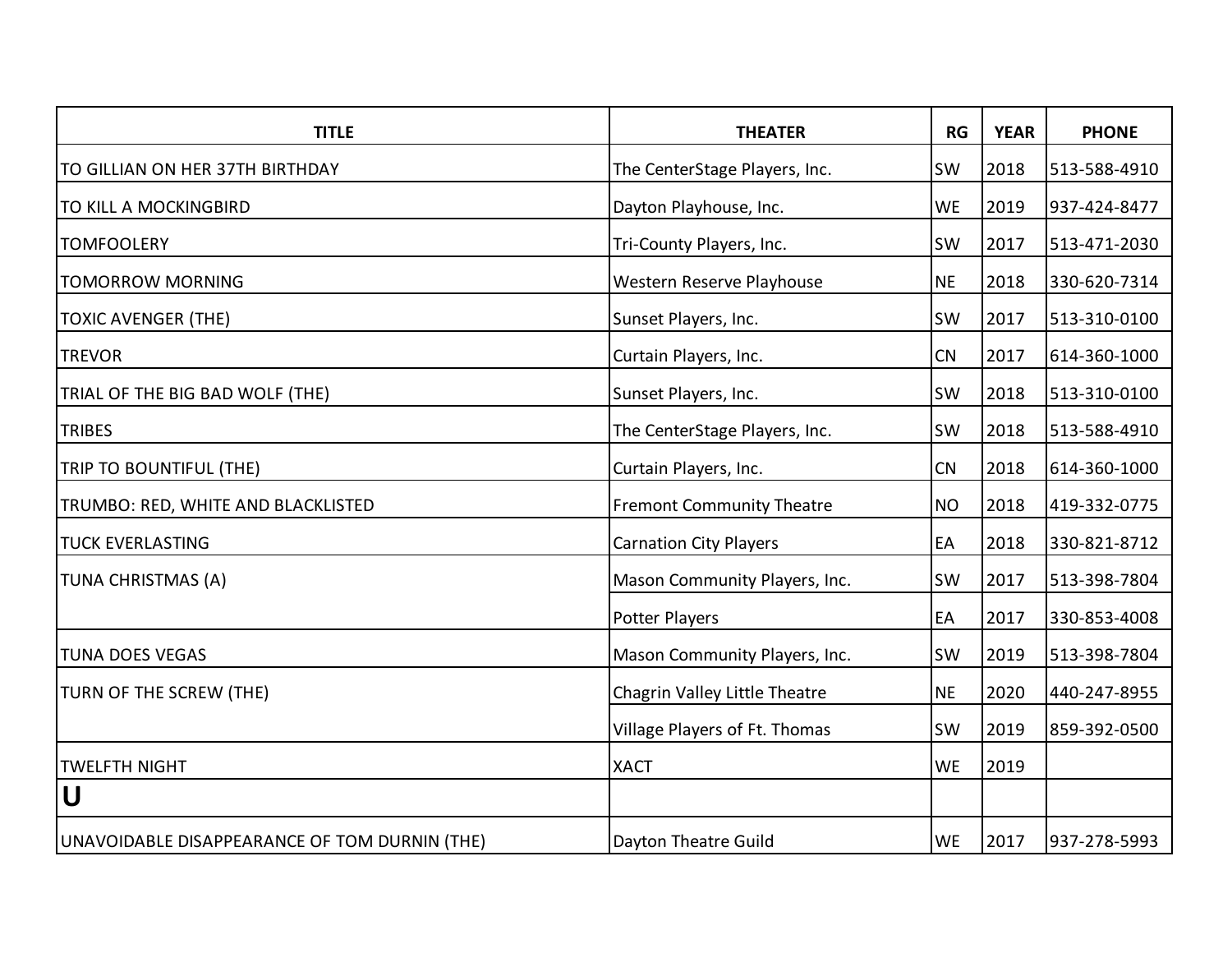| <b>TITLE</b>                                  | <b>THEATER</b>                   | <b>RG</b> | <b>YEAR</b> | <b>PHONE</b> |
|-----------------------------------------------|----------------------------------|-----------|-------------|--------------|
| TO GILLIAN ON HER 37TH BIRTHDAY               | The CenterStage Players, Inc.    | SW        | 2018        | 513-588-4910 |
| TO KILL A MOCKINGBIRD                         | Dayton Playhouse, Inc.           | <b>WE</b> | 2019        | 937-424-8477 |
| <b>TOMFOOLERY</b>                             | Tri-County Players, Inc.         | <b>SW</b> | 2017        | 513-471-2030 |
| <b>TOMORROW MORNING</b>                       | Western Reserve Playhouse        | <b>NE</b> | 2018        | 330-620-7314 |
| <b>TOXIC AVENGER (THE)</b>                    | Sunset Players, Inc.             | <b>SW</b> | 2017        | 513-310-0100 |
| <b>TREVOR</b>                                 | Curtain Players, Inc.            | CN        | 2017        | 614-360-1000 |
| TRIAL OF THE BIG BAD WOLF (THE)               | Sunset Players, Inc.             | <b>SW</b> | 2018        | 513-310-0100 |
| <b>TRIBES</b>                                 | The CenterStage Players, Inc.    | <b>SW</b> | 2018        | 513-588-4910 |
| TRIP TO BOUNTIFUL (THE)                       | Curtain Players, Inc.            | CN        | 2018        | 614-360-1000 |
| TRUMBO: RED, WHITE AND BLACKLISTED            | <b>Fremont Community Theatre</b> | <b>NO</b> | 2018        | 419-332-0775 |
| <b>TUCK EVERLASTING</b>                       | <b>Carnation City Players</b>    | EA        | 2018        | 330-821-8712 |
| <b>TUNA CHRISTMAS (A)</b>                     | Mason Community Players, Inc.    | SW        | 2017        | 513-398-7804 |
|                                               | Potter Players                   | EA        | 2017        | 330-853-4008 |
| <b>TUNA DOES VEGAS</b>                        | Mason Community Players, Inc.    | SW        | 2019        | 513-398-7804 |
| <b>TURN OF THE SCREW (THE)</b>                | Chagrin Valley Little Theatre    | <b>NE</b> | 2020        | 440-247-8955 |
|                                               | Village Players of Ft. Thomas    | SW        | 2019        | 859-392-0500 |
| <b>TWELFTH NIGHT</b>                          | <b>XACT</b>                      | <b>WE</b> | 2019        |              |
| U                                             |                                  |           |             |              |
| UNAVOIDABLE DISAPPEARANCE OF TOM DURNIN (THE) | Dayton Theatre Guild             | <b>WE</b> | 2017        | 937-278-5993 |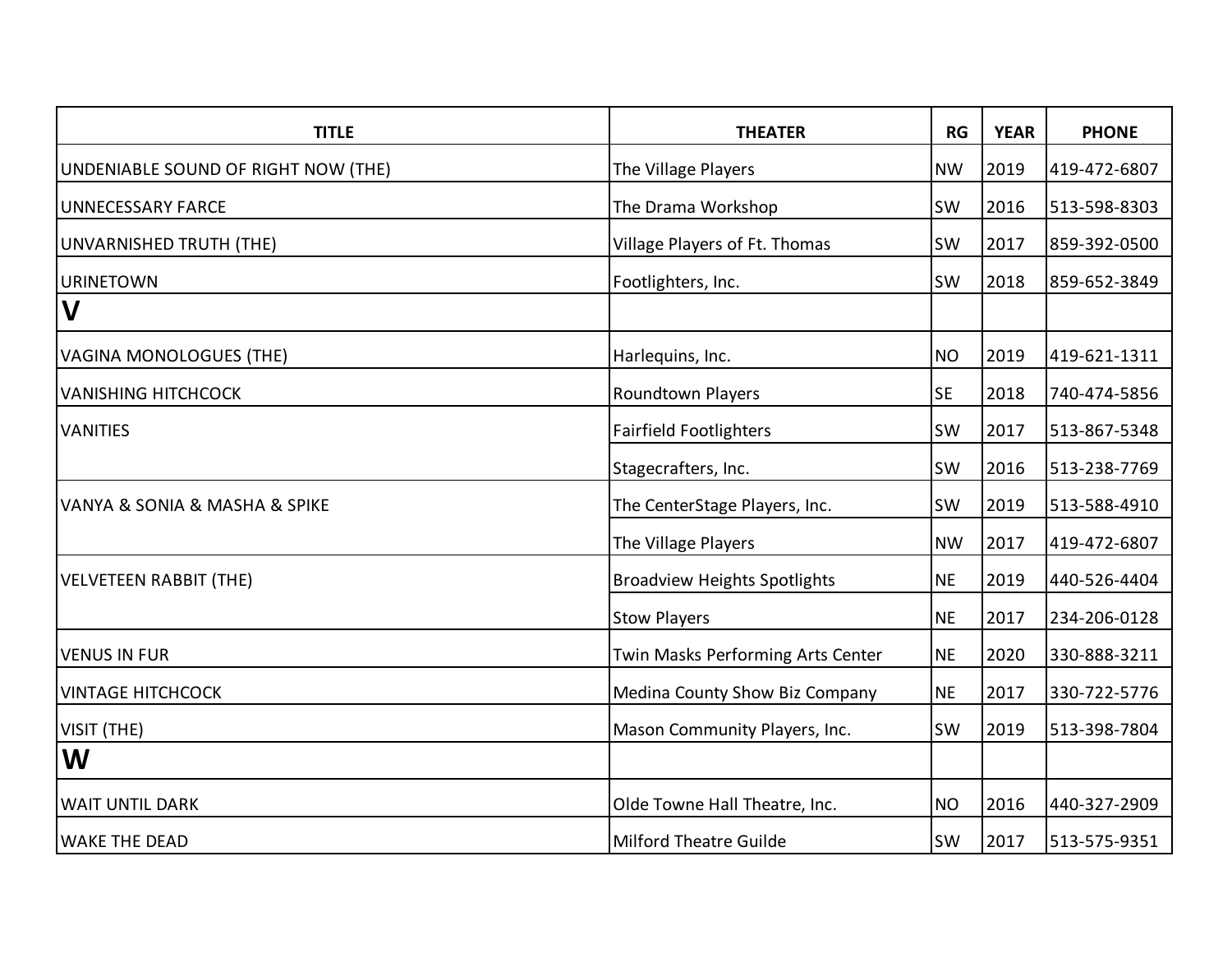| <b>TITLE</b>                                     | <b>THEATER</b>                      | RG        | <b>YEAR</b> | <b>PHONE</b> |
|--------------------------------------------------|-------------------------------------|-----------|-------------|--------------|
| UNDENIABLE SOUND OF RIGHT NOW (THE)              | The Village Players                 | <b>NW</b> | 2019        | 419-472-6807 |
| <b>UNNECESSARY FARCE</b>                         | The Drama Workshop                  | <b>SW</b> | 2016        | 513-598-8303 |
| UNVARNISHED TRUTH (THE)                          | Village Players of Ft. Thomas       | <b>SW</b> | 2017        | 859-392-0500 |
| <b>URINETOWN</b>                                 | Footlighters, Inc.                  | <b>SW</b> | 2018        | 859-652-3849 |
| IV                                               |                                     |           |             |              |
| VAGINA MONOLOGUES (THE)                          | Harlequins, Inc.                    | <b>NO</b> | 2019        | 419-621-1311 |
| <b>VANISHING HITCHCOCK</b>                       | Roundtown Players                   | <b>SE</b> | 2018        | 740-474-5856 |
| <b>VANITIES</b>                                  | <b>Fairfield Footlighters</b>       | <b>SW</b> | 2017        | 513-867-5348 |
|                                                  | Stagecrafters, Inc.                 | <b>SW</b> | 2016        | 513-238-7769 |
| <b>VANYA &amp; SONIA &amp; MASHA &amp; SPIKE</b> | The CenterStage Players, Inc.       | SW        | 2019        | 513-588-4910 |
|                                                  | The Village Players                 | <b>NW</b> | 2017        | 419-472-6807 |
| VELVETEEN RABBIT (THE)                           | <b>Broadview Heights Spotlights</b> | <b>NE</b> | 2019        | 440-526-4404 |
|                                                  | <b>Stow Players</b>                 | <b>NE</b> | 2017        | 234-206-0128 |
| <b>VENUS IN FUR</b>                              | Twin Masks Performing Arts Center   | <b>NE</b> | 2020        | 330-888-3211 |
| <b>VINTAGE HITCHCOCK</b>                         | Medina County Show Biz Company      | <b>NE</b> | 2017        | 330-722-5776 |
| VISIT (THE)                                      | Mason Community Players, Inc.       | <b>SW</b> | 2019        | 513-398-7804 |
| W                                                |                                     |           |             |              |
| <b>WAIT UNTIL DARK</b>                           | Olde Towne Hall Theatre, Inc.       | <b>NO</b> | 2016        | 440-327-2909 |
| <b>WAKE THE DEAD</b>                             | Milford Theatre Guilde              | <b>SW</b> | 2017        | 513-575-9351 |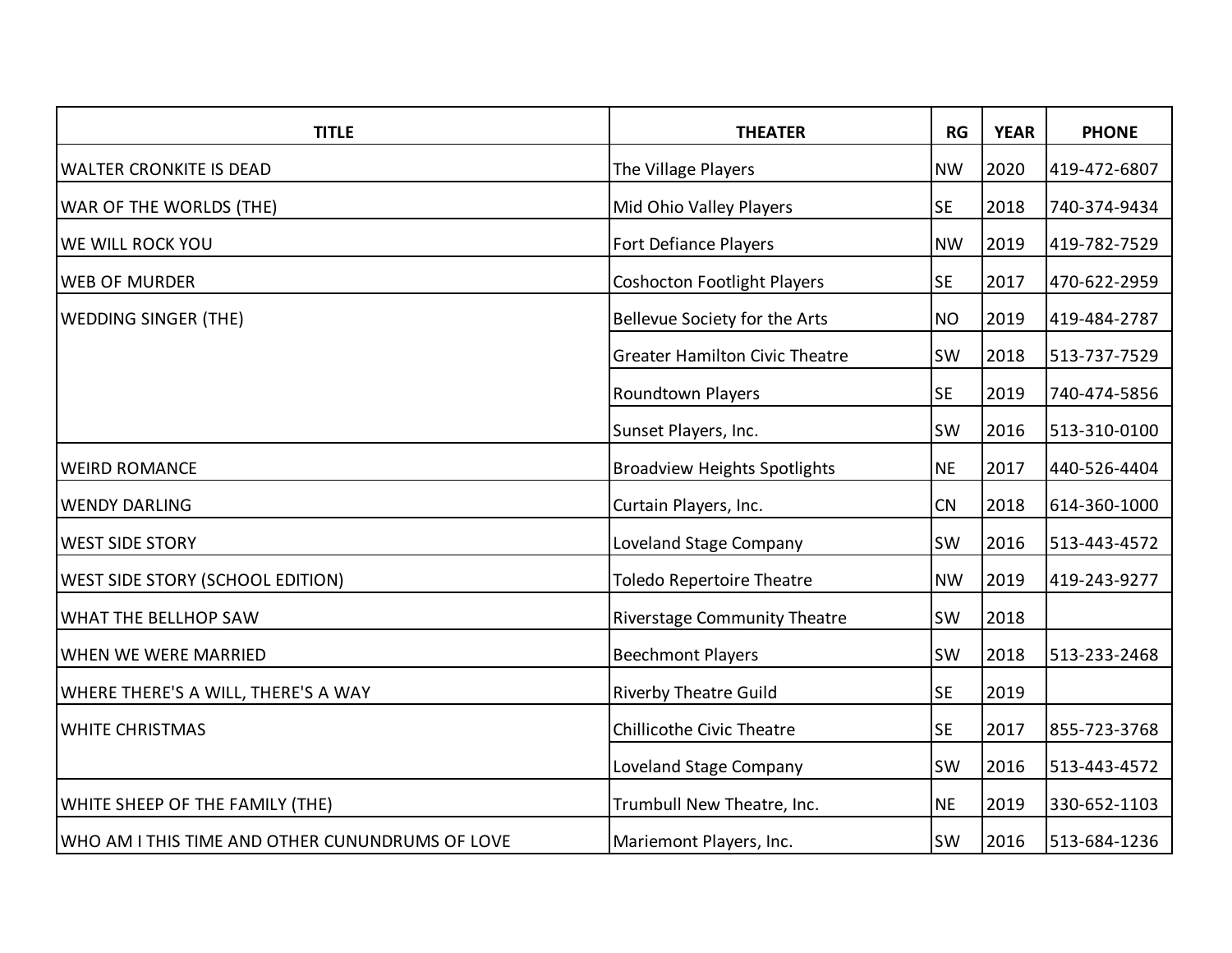| <b>TITLE</b>                                    | <b>THEATER</b>                        | <b>RG</b> | <b>YEAR</b> | <b>PHONE</b> |
|-------------------------------------------------|---------------------------------------|-----------|-------------|--------------|
| <b>WALTER CRONKITE IS DEAD</b>                  | The Village Players                   | <b>NW</b> | 2020        | 419-472-6807 |
| <b>WAR OF THE WORLDS (THE)</b>                  | Mid Ohio Valley Players               | <b>SE</b> | 2018        | 740-374-9434 |
| <b>WE WILL ROCK YOU</b>                         | <b>Fort Defiance Players</b>          | <b>NW</b> | 2019        | 419-782-7529 |
| <b>WEB OF MURDER</b>                            | <b>Coshocton Footlight Players</b>    | <b>SE</b> | 2017        | 470-622-2959 |
| <b>WEDDING SINGER (THE)</b>                     | Bellevue Society for the Arts         | <b>NO</b> | 2019        | 419-484-2787 |
|                                                 | <b>Greater Hamilton Civic Theatre</b> | <b>SW</b> | 2018        | 513-737-7529 |
|                                                 | Roundtown Players                     | <b>SE</b> | 2019        | 740-474-5856 |
|                                                 | Sunset Players, Inc.                  | <b>SW</b> | 2016        | 513-310-0100 |
| <b>WEIRD ROMANCE</b>                            | <b>Broadview Heights Spotlights</b>   | <b>NE</b> | 2017        | 440-526-4404 |
| <b>WENDY DARLING</b>                            | Curtain Players, Inc.                 | CN        | 2018        | 614-360-1000 |
| <b>WEST SIDE STORY</b>                          | Loveland Stage Company                | SW        | 2016        | 513-443-4572 |
| <b>WEST SIDE STORY (SCHOOL EDITION)</b>         | <b>Toledo Repertoire Theatre</b>      | <b>NW</b> | 2019        | 419-243-9277 |
| WHAT THE BELLHOP SAW                            | <b>Riverstage Community Theatre</b>   | SW        | 2018        |              |
| <b>WHEN WE WERE MARRIED</b>                     | <b>Beechmont Players</b>              | SW        | 2018        | 513-233-2468 |
| WHERE THERE'S A WILL, THERE'S A WAY             | <b>Riverby Theatre Guild</b>          | <b>SE</b> | 2019        |              |
| <b>WHITE CHRISTMAS</b>                          | <b>Chillicothe Civic Theatre</b>      | <b>SE</b> | 2017        | 855-723-3768 |
|                                                 | Loveland Stage Company                | <b>SW</b> | 2016        | 513-443-4572 |
| WHITE SHEEP OF THE FAMILY (THE)                 | Trumbull New Theatre, Inc.            | <b>NE</b> | 2019        | 330-652-1103 |
| WHO AM I THIS TIME AND OTHER CUNUNDRUMS OF LOVE | Mariemont Players, Inc.               | SW        | 2016        | 513-684-1236 |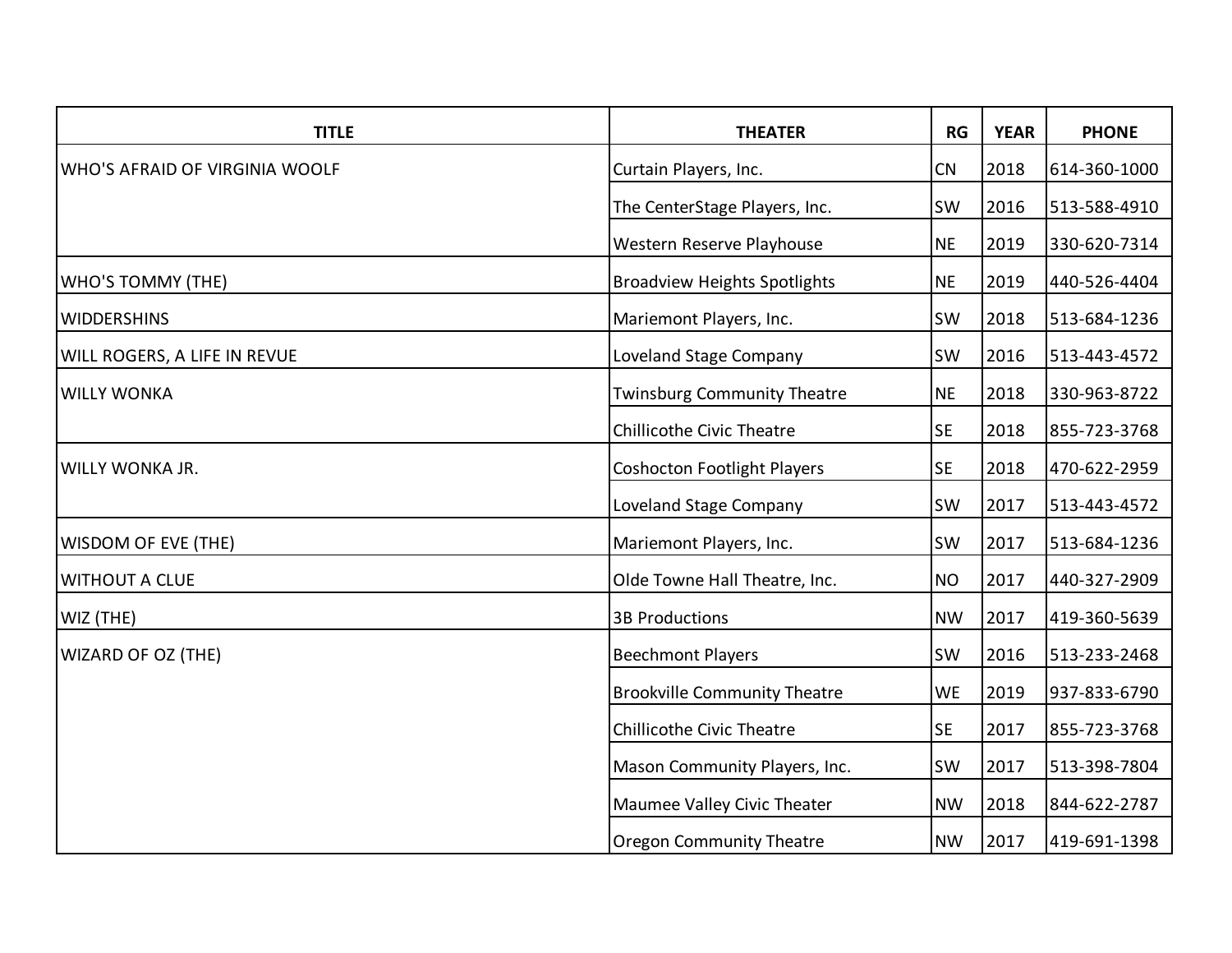| <b>TITLE</b>                          | <b>THEATER</b>                      | RG        | <b>YEAR</b> | <b>PHONE</b> |
|---------------------------------------|-------------------------------------|-----------|-------------|--------------|
| <b>WHO'S AFRAID OF VIRGINIA WOOLF</b> | Curtain Players, Inc.               | CN        | 2018        | 614-360-1000 |
|                                       | The CenterStage Players, Inc.       | <b>SW</b> | 2016        | 513-588-4910 |
|                                       | Western Reserve Playhouse           | <b>NE</b> | 2019        | 330-620-7314 |
| <b>WHO'S TOMMY (THE)</b>              | <b>Broadview Heights Spotlights</b> | <b>NE</b> | 2019        | 440-526-4404 |
| <b>WIDDERSHINS</b>                    | Mariemont Players, Inc.             | <b>SW</b> | 2018        | 513-684-1236 |
| <b>WILL ROGERS, A LIFE IN REVUE</b>   | Loveland Stage Company              | <b>SW</b> | 2016        | 513-443-4572 |
| <b>WILLY WONKA</b>                    | <b>Twinsburg Community Theatre</b>  | <b>NE</b> | 2018        | 330-963-8722 |
|                                       | <b>Chillicothe Civic Theatre</b>    | <b>SE</b> | 2018        | 855-723-3768 |
| <b>WILLY WONKA JR.</b>                | <b>Coshocton Footlight Players</b>  | <b>SE</b> | 2018        | 470-622-2959 |
|                                       | Loveland Stage Company              | <b>SW</b> | 2017        | 513-443-4572 |
| <b>WISDOM OF EVE (THE)</b>            | Mariemont Players, Inc.             | <b>SW</b> | 2017        | 513-684-1236 |
| <b>WITHOUT A CLUE</b>                 | Olde Towne Hall Theatre, Inc.       | <b>NO</b> | 2017        | 440-327-2909 |
| WIZ (THE)                             | <b>3B Productions</b>               | <b>NW</b> | 2017        | 419-360-5639 |
| <b>WIZARD OF OZ (THE)</b>             | <b>Beechmont Players</b>            | <b>SW</b> | 2016        | 513-233-2468 |
|                                       | <b>Brookville Community Theatre</b> | <b>WE</b> | 2019        | 937-833-6790 |
|                                       | <b>Chillicothe Civic Theatre</b>    | <b>SE</b> | 2017        | 855-723-3768 |
|                                       | Mason Community Players, Inc.       | <b>SW</b> | 2017        | 513-398-7804 |
|                                       | Maumee Valley Civic Theater         | <b>NW</b> | 2018        | 844-622-2787 |
|                                       | <b>Oregon Community Theatre</b>     | <b>NW</b> | 2017        | 419-691-1398 |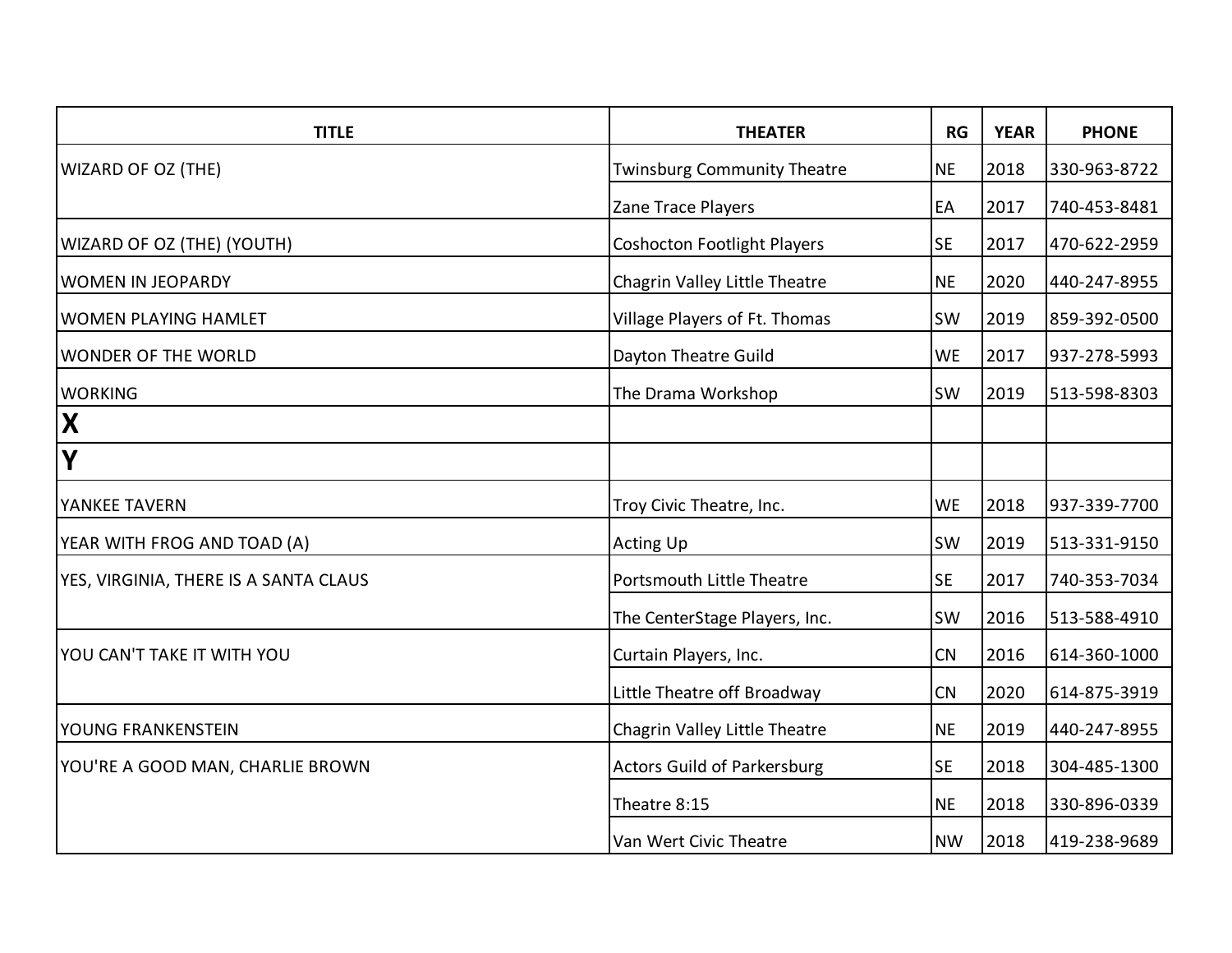| <b>TITLE</b>                          | <b>THEATER</b>                     | RG        | <b>YEAR</b> | <b>PHONE</b> |
|---------------------------------------|------------------------------------|-----------|-------------|--------------|
| <b>WIZARD OF OZ (THE)</b>             | <b>Twinsburg Community Theatre</b> | <b>NE</b> | 2018        | 330-963-8722 |
|                                       | Zane Trace Players                 | EA        | 2017        | 740-453-8481 |
| <b>WIZARD OF OZ (THE) (YOUTH)</b>     | <b>Coshocton Footlight Players</b> | <b>SE</b> | 2017        | 470-622-2959 |
| <b>WOMEN IN JEOPARDY</b>              | Chagrin Valley Little Theatre      | <b>NE</b> | 2020        | 440-247-8955 |
| <b>WOMEN PLAYING HAMLET</b>           | Village Players of Ft. Thomas      | <b>SW</b> | 2019        | 859-392-0500 |
| <b>WONDER OF THE WORLD</b>            | Dayton Theatre Guild               | <b>WE</b> | 2017        | 937-278-5993 |
| <b>WORKING</b>                        | The Drama Workshop                 | <b>SW</b> | 2019        | 513-598-8303 |
| $\mathbf{X}$                          |                                    |           |             |              |
| Y                                     |                                    |           |             |              |
| <b>YANKEE TAVERN</b>                  | Troy Civic Theatre, Inc.           | <b>WE</b> | 2018        | 937-339-7700 |
| YEAR WITH FROG AND TOAD (A)           | <b>Acting Up</b>                   | <b>SW</b> | 2019        | 513-331-9150 |
| YES, VIRGINIA, THERE IS A SANTA CLAUS | Portsmouth Little Theatre          | <b>SE</b> | 2017        | 740-353-7034 |
|                                       | The CenterStage Players, Inc.      | <b>SW</b> | 2016        | 513-588-4910 |
| YOU CAN'T TAKE IT WITH YOU            | Curtain Players, Inc.              | <b>CN</b> | 2016        | 614-360-1000 |
|                                       | Little Theatre off Broadway        | CN        | 2020        | 614-875-3919 |
| YOUNG FRANKENSTEIN                    | Chagrin Valley Little Theatre      | <b>NE</b> | 2019        | 440-247-8955 |
| YOU'RE A GOOD MAN, CHARLIE BROWN      | <b>Actors Guild of Parkersburg</b> | <b>SE</b> | 2018        | 304-485-1300 |
|                                       | Theatre 8:15                       | <b>NE</b> | 2018        | 330-896-0339 |
|                                       | Van Wert Civic Theatre             | <b>NW</b> | 2018        | 419-238-9689 |